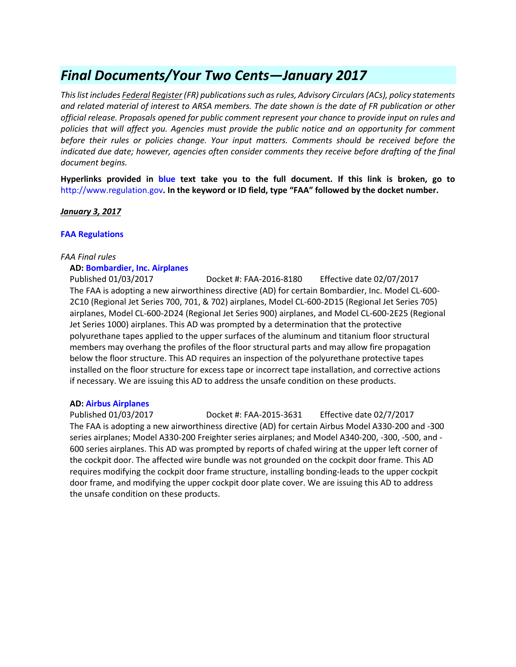# *Final Documents/Your Two Cents—January 2017*

*This list includes Federal Register (FR) publications such as rules, Advisory Circulars (ACs), policy statements and related material of interest to ARSA members. The date shown is the date of FR publication or other official release. Proposals opened for public comment represent your chance to provide input on rules and policies that will affect you. Agencies must provide the public notice and an opportunity for comment before their rules or policies change. Your input matters. Comments should be received before the*  indicated due date; however, agencies often consider comments they receive before drafting of the final *document begins.*

**Hyperlinks provided in blue text take you to the full document. If this link is broken, go to**  [http://www.regulation.gov](http://www.regulation.gov/)**. In the keyword or ID field, type "FAA" followed by the docket number.** 

*January 3, 2017*

### **[FAA Regulations](https://www.federalregister.gov/agencies/federal-aviation-administration)**

#### *FAA Final rules*

### **AD: [Bombardier, Inc. Airplanes](https://www.federalregister.gov/documents/2017/01/03/2016-30418/airworthiness-directives-bombardier-inc-airplanes)**

Published 01/03/2017 Docket #: FAA-2016-8180 Effective date 02/07/2017 The FAA is adopting a new airworthiness directive (AD) for certain Bombardier, Inc. Model CL-600- 2C10 (Regional Jet Series 700, 701, & 702) airplanes, Model CL-600-2D15 (Regional Jet Series 705) airplanes, Model CL-600-2D24 (Regional Jet Series 900) airplanes, and Model CL-600-2E25 (Regional Jet Series 1000) airplanes. This AD was prompted by a determination that the protective polyurethane tapes applied to the upper surfaces of the aluminum and titanium floor structural members may overhang the profiles of the floor structural parts and may allow fire propagation below the floor structure. This AD requires an inspection of the polyurethane protective tapes installed on the floor structure for excess tape or incorrect tape installation, and corrective actions if necessary. We are issuing this AD to address the unsafe condition on these products.

#### **AD: [Airbus Airplanes](https://www.federalregister.gov/documents/2017/01/03/2016-30280/airworthiness-directives-airbus-airplanes)**

Published 01/03/2017 Docket #: FAA-2015-3631 Effective date 02/7/2017 The FAA is adopting a new airworthiness directive (AD) for certain Airbus Model A330-200 and -300 series airplanes; Model A330-200 Freighter series airplanes; and Model A340-200, -300, -500, and - 600 series airplanes. This AD was prompted by reports of chafed wiring at the upper left corner of the cockpit door. The affected wire bundle was not grounded on the cockpit door frame. This AD requires modifying the cockpit door frame structure, installing bonding-leads to the upper cockpit door frame, and modifying the upper cockpit door plate cover. We are issuing this AD to address the unsafe condition on these products.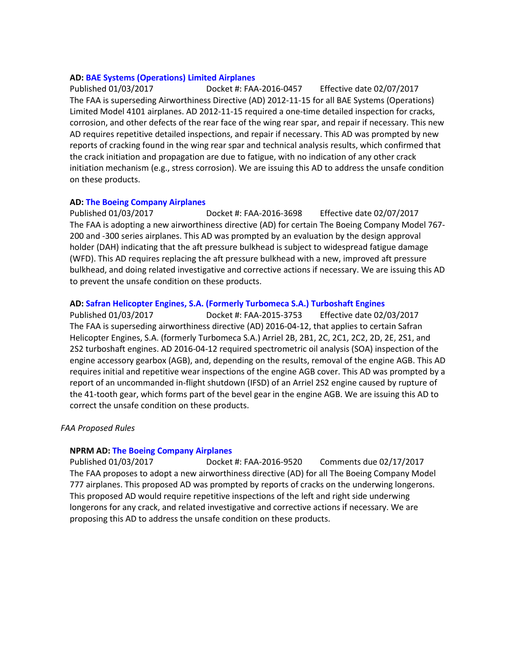### **AD: [BAE Systems \(Operations\) Limited Airplanes](https://www.federalregister.gov/documents/2017/01/03/2016-30412/airworthiness-directives-bae-systems-operations-limited-airplanes)**

Published 01/03/2017 Docket #: FAA-2016-0457 Effective date 02/07/2017 The FAA is superseding Airworthiness Directive (AD) 2012-11-15 for all BAE Systems (Operations) Limited Model 4101 airplanes. AD 2012-11-15 required a one-time detailed inspection for cracks, corrosion, and other defects of the rear face of the wing rear spar, and repair if necessary. This new AD requires repetitive detailed inspections, and repair if necessary. This AD was prompted by new reports of cracking found in the wing rear spar and technical analysis results, which confirmed that the crack initiation and propagation are due to fatigue, with no indication of any other crack initiation mechanism (e.g., stress corrosion). We are issuing this AD to address the unsafe condition on these products.

### **AD: [The Boeing Company Airplanes](https://www.federalregister.gov/documents/2017/01/03/2016-29678/airworthiness-directives-the-boeing-company-airplanes)**

Published 01/03/2017 Docket #: FAA-2016-3698 Effective date 02/07/2017 The FAA is adopting a new airworthiness directive (AD) for certain The Boeing Company Model 767- 200 and -300 series airplanes. This AD was prompted by an evaluation by the design approval holder (DAH) indicating that the aft pressure bulkhead is subject to widespread fatigue damage (WFD). This AD requires replacing the aft pressure bulkhead with a new, improved aft pressure bulkhead, and doing related investigative and corrective actions if necessary. We are issuing this AD to prevent the unsafe condition on these products.

### **AD: [Safran Helicopter Engines, S.A. \(Formerly Turbomeca S.A.\) Turboshaft Engines](https://www.federalregister.gov/documents/2016/12/30/2016-31695/airworthiness-directives-safran-helicopter-engines-sa-formerly-turbomeca-sa-turboshaft-engines)**

Published 01/03/2017 Docket #: FAA-2015-3753 Effective date 02/03/2017 The FAA is superseding airworthiness directive (AD) 2016-04-12, that applies to certain Safran Helicopter Engines, S.A. (formerly Turbomeca S.A.) Arriel 2B, 2B1, 2C, 2C1, 2C2, 2D, 2E, 2S1, and 2S2 turboshaft engines. AD 2016-04-12 required spectrometric oil analysis (SOA) inspection of the engine accessory gearbox (AGB), and, depending on the results, removal of the engine AGB. This AD requires initial and repetitive wear inspections of the engine AGB cover. This AD was prompted by a report of an uncommanded in-flight shutdown (IFSD) of an Arriel 2S2 engine caused by rupture of the 41-tooth gear, which forms part of the bevel gear in the engine AGB. We are issuing this AD to correct the unsafe condition on these products.

# *FAA Proposed Rules*

### **NPRM AD: [The Boeing Company Airplanes](https://www.federalregister.gov/documents/2017/01/03/2016-30807/airworthiness-directives-the-boeing-company-airplanes)**

Published 01/03/2017 Docket #: FAA-2016-9520 Comments due 02/17/2017 The FAA proposes to adopt a new airworthiness directive (AD) for all The Boeing Company Model 777 airplanes. This proposed AD was prompted by reports of cracks on the underwing longerons. This proposed AD would require repetitive inspections of the left and right side underwing longerons for any crack, and related investigative and corrective actions if necessary. We are proposing this AD to address the unsafe condition on these products.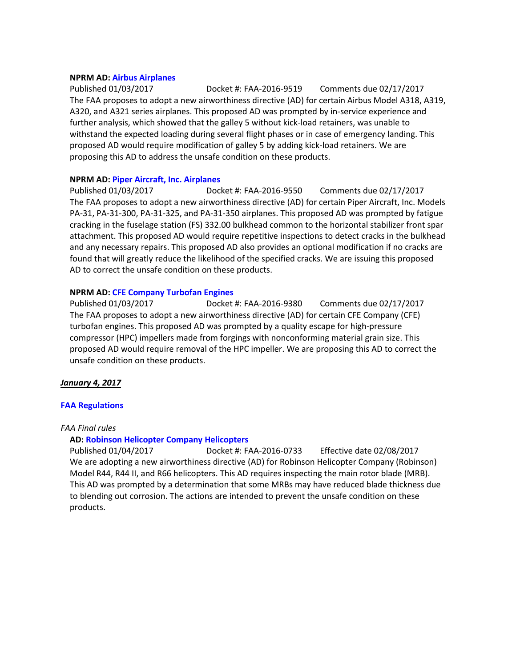#### **NPRM AD: [Airbus Airplanes](https://www.federalregister.gov/documents/2017/01/03/2016-30806/airworthiness-directives-airbus-airplanes)**

Published 01/03/2017 Docket #: FAA-2016-9519 Comments due 02/17/2017 The FAA proposes to adopt a new airworthiness directive (AD) for certain Airbus Model A318, A319, A320, and A321 series airplanes. This proposed AD was prompted by in-service experience and further analysis, which showed that the galley 5 without kick-load retainers, was unable to withstand the expected loading during several flight phases or in case of emergency landing. This proposed AD would require modification of galley 5 by adding kick-load retainers. We are proposing this AD to address the unsafe condition on these products.

#### **NPRM AD: [Piper Aircraft, Inc. Airplanes](https://www.federalregister.gov/documents/2017/01/03/2016-30716/airworthiness-directives-piper-aircraft-inc-airplanes)**

Published 01/03/2017 Docket #: FAA-2016-9550 Comments due 02/17/2017 The FAA proposes to adopt a new airworthiness directive (AD) for certain Piper Aircraft, Inc. Models PA-31, PA-31-300, PA-31-325, and PA-31-350 airplanes. This proposed AD was prompted by fatigue cracking in the fuselage station (FS) 332.00 bulkhead common to the horizontal stabilizer front spar attachment. This proposed AD would require repetitive inspections to detect cracks in the bulkhead and any necessary repairs. This proposed AD also provides an optional modification if no cracks are found that will greatly reduce the likelihood of the specified cracks. We are issuing this proposed AD to correct the unsafe condition on these products.

#### **NPRM AD: [CFE Company Turbofan Engines](https://www.federalregister.gov/documents/2017/01/03/2016-30951/airworthiness-directives-cfe-company-turbofan-engines)**

Published 01/03/2017 Docket #: FAA-2016-9380 Comments due 02/17/2017 The FAA proposes to adopt a new airworthiness directive (AD) for certain CFE Company (CFE) turbofan engines. This proposed AD was prompted by a quality escape for high-pressure compressor (HPC) impellers made from forgings with nonconforming material grain size. This proposed AD would require removal of the HPC impeller. We are proposing this AD to correct the unsafe condition on these products.

# *January 4, 2017*

# **[FAA Regulations](https://www.federalregister.gov/agencies/federal-aviation-administration)**

#### *FAA Final rules*

# **AD: [Robinson Helicopter Company Helicopters](https://www.federalregister.gov/documents/2017/01/04/2016-30832/airworthiness-directives-robinson-helicopter-company-helicopters)**

Published 01/04/2017 Docket #: FAA-2016-0733 Effective date 02/08/2017 We are adopting a new airworthiness directive (AD) for Robinson Helicopter Company (Robinson) Model R44, R44 II, and R66 helicopters. This AD requires inspecting the main rotor blade (MRB). This AD was prompted by a determination that some MRBs may have reduced blade thickness due to blending out corrosion. The actions are intended to prevent the unsafe condition on these products.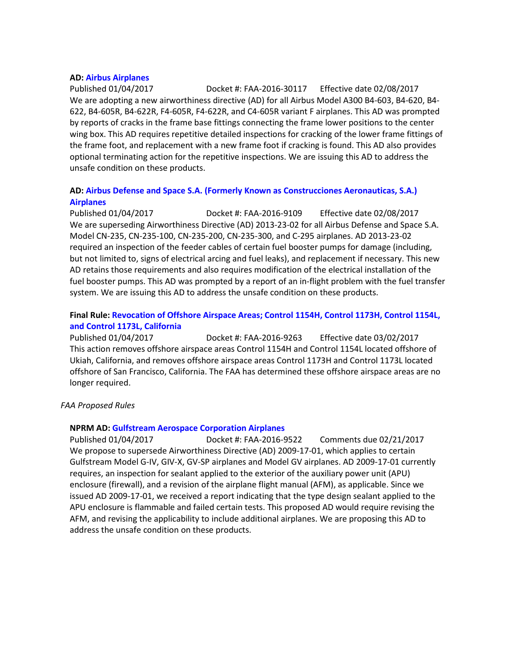#### **AD: [Airbus Airplanes](https://www.federalregister.gov/documents/2017/01/04/2016-30117/airworthiness-directives-airbus-airplanes)**

Published 01/04/2017 Docket #: FAA-2016-30117 Effective date 02/08/2017 We are adopting a new airworthiness directive (AD) for all Airbus Model A300 B4-603, B4-620, B4- 622, B4-605R, B4-622R, F4-605R, F4-622R, and C4-605R variant F airplanes. This AD was prompted by reports of cracks in the frame base fittings connecting the frame lower positions to the center wing box. This AD requires repetitive detailed inspections for cracking of the lower frame fittings of the frame foot, and replacement with a new frame foot if cracking is found. This AD also provides optional terminating action for the repetitive inspections. We are issuing this AD to address the unsafe condition on these products.

# **AD: [Airbus Defense and Space S.A. \(Formerly Known as Construcciones Aeronauticas, S.A.\)](https://www.federalregister.gov/documents/2017/01/04/2016-30842/airworthiness-directives-airbus-defense-and-space-sa-formerly-known-as-construcciones-aeronauticas)  [Airplanes](https://www.federalregister.gov/documents/2017/01/04/2016-30842/airworthiness-directives-airbus-defense-and-space-sa-formerly-known-as-construcciones-aeronauticas)**

Published 01/04/2017 Docket #: FAA-2016-9109 Effective date 02/08/2017 We are superseding Airworthiness Directive (AD) 2013-23-02 for all Airbus Defense and Space S.A. Model CN-235, CN-235-100, CN-235-200, CN-235-300, and C-295 airplanes. AD 2013-23-02 required an inspection of the feeder cables of certain fuel booster pumps for damage (including, but not limited to, signs of electrical arcing and fuel leaks), and replacement if necessary. This new AD retains those requirements and also requires modification of the electrical installation of the fuel booster pumps. This AD was prompted by a report of an in-flight problem with the fuel transfer system. We are issuing this AD to address the unsafe condition on these products.

# **Final Rule: [Revocation of Offshore Airspace Areas; Control 1154H, Control 1173H, Control 1154L,](https://www.federalregister.gov/documents/2017/01/04/2016-29144/revocation-of-offshore-airspace-areas-control-1154h-control-1173h-control-1154l-and-control-1173l)  [and Control 1173L, California](https://www.federalregister.gov/documents/2017/01/04/2016-29144/revocation-of-offshore-airspace-areas-control-1154h-control-1173h-control-1154l-and-control-1173l)**

Published 01/04/2017 Docket #: FAA-2016-9263 Effective date 03/02/2017 This action removes offshore airspace areas Control 1154H and Control 1154L located offshore of Ukiah, California, and removes offshore airspace areas Control 1173H and Control 1173L located offshore of San Francisco, California. The FAA has determined these offshore airspace areas are no longer required.

#### *FAA Proposed Rules*

#### **NPRM AD: [Gulfstream Aerospace Corporation Airplanes](https://www.federalregister.gov/documents/2017/01/04/2016-31362/airworthiness-directives-gulfstream-aerospace-corporation-airplanes)**

Published 01/04/2017 Docket #: FAA-2016-9522 Comments due 02/21/2017 We propose to supersede Airworthiness Directive (AD) 2009-17-01, which applies to certain Gulfstream Model G-IV, GIV-X, GV-SP airplanes and Model GV airplanes. AD 2009-17-01 currently requires, an inspection for sealant applied to the exterior of the auxiliary power unit (APU) enclosure (firewall), and a revision of the airplane flight manual (AFM), as applicable. Since we issued AD 2009-17-01, we received a report indicating that the type design sealant applied to the APU enclosure is flammable and failed certain tests. This proposed AD would require revising the AFM, and revising the applicability to include additional airplanes. We are proposing this AD to address the unsafe condition on these products.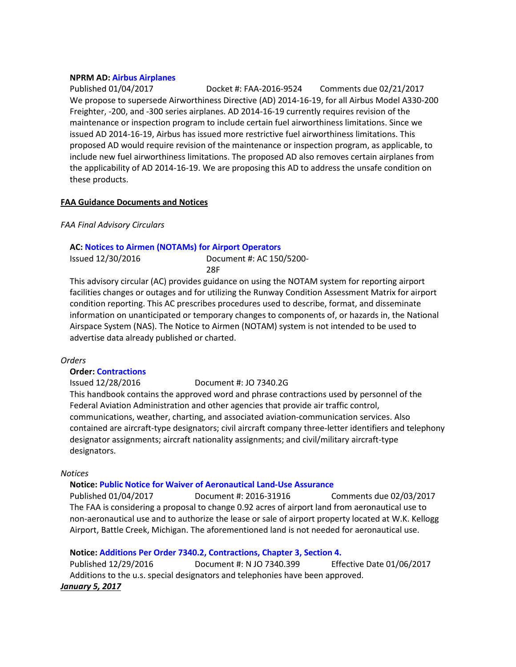### **NPRM AD: [Airbus Airplanes](https://www.federalregister.gov/documents/2017/01/04/2016-31366/airworthiness-directives-airbus-airplanes)**

Published 01/04/2017 Docket #: FAA-2016-9524 Comments due 02/21/2017 We propose to supersede Airworthiness Directive (AD) 2014-16-19, for all Airbus Model A330-200 Freighter, -200, and -300 series airplanes. AD 2014-16-19 currently requires revision of the maintenance or inspection program to include certain fuel airworthiness limitations. Since we issued AD 2014-16-19, Airbus has issued more restrictive fuel airworthiness limitations. This proposed AD would require revision of the maintenance or inspection program, as applicable, to include new fuel airworthiness limitations. The proposed AD also removes certain airplanes from the applicability of AD 2014-16-19. We are proposing this AD to address the unsafe condition on these products.

### **FAA Guidance Documents and Notices**

### *FAA Final Advisory Circulars*

### **AC: [Notices to Airmen \(NOTAMs\) for Airport Operators](https://www.faa.gov/documentLibrary/media/Advisory_Circular/150-5200-28F.pdf)**

Issued 12/30/2016 Document #: AC 150/5200- 28F

This advisory circular (AC) provides guidance on using the NOTAM system for reporting airport facilities changes or outages and for utilizing the Runway Condition Assessment Matrix for airport condition reporting. This AC prescribes procedures used to describe, format, and disseminate information on unanticipated or temporary changes to components of, or hazards in, the National Airspace System (NAS). The Notice to Airmen (NOTAM) system is not intended to be used to advertise data already published or charted.

#### *Orders*

# **Order: [Contractions](https://www.faa.gov/documentLibrary/media/Order/7340.2G_Bsc_dtd_1-5-17.pdf)**

Issued 12/28/2016 Document #: JO 7340.2G

This handbook contains the approved word and phrase contractions used by personnel of the Federal Aviation Administration and other agencies that provide air traffic control, communications, weather, charting, and associated aviation-communication services. Also contained are aircraft-type designators; civil aircraft company three-letter identifiers and telephony designator assignments; aircraft nationality assignments; and civil/military aircraft-type designators.

#### *Notices*

#### **Notice: [Public Notice for Waiver of Aeronautical Land-Use Assurance](https://www.federalregister.gov/documents/2017/01/04/2016-31916/public-notice-for-waiver-of-aeronautical-land-use-assurance)**

Published 01/04/2017 Document #: 2016-31916 Comments due 02/03/2017 The FAA is considering a proposal to change 0.92 acres of airport land from aeronautical use to non-aeronautical use and to authorize the lease or sale of airport property located at W.K. Kellogg Airport, Battle Creek, Michigan. The aforementioned land is not needed for aeronautical use.

# **Notice: [Additions Per Order 7340.2, Contractions, Chapter 3, Section 4.](https://www.faa.gov/documentLibrary/media/Notice/GENOT_JTBND_7340.399.pdf)**

Published 12/29/2016 Document #: N JO 7340.399 Effective Date 01/06/2017 Additions to the u.s. special designators and telephonies have been approved. *January 5, 2017*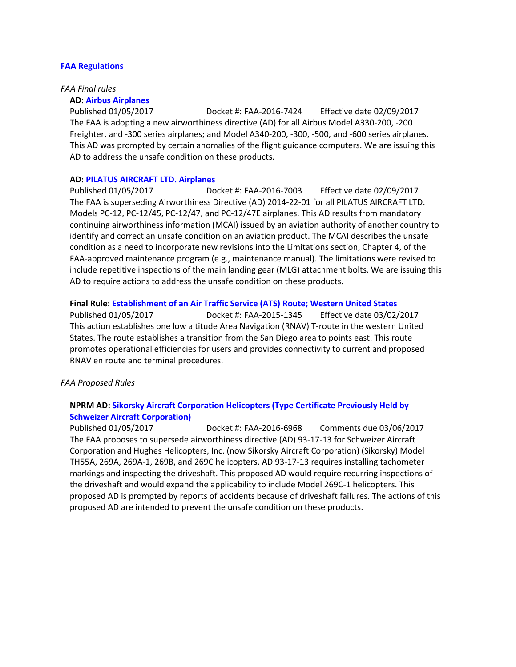#### **[FAA Regulations](https://www.federalregister.gov/agencies/federal-aviation-administration)**

#### *FAA Final rules*

#### **AD: [Airbus Airplanes](https://www.federalregister.gov/documents/2017/01/05/2016-30411/airworthiness-directives-airbus-airplanes)**

Published 01/05/2017 Docket #: FAA-2016-7424 Effective date 02/09/2017 The FAA is adopting a new airworthiness directive (AD) for all Airbus Model A330-200, -200 Freighter, and -300 series airplanes; and Model A340-200, -300, -500, and -600 series airplanes. This AD was prompted by certain anomalies of the flight guidance computers. We are issuing this AD to address the unsafe condition on these products.

#### **AD: PILATUS AIRCRAFT LTD. Airplanes**

Published 01/05/2017 Docket #: FAA-2016-7003 Effective date 02/09/2017 The FAA is superseding Airworthiness Directive (AD) 2014-22-01 for all PILATUS AIRCRAFT LTD. Models PC-12, PC-12/45, PC-12/47, and PC-12/47E airplanes. This AD results from mandatory continuing airworthiness information (MCAI) issued by an aviation authority of another country to identify and correct an unsafe condition on an aviation product. The MCAI describes the unsafe condition as a need to incorporate new revisions into the Limitations section, Chapter 4, of the FAA-approved maintenance program (e.g., maintenance manual). The limitations were revised to include repetitive inspections of the main landing gear (MLG) attachment bolts. We are issuing this AD to require actions to address the unsafe condition on these products.

#### **Final Rule: [Establishment of an Air Traffic Service \(ATS\) Route; Western United States](https://www.federalregister.gov/documents/2017/01/05/2016-31901/establishment-of-an-air-traffic-service-ats-route-western-united-states)**

Published 01/05/2017 Docket #: FAA-2015-1345 Effective date 03/02/2017 This action establishes one low altitude Area Navigation (RNAV) T-route in the western United States. The route establishes a transition from the San Diego area to points east. This route promotes operational efficiencies for users and provides connectivity to current and proposed RNAV en route and terminal procedures.

#### *FAA Proposed Rules*

# **NPRM AD: [Sikorsky Aircraft Corporation Helicopters \(Type Certificate Previously Held by](https://www.federalregister.gov/documents/2017/01/05/2016-31622/airworthiness-directives-sikorsky-aircraft-corporation-helicopters-type-certificate-previously-held)  [Schweizer Aircraft Corporation\)](https://www.federalregister.gov/documents/2017/01/05/2016-31622/airworthiness-directives-sikorsky-aircraft-corporation-helicopters-type-certificate-previously-held)**

Published 01/05/2017 Docket #: FAA-2016-6968 Comments due 03/06/2017 The FAA proposes to supersede airworthiness directive (AD) 93-17-13 for Schweizer Aircraft Corporation and Hughes Helicopters, Inc. (now Sikorsky Aircraft Corporation) (Sikorsky) Model TH55A, 269A, 269A-1, 269B, and 269C helicopters. AD 93-17-13 requires installing tachometer markings and inspecting the driveshaft. This proposed AD would require recurring inspections of the driveshaft and would expand the applicability to include Model 269C-1 helicopters. This proposed AD is prompted by reports of accidents because of driveshaft failures. The actions of this proposed AD are intended to prevent the unsafe condition on these products.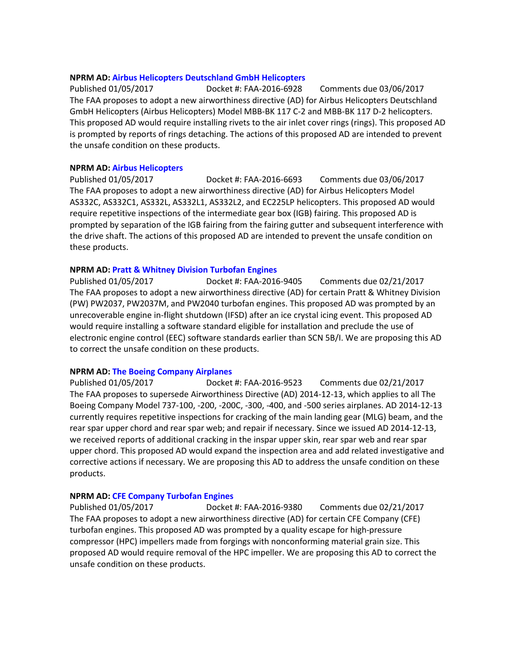### **NPRM AD: [Airbus Helicopters Deutschland GmbH Helicopters](https://www.federalregister.gov/documents/2017/01/05/2016-31865/airworthiness-directives-airbus-helicopters-deutschland-gmbh-helicopters)**

Published 01/05/2017 Docket #: FAA-2016-6928 Comments due 03/06/2017 The FAA proposes to adopt a new airworthiness directive (AD) for Airbus Helicopters Deutschland GmbH Helicopters (Airbus Helicopters) Model MBB-BK 117 C-2 and MBB-BK 117 D-2 helicopters. This proposed AD would require installing rivets to the air inlet cover rings (rings). This proposed AD is prompted by reports of rings detaching. The actions of this proposed AD are intended to prevent the unsafe condition on these products.

### **NPRM AD: [Airbus Helicopters](https://www.federalregister.gov/documents/2017/01/05/2016-31866/airworthiness-directives-airbus-helicopters)**

Published 01/05/2017 Docket #: FAA-2016-6693 Comments due 03/06/2017 The FAA proposes to adopt a new airworthiness directive (AD) for Airbus Helicopters Model AS332C, AS332C1, AS332L, AS332L1, AS332L2, and EC225LP helicopters. This proposed AD would require repetitive inspections of the intermediate gear box (IGB) fairing. This proposed AD is prompted by separation of the IGB fairing from the fairing gutter and subsequent interference with the drive shaft. The actions of this proposed AD are intended to prevent the unsafe condition on these products.

### **NPRM AD: [Pratt & Whitney Division Turbofan Engines](https://www.federalregister.gov/documents/2017/01/05/2016-31870/airworthiness-directives-pratt-and-whitney-division-turbofan-engines)**

Published 01/05/2017 Docket #: FAA-2016-9405 Comments due 02/21/2017 The FAA proposes to adopt a new airworthiness directive (AD) for certain Pratt & Whitney Division (PW) PW2037, PW2037M, and PW2040 turbofan engines. This proposed AD was prompted by an unrecoverable engine in-flight shutdown (IFSD) after an ice crystal icing event. This proposed AD would require installing a software standard eligible for installation and preclude the use of electronic engine control (EEC) software standards earlier than SCN 5B/I. We are proposing this AD to correct the unsafe condition on these products.

# **NPRM AD: [The Boeing Company Airplanes](https://www.federalregister.gov/documents/2017/01/05/2016-31367/airworthiness-directives-the-boeing-company-airplanes)**

Published 01/05/2017 Docket #: FAA-2016-9523 Comments due 02/21/2017 The FAA proposes to supersede Airworthiness Directive (AD) 2014-12-13, which applies to all The Boeing Company Model 737-100, -200, -200C, -300, -400, and -500 series airplanes. AD 2014-12-13 currently requires repetitive inspections for cracking of the main landing gear (MLG) beam, and the rear spar upper chord and rear spar web; and repair if necessary. Since we issued AD 2014-12-13, we received reports of additional cracking in the inspar upper skin, rear spar web and rear spar upper chord. This proposed AD would expand the inspection area and add related investigative and corrective actions if necessary. We are proposing this AD to address the unsafe condition on these products.

# **NPRM AD: [CFE Company Turbofan Engines](https://www.federalregister.gov/documents/2017/01/05/2016-31780/airworthiness-directives-cfe-company-turbofan-engines)**

Published 01/05/2017 Docket #: FAA-2016-9380 Comments due 02/21/2017 The FAA proposes to adopt a new airworthiness directive (AD) for certain CFE Company (CFE) turbofan engines. This proposed AD was prompted by a quality escape for high-pressure compressor (HPC) impellers made from forgings with nonconforming material grain size. This proposed AD would require removal of the HPC impeller. We are proposing this AD to correct the unsafe condition on these products.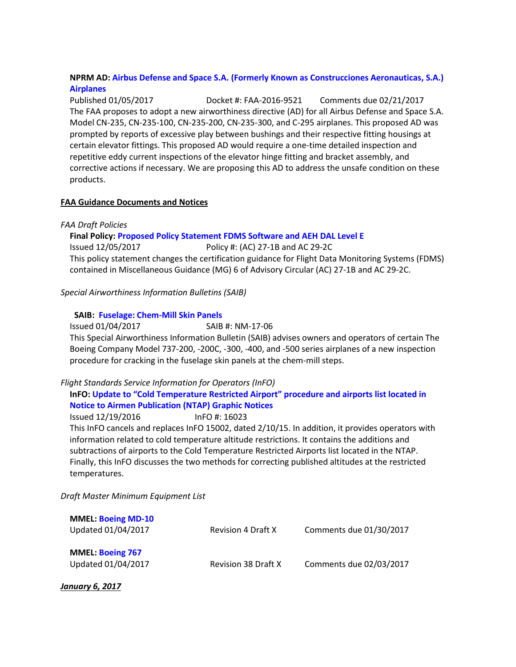# **NPRM AD: [Airbus Defense and Space S.A. \(Formerly Known as Construcciones Aeronauticas, S.A.\)](https://www.federalregister.gov/documents/2017/01/05/2016-31365/airworthiness-directives-airbus-defense-and-space-sa-formerly-known-as-construcciones-aeronauticas)  [Airplanes](https://www.federalregister.gov/documents/2017/01/05/2016-31365/airworthiness-directives-airbus-defense-and-space-sa-formerly-known-as-construcciones-aeronauticas)**

Published 01/05/2017 Docket #: FAA-2016-9521 Comments due 02/21/2017 The FAA proposes to adopt a new airworthiness directive (AD) for all Airbus Defense and Space S.A. Model CN-235, CN-235-100, CN-235-200, CN-235-300, and C-295 airplanes. This proposed AD was prompted by reports of excessive play between bushings and their respective fitting housings at certain elevator fittings. This proposed AD would require a one-time detailed inspection and repetitive eddy current inspections of the elevator hinge fitting and bracket assembly, and corrective actions if necessary. We are proposing this AD to address the unsafe condition on these products.

### **FAA Guidance Documents and Notices**

*FAA Draft Policies*

# **Final Policy[: Proposed Policy Statement FDMS Software and AEH DAL Level E](https://www.faa.gov/aircraft/draft_docs/policy/)**

Issued 12/05/2017 Policy #: (AC) 27-1B and AC 29-2C This policy statement changes the certification guidance for Flight Data Monitoring Systems (FDMS) contained in Miscellaneous Guidance (MG) 6 of Advisory Circular (AC) 27-1B and AC 29-2C.

*Special Airworthiness Information Bulletins (SAIB)*

### **SAIB: [Fuselage: Chem-Mill Skin Panels](http://rgl.faa.gov/Regulatory_and_Guidance_Library/rgSAIB.nsf/dc7bd4f27e5f107486257221005f069d/33fedb0026296dc38625809e00706367/$FILE/NM-17-06.pdf)**

Issued 01/04/2017 SAIB #: NM-17-06

This Special Airworthiness Information Bulletin (SAIB) advises owners and operators of certain The Boeing Company Model 737-200, -200C, -300, -400, and -500 series airplanes of a new inspection procedure for cracking in the fuselage skin panels at the chem-mill steps.

# *Flight Standards Service Information for Operators (InFO)*

# **InFO[: Update to "Cold Temperature Restricted Airport" procedure and airports list located in](https://www.faa.gov/other_visit/aviation_industry/airline_operators/airline_safety/info/all_infos/media/2016/InFO16023.pdf)  [Notice to Airmen Publication \(NTAP\) Graphic Notices](https://www.faa.gov/other_visit/aviation_industry/airline_operators/airline_safety/info/all_infos/media/2016/InFO16023.pdf)**

Issued 12/19/2016 InFO #: 16023 This InFO cancels and replaces InFO 15002, dated 2/10/15. In addition, it provides operators with information related to cold temperature altitude restrictions. It contains the additions and subtractions of airports to the Cold Temperature Restricted Airports list located in the NTAP. Finally, this InFO discusses the two methods for correcting published altitudes at the restricted temperatures.

*Draft Master Minimum Equipment List*

| <b>MMEL: Boeing MD-10</b><br>Updated 01/04/2017 | <b>Revision 4 Draft X</b>  | Comments due 01/30/2017 |
|-------------------------------------------------|----------------------------|-------------------------|
| <b>MMEL: Boeing 767</b><br>Updated 01/04/2017   | <b>Revision 38 Draft X</b> | Comments due 02/03/2017 |

*January 6, 2017*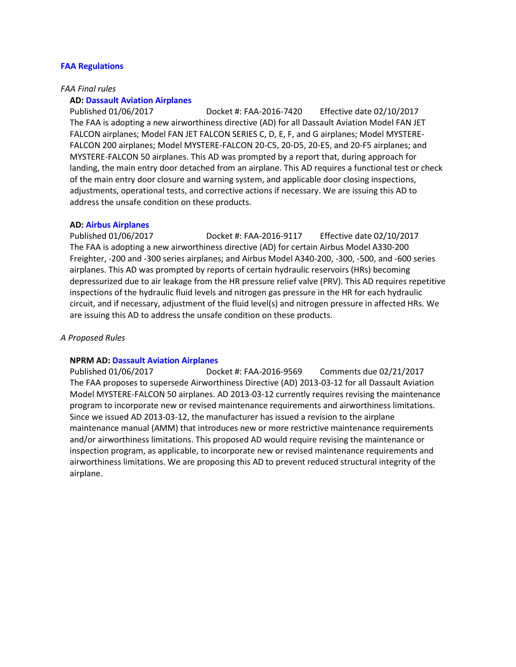#### **[FAA Regulations](https://www.federalregister.gov/agencies/federal-aviation-administration)**

#### *FAA Final rules*

#### **AD: [Dassault Aviation Airplanes](https://www.federalregister.gov/documents/2017/01/06/2016-31871/airworthiness-directives-dassault-aviation-airplanes)**

Published 01/06/2017 Docket #: FAA-2016-7420 Effective date 02/10/2017 The FAA is adopting a new airworthiness directive (AD) for all Dassault Aviation Model FAN JET FALCON airplanes; Model FAN JET FALCON SERIES C, D, E, F, and G airplanes; Model MYSTERE-FALCON 200 airplanes; Model MYSTERE-FALCON 20-C5, 20-D5, 20-E5, and 20-F5 airplanes; and MYSTERE-FALCON 50 airplanes. This AD was prompted by a report that, during approach for landing, the main entry door detached from an airplane. This AD requires a functional test or check of the main entry door closure and warning system, and applicable door closing inspections, adjustments, operational tests, and corrective actions if necessary. We are issuing this AD to address the unsafe condition on these products.

#### **AD: [Airbus Airplanes](https://www.federalregister.gov/documents/2017/01/06/2016-31868/airworthiness-directives-airbus-airplanes)**

Published 01/06/2017 Docket #: FAA-2016-9117 Effective date 02/10/2017 The FAA is adopting a new airworthiness directive (AD) for certain Airbus Model A330-200 Freighter, -200 and -300 series airplanes; and Airbus Model A340-200, -300, -500, and -600 series airplanes. This AD was prompted by reports of certain hydraulic reservoirs (HRs) becoming depressurized due to air leakage from the HR pressure relief valve (PRV). This AD requires repetitive inspections of the hydraulic fluid levels and nitrogen gas pressure in the HR for each hydraulic circuit, and if necessary, adjustment of the fluid level(s) and nitrogen pressure in affected HRs. We are issuing this AD to address the unsafe condition on these products.

#### *A Proposed Rules*

#### **NPRM AD: [Dassault Aviation Airplanes](https://www.federalregister.gov/documents/2017/01/06/2016-31963/airworthiness-directives-dassault-aviation-airplanes)**

Published 01/06/2017 Docket #: FAA-2016-9569 Comments due 02/21/2017 The FAA proposes to supersede Airworthiness Directive (AD) 2013-03-12 for all Dassault Aviation Model MYSTERE-FALCON 50 airplanes. AD 2013-03-12 currently requires revising the maintenance program to incorporate new or revised maintenance requirements and airworthiness limitations. Since we issued AD 2013-03-12, the manufacturer has issued a revision to the airplane maintenance manual (AMM) that introduces new or more restrictive maintenance requirements and/or airworthiness limitations. This proposed AD would require revising the maintenance or inspection program, as applicable, to incorporate new or revised maintenance requirements and airworthiness limitations. We are proposing this AD to prevent reduced structural integrity of the airplane.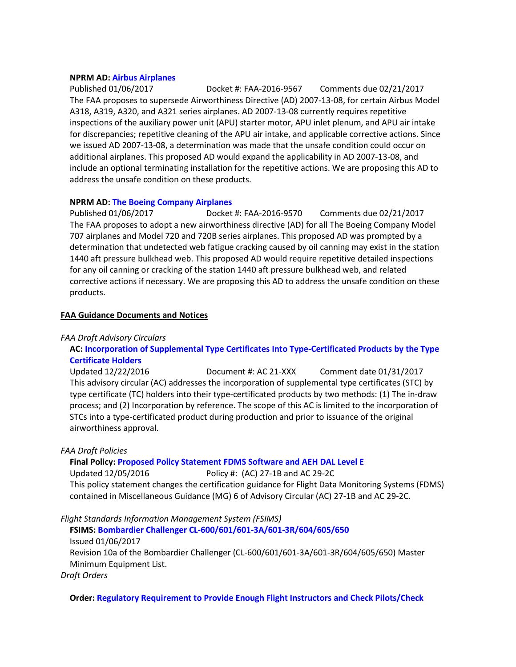#### **NPRM AD: [Airbus Airplanes](https://www.federalregister.gov/documents/2017/01/06/2016-31960/airworthiness-directives-airbus-airplanes)**

Published 01/06/2017 Docket #: FAA-2016-9567 Comments due 02/21/2017 The FAA proposes to supersede Airworthiness Directive (AD) 2007-13-08, for certain Airbus Model A318, A319, A320, and A321 series airplanes. AD 2007-13-08 currently requires repetitive inspections of the auxiliary power unit (APU) starter motor, APU inlet plenum, and APU air intake for discrepancies; repetitive cleaning of the APU air intake, and applicable corrective actions. Since we issued AD 2007-13-08, a determination was made that the unsafe condition could occur on additional airplanes. This proposed AD would expand the applicability in AD 2007-13-08, and include an optional terminating installation for the repetitive actions. We are proposing this AD to address the unsafe condition on these products.

### **NPRM AD: [The Boeing Company Airplanes](https://www.federalregister.gov/documents/2017/01/06/2016-31964/airworthiness-directives-the-boeing-company-airplanes)**

Published 01/06/2017 Docket #: FAA-2016-9570 Comments due 02/21/2017 The FAA proposes to adopt a new airworthiness directive (AD) for all The Boeing Company Model 707 airplanes and Model 720 and 720B series airplanes. This proposed AD was prompted by a determination that undetected web fatigue cracking caused by oil canning may exist in the station 1440 aft pressure bulkhead web. This proposed AD would require repetitive detailed inspections for any oil canning or cracking of the station 1440 aft pressure bulkhead web, and related corrective actions if necessary. We are proposing this AD to address the unsafe condition on these products.

### **FAA Guidance Documents and Notices**

#### *FAA Draft Advisory Circulars*

# **AC: [Incorporation of Supplemental Type Certificates Into Type-Certificated Products by the Type](https://www.faa.gov/aircraft/draft_docs/media/AC_21-XXX.pdf)  [Certificate Holders](https://www.faa.gov/aircraft/draft_docs/media/AC_21-XXX.pdf)**

Updated 12/22/2016 Document #: AC 21-XXX Comment date 01/31/2017 This advisory circular (AC) addresses the incorporation of supplemental type certificates (STC) by type certificate (TC) holders into their type-certificated products by two methods: (1) The in-draw process; and (2) Incorporation by reference. The scope of this AC is limited to the incorporation of STCs into a type-certificated product during production and prior to issuance of the original airworthiness approval.

# *FAA Draft Policies*

#### **Final Policy[: Proposed Policy Statement FDMS Software and AEH DAL Level E](https://www.faa.gov/aircraft/draft_docs/policy/)**

Updated 12/05/2016 Policy #: (AC) 27-1B and AC 29-2C This policy statement changes the certification guidance for Flight Data Monitoring Systems (FDMS) contained in Miscellaneous Guidance (MG) 6 of Advisory Circular (AC) 27-1B and AC 29-2C.

# *Flight Standards Information Management System (FSIMS)*

**FSIMS: [Bombardier Challenger CL-600/601/601-3A/601-3R/604/605/650](http://fsims.faa.gov/PICDetail.aspx?docId=M%20CL-600%20R10A)** Issued 01/06/2017 Revision 10a of the Bombardier Challenger (CL-600/601/601-3A/601-3R/604/605/650) Master Minimum Equipment List.

*Draft Orders*

#### **Order: [Regulatory Requirement to Provide Enough Flight Instructors and Check Pilots/Check](https://www.faa.gov/aircraft/draft_docs/media/AFS/N_8900.CKP_Coord_Copy.pdf)**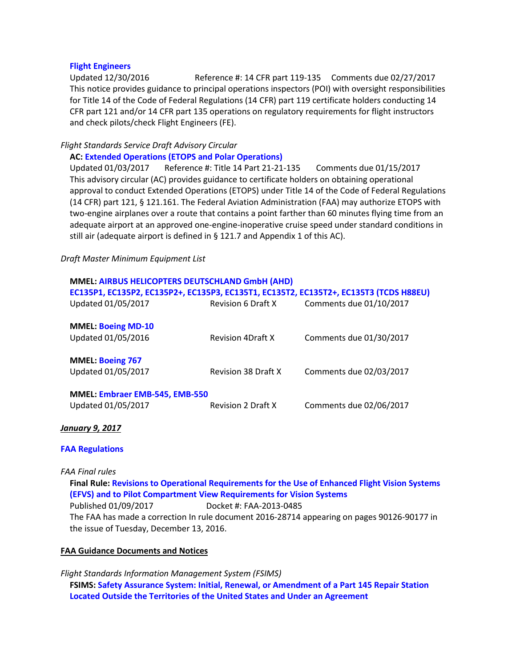### **[Flight Engineers](https://www.faa.gov/aircraft/draft_docs/media/AFS/N_8900.CKP_Coord_Copy.pdf)**

Updated 12/30/2016 Reference #: 14 CFR part 119-135 Comments due 02/27/2017 This notice provides guidance to principal operations inspectors (POI) with oversight responsibilities for Title 14 of the Code of Federal Regulations (14 CFR) part 119 certificate holders conducting 14 CFR part 121 and/or 14 CFR part 135 operations on regulatory requirements for flight instructors and check pilots/check Flight Engineers (FE).

### *Flight Standards Service Draft Advisory Circular*

### **AC: [Extended Operations \(ETOPS and Polar Operations\)](https://www.faa.gov/aircraft/draft_docs/media/AFS/AC_120-42C_Coord_Copy.pdf)**

Updated 01/03/2017 Reference #: Title 14 Part 21-21-135 Comments due 01/15/2017 This advisory circular (AC) provides guidance to certificate holders on obtaining operational approval to conduct Extended Operations (ETOPS) under Title 14 of the Code of Federal Regulations (14 CFR) part 121, § 121.161. The Federal Aviation Administration (FAA) may authorize ETOPS with two-engine airplanes over a route that contains a point farther than 60 minutes flying time from an adequate airport at an approved one-engine-inoperative cruise speed under standard conditions in still air (adequate airport is defined in § 121.7 and Appendix 1 of this AC).

### *Draft Master Minimum Equipment List*

|                                                      | MMEL: AIRBUS HELICOPTERS DEUTSCHLAND GmbH (AHD)<br>EC135P1, EC135P2, EC135P2+, EC135P3, EC135T1, EC135T2, EC135T2+, EC135T3 (TCDS H88EU) |                         |  |  |
|------------------------------------------------------|------------------------------------------------------------------------------------------------------------------------------------------|-------------------------|--|--|
| Updated 01/05/2017                                   | <b>Revision 6 Draft X</b>                                                                                                                | Comments due 01/10/2017 |  |  |
| <b>MMEL: Boeing MD-10</b><br>Updated 01/05/2016      | <b>Revision 4Draft X</b>                                                                                                                 | Comments due 01/30/2017 |  |  |
| <b>MMEL: Boeing 767</b><br>Updated 01/05/2017        | <b>Revision 38 Draft X</b>                                                                                                               | Comments due 02/03/2017 |  |  |
| MMEL: Embraer EMB-545, EMB-550<br>Updated 01/05/2017 | <b>Revision 2 Draft X</b>                                                                                                                | Comments due 02/06/2017 |  |  |

# *January 9, 2017*

# **FAA [Regulations](https://www.federalregister.gov/agencies/federal-aviation-administration)**

#### *FAA Final rules*

**Final Rule: [Revisions to Operational Requirements for the Use of Enhanced Flight Vision Systems](https://www.federalregister.gov/documents/2017/01/09/C1-2016-28714/revisions-to-operational-requirements-for-the-use-of-enhanced-flight-vision-systems-efvs-and-to)  [\(EFVS\) and to Pilot Compartment View Requirements for Vision Systems](https://www.federalregister.gov/documents/2017/01/09/C1-2016-28714/revisions-to-operational-requirements-for-the-use-of-enhanced-flight-vision-systems-efvs-and-to)** Published 01/09/2017 Docket #: FAA-2013-0485 The FAA has made a correction In rule document 2016-28714 appearing on pages 90126-90177 in the issue of Tuesday, December 13, 2016.

# **FAA Guidance Documents and Notices**

*Flight Standards Information Management System (FSIMS)* **FSIMS: Safety Assurance [System: Initial, Renewal, or Amendment of a Part 145 Repair Station](http://fsims.faa.gov/PICDetail.aspx?docId=8900.1,Vol.2,Ch11,Sec12_SAS)  [Located Outside the Territories of the United States and Under an Agreement](http://fsims.faa.gov/PICDetail.aspx?docId=8900.1,Vol.2,Ch11,Sec12_SAS)**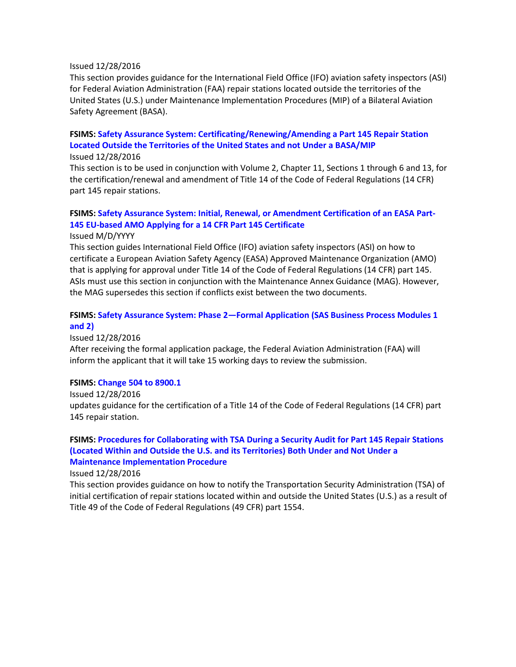#### Issued 12/28/2016

This section provides guidance for the International Field Office (IFO) aviation safety inspectors (ASI) for Federal Aviation Administration (FAA) repair stations located outside the territories of the United States (U.S.) under Maintenance Implementation Procedures (MIP) of a Bilateral Aviation Safety Agreement (BASA).

# **FSIMS: [Safety Assurance System: Certificating/Renewing/Amending a Part 145 Repair Station](http://fsims.faa.gov/PICDetail.aspx?docId=8900.1,Vol.2,Ch11,Sec10_SAS)  [Located Outside the Territories of the United States and not Under a BASA/MIP](http://fsims.faa.gov/PICDetail.aspx?docId=8900.1,Vol.2,Ch11,Sec10_SAS)**

Issued 12/28/2016

This section is to be used in conjunction with Volume 2, Chapter 11, Sections 1 through 6 and 13, for the certification/renewal and amendment of Title 14 of the Code of Federal Regulations (14 CFR) part 145 repair stations.

# **FSIMS: [Safety Assurance System: Initial, Renewal, or Amendment Certification of an EASA Part-](http://fsims.faa.gov/PICDetail.aspx?docId=8900.1,Vol.2,Ch11,Sec11_SAS)[145 EU-based AMO Applying for a 14 CFR Part 145 Certificate](http://fsims.faa.gov/PICDetail.aspx?docId=8900.1,Vol.2,Ch11,Sec11_SAS)**

Issued M/D/YYYY

This section guides International Field Office (IFO) aviation safety inspectors (ASI) on how to certificate a European Aviation Safety Agency (EASA) Approved Maintenance Organization (AMO) that is applying for approval under Title 14 of the Code of Federal Regulations (14 CFR) part 145. ASIs must use this section in conjunction with the Maintenance Annex Guidance (MAG). However, the MAG supersedes this section if conflicts exist between the two documents.

# **FSIMS: [Safety Assurance System: Phase 2—Formal Application \(SAS Business Process Modules 1](http://fsims.faa.gov/PICDetail.aspx?docId=8900.1,Vol.2,Ch11,Sec2_SAS)  [and 2\)](http://fsims.faa.gov/PICDetail.aspx?docId=8900.1,Vol.2,Ch11,Sec2_SAS)**

Issued 12/28/2016

After receiving the formal application package, the Federal Aviation Administration (FAA) will inform the applicant that it will take 15 working days to review the submission.

#### **FSIMS: [Change 504 to 8900.1](http://fsims.faa.gov/PICDetail.aspx?docId=8900.1,CHG504)**

Issued 12/28/2016 updates guidance for the certification of a Title 14 of the Code of Federal Regulations (14 CFR) part 145 repair station.

# **FSIMS: [Procedures for Collaborating with TSA During a Security Audit for Part 145 Repair Stations](http://fsims.faa.gov/PICDetail.aspx?docId=8900.1,Vol.2,Ch11,Sec13_SAS)  [\(Located Within and Outside the U.S. and its Territories\) Both Under and Not Under a](http://fsims.faa.gov/PICDetail.aspx?docId=8900.1,Vol.2,Ch11,Sec13_SAS)  [Maintenance Implementation Procedure](http://fsims.faa.gov/PICDetail.aspx?docId=8900.1,Vol.2,Ch11,Sec13_SAS)**

Issued 12/28/2016

This section provides guidance on how to notify the Transportation Security Administration (TSA) of initial certification of repair stations located within and outside the United States (U.S.) as a result of Title 49 of the Code of Federal Regulations (49 CFR) part 1554.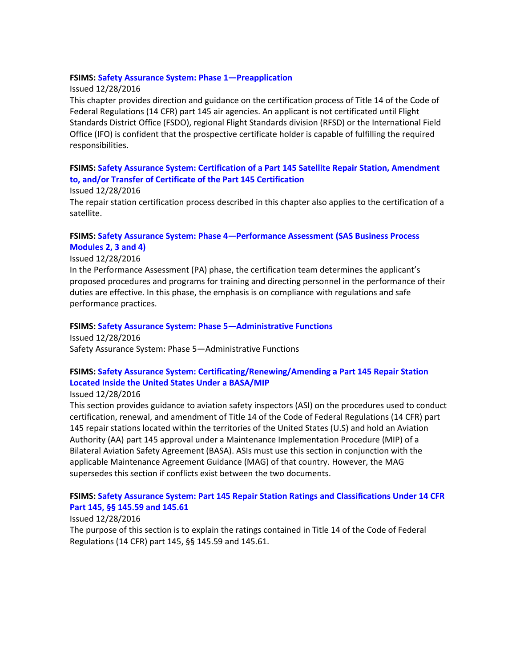### **FSIMS: [Safety Assurance System: Phase 1—Preapplication](http://fsims.faa.gov/PICDetail.aspx?docId=8900.1,Vol.2,Ch11,Sec1_SAS)**

### Issued 12/28/2016

This chapter provides direction and guidance on the certification process of Title 14 of the Code of Federal Regulations (14 CFR) part 145 air agencies. An applicant is not certificated until Flight Standards District Office (FSDO), regional Flight Standards division (RFSD) or the International Field Office (IFO) is confident that the prospective certificate holder is capable of fulfilling the required responsibilities.

# **FSIMS: [Safety Assurance System: Certification of a Part 145 Satellite Repair Station, Amendment](http://fsims.faa.gov/PICDetail.aspx?docId=8900.1,Vol.2,Ch11,Sec7_SAS)  [to, and/or Transfer of Certificate of the Part 145 Certification](http://fsims.faa.gov/PICDetail.aspx?docId=8900.1,Vol.2,Ch11,Sec7_SAS)**

#### Issued 12/28/2016

The repair station certification process described in this chapter also applies to the certification of a satellite.

### **FSIMS: [Safety Assurance System: Phase 4—Performance Assessment \(SAS Business Process](http://fsims.faa.gov/PICDetail.aspx?docId=8900.1,Vol.2,Ch11,Sec4_SAS)  [Modules 2, 3 and 4\)](http://fsims.faa.gov/PICDetail.aspx?docId=8900.1,Vol.2,Ch11,Sec4_SAS)**

# Issued 12/28/2016

In the Performance Assessment (PA) phase, the certification team determines the applicant's proposed procedures and programs for training and directing personnel in the performance of their duties are effective. In this phase, the emphasis is on compliance with regulations and safe performance practices.

### **FSIMS: [Safety Assurance System: Phase 5—Administrative Functions](http://fsims.faa.gov/PICDetail.aspx?docId=8900.1,Vol.2,Ch11,Sec5_SAS)**

Issued 12/28/2016 Safety Assurance System: Phase 5—Administrative Functions

# **FSIMS: [Safety Assurance System: Certificating/Renewing/Amending a Part 145 Repair Station](http://fsims.faa.gov/PICDetail.aspx?docId=8900.1,Vol.2,Ch11,Sec9_SAS)  [Located Inside the United States Under a BASA/MIP](http://fsims.faa.gov/PICDetail.aspx?docId=8900.1,Vol.2,Ch11,Sec9_SAS)**

Issued 12/28/2016

This section provides guidance to aviation safety inspectors (ASI) on the procedures used to conduct certification, renewal, and amendment of Title 14 of the Code of Federal Regulations (14 CFR) part 145 repair stations located within the territories of the United States (U.S) and hold an Aviation Authority (AA) part 145 approval under a Maintenance Implementation Procedure (MIP) of a Bilateral Aviation Safety Agreement (BASA). ASIs must use this section in conjunction with the applicable Maintenance Agreement Guidance (MAG) of that country. However, the MAG supersedes this section if conflicts exist between the two documents.

# **FSIMS: [Safety Assurance System: Part 145 Repair Station Ratings and Classifications Under 14 CFR](http://fsims.faa.gov/PICDetail.aspx?docId=8900.1,Vol.2,Ch11,Sec6_SAS)  [Part 145, §§ 145.59 and 145.61](http://fsims.faa.gov/PICDetail.aspx?docId=8900.1,Vol.2,Ch11,Sec6_SAS)**

# Issued 12/28/2016

The purpose of this section is to explain the ratings contained in Title 14 of the Code of Federal Regulations (14 CFR) part 145, §§ 145.59 and 145.61.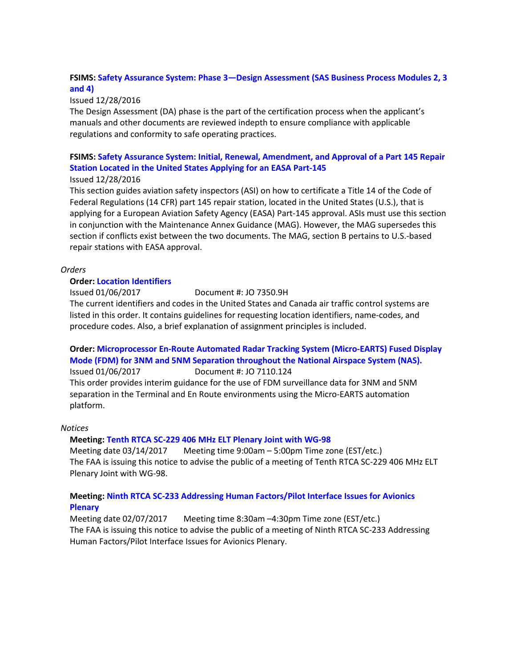# **FSIMS: [Safety Assurance System: Phase 3—Design Assessment \(SAS Business Process Modules 2, 3](http://fsims.faa.gov/PICDetail.aspx?docId=8900.1,Vol.2,Ch11,Sec3_SAS)  [and 4\)](http://fsims.faa.gov/PICDetail.aspx?docId=8900.1,Vol.2,Ch11,Sec3_SAS)**

# Issued 12/28/2016

The Design Assessment (DA) phase is the part of the certification process when the applicant's manuals and other documents are reviewed indepth to ensure compliance with applicable regulations and conformity to safe operating practices.

# **FSIMS: [Safety Assurance System: Initial, Renewal, Amendment, and Approval of a Part 145 Repair](http://fsims.faa.gov/PICDetail.aspx?docId=8900.1,Vol.2,Ch11,Sec8_SAS)  [Station Located in the United States Applying for an EASA Part-145](http://fsims.faa.gov/PICDetail.aspx?docId=8900.1,Vol.2,Ch11,Sec8_SAS)**

# Issued 12/28/2016

This section guides aviation safety inspectors (ASI) on how to certificate a Title 14 of the Code of Federal Regulations (14 CFR) part 145 repair station, located in the United States (U.S.), that is applying for a European Aviation Safety Agency (EASA) Part-145 approval. ASIs must use this section in conjunction with the Maintenance Annex Guidance (MAG). However, the MAG supersedes this section if conflicts exist between the two documents. The MAG, section B pertains to U.S.-based repair stations with EASA approval.

# *Orders*

# **Order: [Location Identifiers](https://www.faa.gov/documentLibrary/media/Order/FAA_JO_7350.9_H_Location_Identifiers_01-05-17.pdf)**

Issued 01/06/2017 Document #: JO 7350.9H

The current identifiers and codes in the United States and Canada air traffic control systems are listed in this order. It contains guidelines for requesting location identifiers, name-codes, and procedure codes. Also, a brief explanation of assignment principles is included.

# **Order: [Microprocessor En-Route Automated Radar Tracking System \(Micro-EARTS\) Fused Display](https://www.faa.gov/documentLibrary/media/Order/FAA_JO_7110.124_Micro-EARTS_Fusion_for_3NM_and_5NM_Separation_NAS-wide.pdf)  [Mode \(FDM\) for 3NM and 5NM Separation throughout the National Airspace System \(NAS\).](https://www.faa.gov/documentLibrary/media/Order/FAA_JO_7110.124_Micro-EARTS_Fusion_for_3NM_and_5NM_Separation_NAS-wide.pdf)** Issued 01/06/2017 Document #: JO 7110.124

This order provides interim guidance for the use of FDM surveillance data for 3NM and 5NM separation in the Terminal and En Route environments using the Micro-EARTS automation platform.

# *Notices*

# **Meeting[: Tenth RTCA SC-229 406 MHz ELT Plenary Joint with WG-98](https://www.federalregister.gov/documents/2017/01/09/2017-00117/tenth-rtca-sc-229-406-mhz-elt-plenary-joint-with-wg-98)**

Meeting date 03/14/2017 Meeting time 9:00am – 5:00pm Time zone (EST/etc.) The FAA is issuing this notice to advise the public of a meeting of Tenth RTCA SC-229 406 MHz ELT Plenary Joint with WG-98.

# **Meeting[: Ninth RTCA SC-233 Addressing Human Factors/Pilot Interface Issues for Avionics](https://www.federalregister.gov/documents/2017/01/09/2017-00112/ninth-rtca-sc-233-addressing-human-factorspilot-interface-issues-for-avionics-plenary)  [Plenary](https://www.federalregister.gov/documents/2017/01/09/2017-00112/ninth-rtca-sc-233-addressing-human-factorspilot-interface-issues-for-avionics-plenary)**

Meeting date 02/07/2017 Meeting time 8:30am –4:30pm Time zone (EST/etc.) The FAA is issuing this notice to advise the public of a meeting of Ninth RTCA SC-233 Addressing Human Factors/Pilot Interface Issues for Avionics Plenary.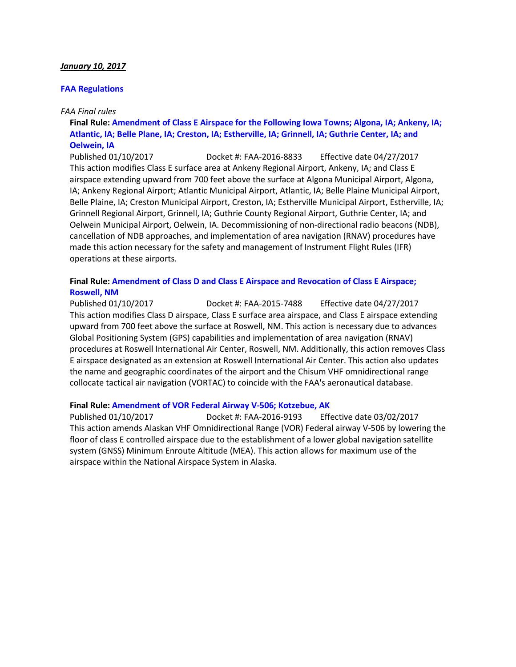### *January 10, 2017*

### **[FAA Regulations](https://www.federalregister.gov/agencies/federal-aviation-administration)**

### *FAA Final rules*

# **Final Rule: [Amendment of Class E Airspace for the Following Iowa Towns; Algona, IA; Ankeny, IA;](https://www.federalregister.gov/documents/2017/01/10/2017-00186/amendment-of-class-e-airspace-for-the-following-iowa-towns-algona-ia-ankeny-ia-atlantic-ia-belle)  [Atlantic, IA; Belle Plane, IA; Creston, IA; Estherville, IA; Grinnell, IA; Guthrie Center, IA; and](https://www.federalregister.gov/documents/2017/01/10/2017-00186/amendment-of-class-e-airspace-for-the-following-iowa-towns-algona-ia-ankeny-ia-atlantic-ia-belle)  [Oelwein, IA](https://www.federalregister.gov/documents/2017/01/10/2017-00186/amendment-of-class-e-airspace-for-the-following-iowa-towns-algona-ia-ankeny-ia-atlantic-ia-belle)**

Published 01/10/2017 Docket #: FAA-2016-8833 Effective date 04/27/2017 This action modifies Class E surface area at Ankeny Regional Airport, Ankeny, IA; and Class E airspace extending upward from 700 feet above the surface at Algona Municipal Airport, Algona, IA; Ankeny Regional Airport; Atlantic Municipal Airport, Atlantic, IA; Belle Plaine Municipal Airport, Belle Plaine, IA; Creston Municipal Airport, Creston, IA; Estherville Municipal Airport, Estherville, IA; Grinnell Regional Airport, Grinnell, IA; Guthrie County Regional Airport, Guthrie Center, IA; and Oelwein Municipal Airport, Oelwein, IA. Decommissioning of non-directional radio beacons (NDB), cancellation of NDB approaches, and implementation of area navigation (RNAV) procedures have made this action necessary for the safety and management of Instrument Flight Rules (IFR) operations at these airports.

### **Final Rule: [Amendment of Class D and Class E Airspace and Revocation of Class E Airspace;](https://www.federalregister.gov/documents/2017/01/10/2017-00184/amendment-of-class-d-and-class-e-airspace-and-revocation-of-class-e-airspace-roswell-nm)  [Roswell, NM](https://www.federalregister.gov/documents/2017/01/10/2017-00184/amendment-of-class-d-and-class-e-airspace-and-revocation-of-class-e-airspace-roswell-nm)**

Published 01/10/2017 Docket #: FAA-2015-7488 Effective date 04/27/2017 This action modifies Class D airspace, Class E surface area airspace, and Class E airspace extending upward from 700 feet above the surface at Roswell, NM. This action is necessary due to advances Global Positioning System (GPS) capabilities and implementation of area navigation (RNAV) procedures at Roswell International Air Center, Roswell, NM. Additionally, this action removes Class E airspace designated as an extension at Roswell International Air Center. This action also updates the name and geographic coordinates of the airport and the Chisum VHF omnidirectional range collocate tactical air navigation (VORTAC) to coincide with the FAA's aeronautical database.

#### **Final Rule: [Amendment of VOR Federal Airway V-506; Kotzebue, AK](https://www.federalregister.gov/documents/2017/01/10/2017-00077/amendment-of-vor-federal-airway-v-506-kotzebue-ak)**

Published 01/10/2017 Docket #: FAA-2016-9193 Effective date 03/02/2017 This action amends Alaskan VHF Omnidirectional Range (VOR) Federal airway V-506 by lowering the floor of class E controlled airspace due to the establishment of a lower global navigation satellite system (GNSS) Minimum Enroute Altitude (MEA). This action allows for maximum use of the airspace within the National Airspace System in Alaska.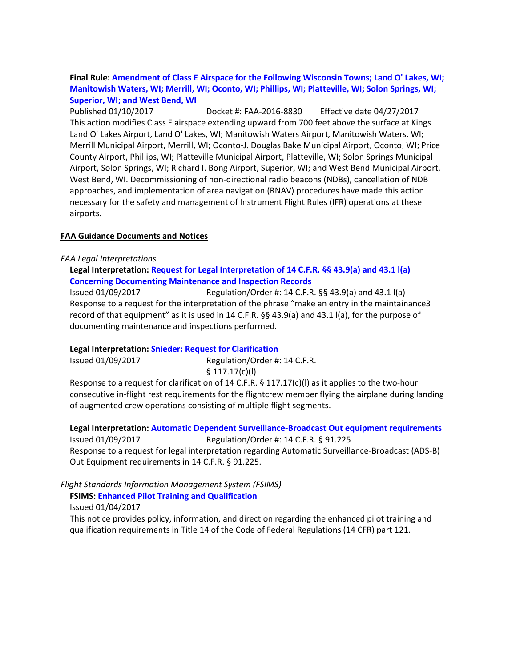# **Final Rule: [Amendment of Class E Airspace for the Following Wisconsin Towns; Land O' Lakes, WI;](https://www.federalregister.gov/documents/2017/01/10/2017-00191/amendment-of-class-e-airspace-for-the-following-wisconsin-towns-land-o-lakes-wi-manitowish-waters-wi)  [Manitowish Waters, WI; Merrill, WI; Oconto, WI; Phillips, WI; Platteville, WI; Solon Springs, WI;](https://www.federalregister.gov/documents/2017/01/10/2017-00191/amendment-of-class-e-airspace-for-the-following-wisconsin-towns-land-o-lakes-wi-manitowish-waters-wi)  [Superior, WI; and West Bend, WI](https://www.federalregister.gov/documents/2017/01/10/2017-00191/amendment-of-class-e-airspace-for-the-following-wisconsin-towns-land-o-lakes-wi-manitowish-waters-wi)**

Published 01/10/2017 Docket #: FAA-2016-8830 Effective date 04/27/2017 This action modifies Class E airspace extending upward from 700 feet above the surface at Kings Land O' Lakes Airport, Land O' Lakes, WI; Manitowish Waters Airport, Manitowish Waters, WI; Merrill Municipal Airport, Merrill, WI; Oconto-J. Douglas Bake Municipal Airport, Oconto, WI; Price County Airport, Phillips, WI; Platteville Municipal Airport, Platteville, WI; Solon Springs Municipal Airport, Solon Springs, WI; Richard I. Bong Airport, Superior, WI; and West Bend Municipal Airport, West Bend, WI. Decommissioning of non-directional radio beacons (NDBs), cancellation of NDB approaches, and implementation of area navigation (RNAV) procedures have made this action necessary for the safety and management of Instrument Flight Rules (IFR) operations at these airports.

### **FAA Guidance Documents and Notices**

#### *FAA Legal Interpretations*

# **Legal Interpretation: [Request for Legal Interpretation of 14 C.F.R. §§ 43.9\(a\) and 43.1 l\(a\)](https://www.faa.gov/about/office_org/headquarters_offices/agc/pol_adjudication/agc200/interpretations/data/interps/2017/Morey%20-%20(2017)%20Legal%20Interpretation.pdf) [Concerning Documenting Maintenance and Inspection Records](https://www.faa.gov/about/office_org/headquarters_offices/agc/pol_adjudication/agc200/interpretations/data/interps/2017/Morey%20-%20(2017)%20Legal%20Interpretation.pdf)**

Issued 01/09/2017 Regulation/Order #: 14 C.F.R. §§ 43.9(a) and 43.1 l(a) Response to a request for the interpretation of the phrase "make an entry in the maintainance3 record of that equipment" as it is used in 14 C.F.R. §§ 43.9(a) and 43.1 l(a), for the purpose of documenting maintenance and inspections performed.

#### **Legal Interpretation: [Snieder: Request for Clarification](http://www.faa.gov/about/office_org/headquarters_offices/agc/pol_adjudication/agc200/interpretations/RIIndex.cfm)**

Issued 01/09/2017 Regulation/Order #: 14 C.F.R. § 117.17(c)(l)

Response to a request for clarification of 14 C.F.R. § 117.17(c)(l) as it applies to the two-hour consecutive in-flight rest requirements for the flightcrew member flying the airplane during landing of augmented crew operations consisting of multiple flight segments.

**Legal Interpretation: [Automatic Dependent Surveillance-Broadcast Out equipment requirements](https://www.faa.gov/about/office_org/headquarters_offices/agc/pol_adjudication/agc200/interpretations/data/interps/2017/Schober%20-%20(2017)%20Legal%20Interpretation.pdf)** Issued 01/09/2017 Regulation/Order #: 14 C.F.R. § 91.225 Response to a request for legal interpretation regarding Automatic Surveillance-Broadcast (ADS-B) Out Equipment requirements in 14 C.F.R. § 91.225.

# *Flight Standards Information Management System (FSIMS)*

**FSIMS: [Enhanced Pilot Training and Qualification](http://fsims.faa.gov/PICDetail.aspx?docId=N%208900.399)**

Issued 01/04/2017

This notice provides policy, information, and direction regarding the enhanced pilot training and qualification requirements in Title 14 of the Code of Federal Regulations (14 CFR) part 121.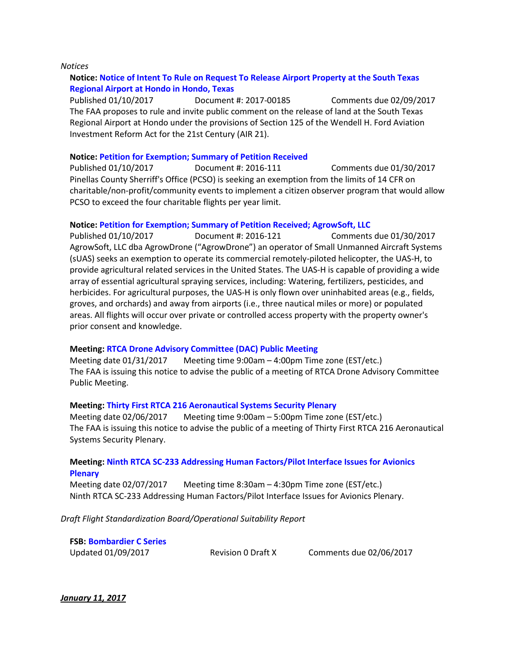#### *Notices*

# **Notice: [Notice of Intent To Rule on Request To Release Airport Property at the South Texas](https://www.federalregister.gov/documents/2017/01/10/2017-00185/notice-of-intent-to-rule-on-request-to-release-airport-property-at-the-south-texas-regional-airport)  [Regional Airport at Hondo in Hondo, Texas](https://www.federalregister.gov/documents/2017/01/10/2017-00185/notice-of-intent-to-rule-on-request-to-release-airport-property-at-the-south-texas-regional-airport)**

Published 01/10/2017 Document #: 2017-00185 Comments due 02/09/2017 The FAA proposes to rule and invite public comment on the release of land at the South Texas Regional Airport at Hondo under the provisions of Section 125 of the Wendell H. Ford Aviation Investment Reform Act for the 21st Century (AIR 21).

#### **Notice: [Petition for Exemption; Summary of Petition Received](https://www.federalregister.gov/documents/2017/01/10/2017-00290/petition-for-exemption-summary-of-petition-received)**

Published 01/10/2017 Document #: 2016-111 Comments due 01/30/2017 Pinellas County Sherriff's Office (PCSO) is seeking an exemption from the limits of 14 CFR on charitable/non-profit/community events to implement a citizen observer program that would allow PCSO to exceed the four charitable flights per year limit.

#### **Notice: [Petition for Exemption; Summary of Petition Received; AgrowSoft, LLC](https://www.federalregister.gov/documents/2017/01/10/2017-00292/petition-for-exemption-summary-of-petition-received-agrowsoft-llc)**

Published 01/10/2017 Document #: 2016-121 Comments due 01/30/2017 AgrowSoft, LLC dba AgrowDrone ("AgrowDrone") an operator of Small Unmanned Aircraft Systems (sUAS) seeks an exemption to operate its commercial remotely-piloted helicopter, the UAS-H, to provide agricultural related services in the United States. The UAS-H is capable of providing a wide array of essential agricultural spraying services, including: Watering, fertilizers, pesticides, and herbicides. For agricultural purposes, the UAS-H is only flown over uninhabited areas (e.g., fields, groves, and orchards) and away from airports (i.e., three nautical miles or more) or populated areas. All flights will occur over private or controlled access property with the property owner's prior consent and knowledge.

#### **Meeting[: RTCA Drone Advisory Committee \(DAC\) Public Meeting](https://www.federalregister.gov/documents/2017/01/10/2017-00291/rtca-drone-advisory-committee-dac-public-meeting)**

Meeting date 01/31/2017 Meeting time 9:00am – 4:00pm Time zone (EST/etc.) The FAA is issuing this notice to advise the public of a meeting of RTCA Drone Advisory Committee Public Meeting.

#### **Meeting[: Thirty First RTCA 216 Aeronautical Systems Security Plenary](https://www.federalregister.gov/documents/2017/01/10/2017-00180/thirty-first-rtca-216-aeronautical-systems-security-plenary)**

Meeting date 02/06/2017 Meeting time 9:00am – 5:00pm Time zone (EST/etc.) The FAA is issuing this notice to advise the public of a meeting of Thirty First RTCA 216 Aeronautical Systems Security Plenary.

#### **Meeting[: Ninth RTCA SC-233 Addressing Human Factors/Pilot Interface Issues for Avionics](https://www.federalregister.gov/documents/2017/01/09/2017-00112/ninth-rtca-sc-233-addressing-human-factorspilot-interface-issues-for-avionics-plenary)  [Plenary](https://www.federalregister.gov/documents/2017/01/09/2017-00112/ninth-rtca-sc-233-addressing-human-factorspilot-interface-issues-for-avionics-plenary)**

Meeting date 02/07/2017 Meeting time 8:30am – 4:30pm Time zone (EST/etc.) Ninth RTCA SC-233 Addressing Human Factors/Pilot Interface Issues for Avionics Plenary.

*Draft Flight Standardization Board/Operational Suitability Report*

**FSB: [Bombardier C Series](https://www.faa.gov/aircraft/draft_docs/fsb/)** Updated 01/09/2017 Revision 0 Draft X Comments due 02/06/2017

*January 11, 2017*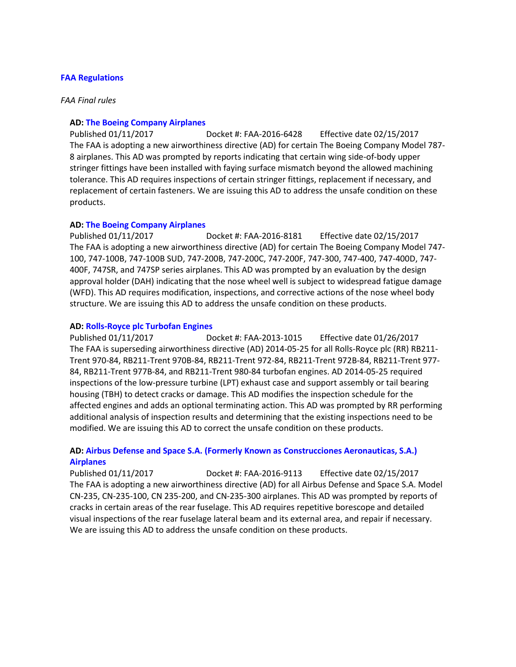### **[FAA Regulations](https://www.federalregister.gov/agencies/federal-aviation-administration)**

#### *FAA Final rules*

#### **AD: [The Boeing Company Airplanes](https://www.federalregister.gov/documents/2017/01/11/2016-31188/airworthiness-directives-the-boeing-company-airplanes)**

Published 01/11/2017 Docket #: FAA-2016-6428 Effective date 02/15/2017 The FAA is adopting a new airworthiness directive (AD) for certain The Boeing Company Model 787- 8 airplanes. This AD was prompted by reports indicating that certain wing side-of-body upper stringer fittings have been installed with faying surface mismatch beyond the allowed machining tolerance. This AD requires inspections of certain stringer fittings, replacement if necessary, and replacement of certain fasteners. We are issuing this AD to address the unsafe condition on these products.

#### **AD: [The Boeing Company Airplanes](https://www.federalregister.gov/documents/2017/01/11/2016-31187/airworthiness-directives-the-boeing-company-airplanes)**

Published 01/11/2017 Docket #: FAA-2016-8181 Effective date 02/15/2017 The FAA is adopting a new airworthiness directive (AD) for certain The Boeing Company Model 747- 100, 747-100B, 747-100B SUD, 747-200B, 747-200C, 747-200F, 747-300, 747-400, 747-400D, 747- 400F, 747SR, and 747SP series airplanes. This AD was prompted by an evaluation by the design approval holder (DAH) indicating that the nose wheel well is subject to widespread fatigue damage (WFD). This AD requires modification, inspections, and corrective actions of the nose wheel body structure. We are issuing this AD to address the unsafe condition on these products.

#### **AD: [Rolls-Royce plc Turbofan Engines](https://www.federalregister.gov/documents/2017/01/11/2017-00398/airworthiness-directives-rolls-royce-plc-turbofan-engines)**

Published 01/11/2017 Docket #: FAA-2013-1015 Effective date 01/26/2017 The FAA is superseding airworthiness directive (AD) 2014-05-25 for all Rolls-Royce plc (RR) RB211- Trent 970-84, RB211-Trent 970B-84, RB211-Trent 972-84, RB211-Trent 972B-84, RB211-Trent 977- 84, RB211-Trent 977B-84, and RB211-Trent 980-84 turbofan engines. AD 2014-05-25 required inspections of the low-pressure turbine (LPT) exhaust case and support assembly or tail bearing housing (TBH) to detect cracks or damage. This AD modifies the inspection schedule for the affected engines and adds an optional terminating action. This AD was prompted by RR performing additional analysis of inspection results and determining that the existing inspections need to be modified. We are issuing this AD to correct the unsafe condition on these products.

# **AD: [Airbus Defense and Space S.A. \(Formerly Known as Construcciones Aeronauticas, S.A.\)](https://www.federalregister.gov/documents/2017/01/11/2016-31958/airworthiness-directives-airbus-defense-and-space-sa-formerly-known-as-construcciones-aeronauticas)  [Airplanes](https://www.federalregister.gov/documents/2017/01/11/2016-31958/airworthiness-directives-airbus-defense-and-space-sa-formerly-known-as-construcciones-aeronauticas)**

Published 01/11/2017 Docket #: FAA-2016-9113 Effective date 02/15/2017 The FAA is adopting a new airworthiness directive (AD) for all Airbus Defense and Space S.A. Model CN-235, CN-235-100, CN 235-200, and CN-235-300 airplanes. This AD was prompted by reports of cracks in certain areas of the rear fuselage. This AD requires repetitive borescope and detailed visual inspections of the rear fuselage lateral beam and its external area, and repair if necessary. We are issuing this AD to address the unsafe condition on these products.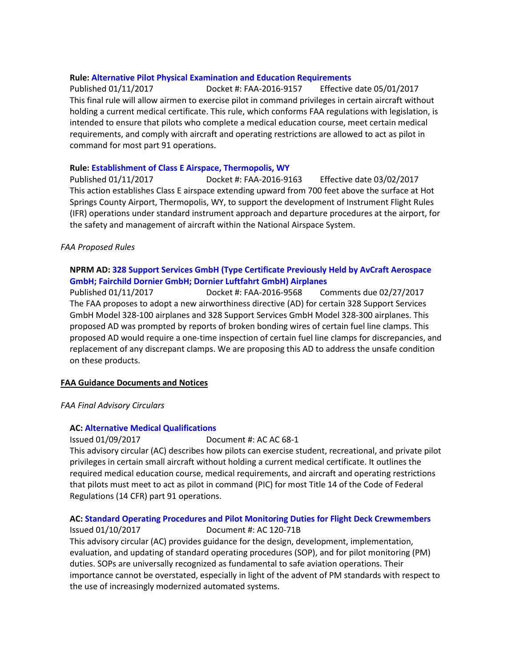### **Rule: Alternative Pilot Physical [Examination and Education Requirements](https://www.federalregister.gov/documents/2017/01/11/2016-31602/alternative-pilot-physical-examination-and-education-requirements)**

Published 01/11/2017 Docket #: FAA-2016-9157 Effective date 05/01/2017 This final rule will allow airmen to exercise pilot in command privileges in certain aircraft without holding a current medical certificate. This rule, which conforms FAA regulations with legislation, is intended to ensure that pilots who complete a medical education course, meet certain medical requirements, and comply with aircraft and operating restrictions are allowed to act as pilot in command for most part 91 operations.

### **Rule[: Establishment of Class E Airspace, Thermopolis, WY](https://www.federalregister.gov/documents/2017/01/11/2017-00288/establishment-of-class-e-airspace-thermopolis-wy)**

Published 01/11/2017 Docket #: FAA-2016-9163 Effective date 03/02/2017 This action establishes Class E airspace extending upward from 700 feet above the surface at Hot Springs County Airport, Thermopolis, WY, to support the development of Instrument Flight Rules (IFR) operations under standard instrument approach and departure procedures at the airport, for the safety and management of aircraft within the National Airspace System.

### *FAA Proposed Rules*

# **NPRM AD: [328 Support Services GmbH \(Type Certificate Previously Held by AvCraft Aerospace](https://www.federalregister.gov/documents/2017/01/11/2016-31965/airworthiness-directives-328-support-services-gmbh-type-certificate-previously-held-by-avcraft)  [GmbH; Fairchild Dornier GmbH; Dornier Luftfahrt GmbH\) Airplanes](https://www.federalregister.gov/documents/2017/01/11/2016-31965/airworthiness-directives-328-support-services-gmbh-type-certificate-previously-held-by-avcraft)**

Published 01/11/2017 Docket #: FAA-2016-9568 Comments due 02/27/2017 The FAA proposes to adopt a new airworthiness directive (AD) for certain 328 Support Services GmbH Model 328-100 airplanes and 328 Support Services GmbH Model 328-300 airplanes. This proposed AD was prompted by reports of broken bonding wires of certain fuel line clamps. This proposed AD would require a one-time inspection of certain fuel line clamps for discrepancies, and replacement of any discrepant clamps. We are proposing this AD to address the unsafe condition on these products.

# **FAA Guidance Documents and Notices**

*FAA Final Advisory Circulars*

# **AC: [Alternative Medical Qualifications](https://www.faa.gov/regulations_policies/advisory_circulars/index.cfm/go/document.information/documentID/1030196)**

Issued 01/09/2017 Document #: AC AC 68-1

This advisory circular (AC) describes how pilots can exercise student, recreational, and private pilot privileges in certain small aircraft without holding a current medical certificate. It outlines the required medical education course, medical requirements, and aircraft and operating restrictions that pilots must meet to act as pilot in command (PIC) for most Title 14 of the Code of Federal Regulations (14 CFR) part 91 operations.

# **AC: [Standard Operating Procedures and Pilot Monitoring Duties for Flight Deck Crewmembers](https://www.faa.gov/regulations_policies/advisory_circulars/index.cfm/go/document.information/documentID/1030486)**

Issued 01/10/2017 Document #: AC 120-71B This advisory circular (AC) provides guidance for the design, development, implementation, evaluation, and updating of standard operating procedures (SOP), and for pilot monitoring (PM)

duties. SOPs are universally recognized as fundamental to safe aviation operations. Their importance cannot be overstated, especially in light of the advent of PM standards with respect to the use of increasingly modernized automated systems.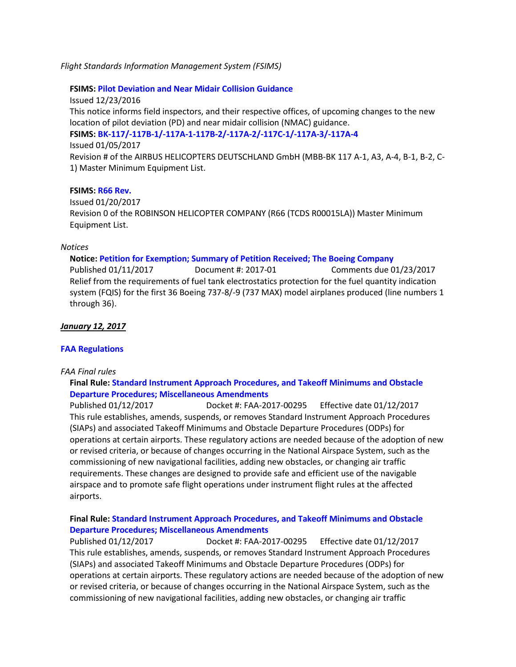*Flight Standards Information Management System (FSIMS)*

**FSIMS: [Pilot Deviation and Near Midair Collision Guidance](http://fsims.faa.gov/PICDetail.aspx?docId=N%208900.397)**

Issued 12/23/2016 This notice informs field inspectors, and their respective offices, of upcoming changes to the new location of pilot deviation (PD) and near midair collision (NMAC) guidance. **FSIMS: [BK-117/-117B-1/-117A-1-117B-2/-117A-2/-117C-1/-117A-3/-117A-4](http://fsims.faa.gov/PICDetail.aspx?docId=M%20BK-117%20R8)** Issued 01/05/2017 Revision # of the AIRBUS HELICOPTERS DEUTSCHLAND GmbH (MBB-BK 117 A-1, A3, A-4, B-1, B-2, C-

#### **FSIMS: [R66 Rev.](http://fsims.faa.gov/PICDetail.aspx?docId=M%20R66%20R0)**

1) Master Minimum Equipment List.

Issued 01/20/2017 Revision 0 of the ROBINSON HELICOPTER COMPANY (R66 (TCDS R00015LA)) Master Minimum Equipment List.

#### *Notices*

#### **Notice: [Petition for Exemption; Summary of Petition Received; The Boeing Company](https://www.federalregister.gov/documents/2017/01/11/2017-00394/petition-for-exemption-summary-of-petition-received-the-boeing-company)**

Published 01/11/2017 Document #: 2017-01 Comments due 01/23/2017 Relief from the requirements of fuel tank electrostatics protection for the fuel quantity indication system (FQIS) for the first 36 Boeing 737-8/-9 (737 MAX) model airplanes produced (line numbers 1 through 36).

#### *January 12, 2017*

#### **[FAA Regulations](https://www.federalregister.gov/agencies/federal-aviation-administration)**

#### *FAA Final rules*

### **Final Rule: [Standard Instrument Approach Procedures, and Takeoff Minimums and Obstacle](https://www.federalregister.gov/documents/2017/01/12/2017-00295/standard-instrument-approach-procedures-and-takeoff-minimums-and-obstacle-departure-procedures)  [Departure Procedures; Miscellaneous Amendments](https://www.federalregister.gov/documents/2017/01/12/2017-00295/standard-instrument-approach-procedures-and-takeoff-minimums-and-obstacle-departure-procedures)**

Published 01/12/2017 Docket #: FAA-2017-00295 Effective date 01/12/2017 This rule establishes, amends, suspends, or removes Standard Instrument Approach Procedures (SIAPs) and associated Takeoff Minimums and Obstacle Departure Procedures (ODPs) for operations at certain airports. These regulatory actions are needed because of the adoption of new or revised criteria, or because of changes occurring in the National Airspace System, such as the commissioning of new navigational facilities, adding new obstacles, or changing air traffic requirements. These changes are designed to provide safe and efficient use of the navigable airspace and to promote safe flight operations under instrument flight rules at the affected airports.

# **Final Rule: [Standard Instrument Approach Procedures, and Takeoff Minimums and Obstacle](https://www.federalregister.gov/documents/2017/01/12/2017-00295/standard-instrument-approach-procedures-and-takeoff-minimums-and-obstacle-departure-procedures)  [Departure Procedures; Miscellaneous Amendments](https://www.federalregister.gov/documents/2017/01/12/2017-00295/standard-instrument-approach-procedures-and-takeoff-minimums-and-obstacle-departure-procedures)**

Published 01/12/2017 Docket #: FAA-2017-00295 Effective date 01/12/2017 This rule establishes, amends, suspends, or removes Standard Instrument Approach Procedures (SIAPs) and associated Takeoff Minimums and Obstacle Departure Procedures (ODPs) for operations at certain airports. These regulatory actions are needed because of the adoption of new or revised criteria, or because of changes occurring in the National Airspace System, such as the commissioning of new navigational facilities, adding new obstacles, or changing air traffic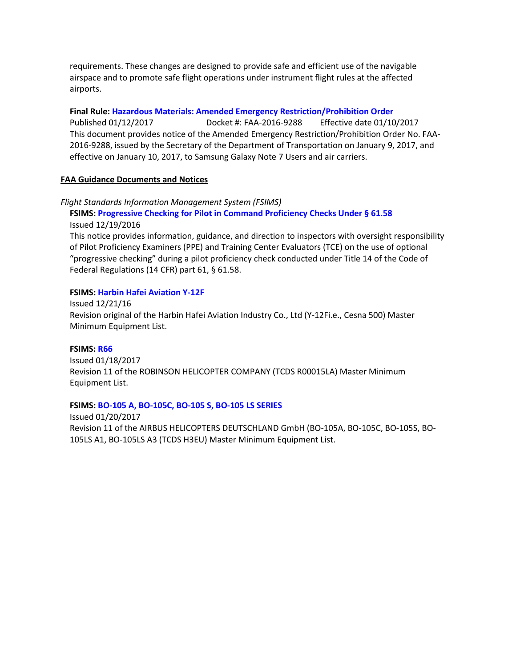requirements. These changes are designed to provide safe and efficient use of the navigable airspace and to promote safe flight operations under instrument flight rules at the affected airports.

**Final Rule: [Hazardous Materials: Amended Emergency Restriction/Prohibition Order](https://www.federalregister.gov/documents/2017/01/12/2017-00555/hazardous-materials-amended-emergency-restrictionprohibition-order)**

Published 01/12/2017 Docket #: FAA-2016-9288 Effective date 01/10/2017 This document provides notice of the Amended Emergency Restriction/Prohibition Order No. FAA-2016-9288, issued by the Secretary of the Department of Transportation on January 9, 2017, and effective on January 10, 2017, to Samsung Galaxy Note 7 Users and air carriers.

### **FAA Guidance Documents and Notices**

#### *Flight Standards Information Management System (FSIMS)*

**FSIMS: [Progressive Checking for Pilot in Command Proficiency Checks Under § 61.58](http://fsims.faa.gov/PICDetail.aspx?docId=N%208900.396)** Issued 12/19/2016

This notice provides information, guidance, and direction to inspectors with oversight responsibility of Pilot Proficiency Examiners (PPE) and Training Center Evaluators (TCE) on the use of optional "progressive checking" during a pilot proficiency check conducted under Title 14 of the Code of Federal Regulations (14 CFR) part 61, § 61.58.

### **FSIMS: [Harbin Hafei Aviation Y-12F](http://fsims.faa.gov/PICDetail.aspx?docId=FSB%20Y-12F%20R0)**

Issued 12/21/16 Revision original of the Harbin Hafei Aviation Industry Co., Ltd (Y-12Fi.e., Cesna 500) Master Minimum Equipment List.

#### **FSIMS: [R66](http://fsims.faa.gov/PICDetail.aspx?docId=M%20R66%20R0)**

Issued 01/18/2017 Revision 11 of the ROBINSON HELICOPTER COMPANY (TCDS R00015LA) Master Minimum Equipment List.

#### **FSIMS: [BO-105 A, BO-105C, BO-105 S, BO-105 LS SERIES](http://fsims.faa.gov/PICDetail.aspx?docId=M%20BO-105A%20R11)**

Issued 01/20/2017 Revision 11 of the AIRBUS HELICOPTERS DEUTSCHLAND GmbH (BO-105A, BO-105C, BO-105S, BO-105LS A1, BO-105LS A3 (TCDS H3EU) Master Minimum Equipment List.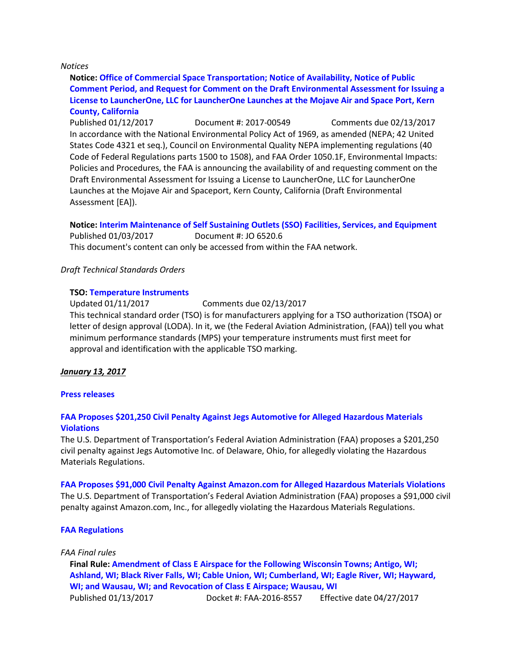#### *Notices*

**Notice: [Office of Commercial Space Transportation; Notice of Availability, Notice of Public](https://www.federalregister.gov/documents/2017/01/12/2017-00549/office-of-commercial-space-transportation-notice-of-availability-notice-of-public-comment-period-and)  [Comment Period, and Request for Comment on the Draft Environmental Assessment for Issuing a](https://www.federalregister.gov/documents/2017/01/12/2017-00549/office-of-commercial-space-transportation-notice-of-availability-notice-of-public-comment-period-and)  [License to LauncherOne, LLC for LauncherOne Launches at the Mojave Air and Space Port, Kern](https://www.federalregister.gov/documents/2017/01/12/2017-00549/office-of-commercial-space-transportation-notice-of-availability-notice-of-public-comment-period-and)  [County, California](https://www.federalregister.gov/documents/2017/01/12/2017-00549/office-of-commercial-space-transportation-notice-of-availability-notice-of-public-comment-period-and)**

Published 01/12/2017 Document #: 2017-00549 Comments due 02/13/2017 In accordance with the National Environmental Policy Act of 1969, as amended (NEPA; 42 United States Code 4321 et seq.), Council on Environmental Quality NEPA implementing regulations (40 Code of Federal Regulations parts 1500 to 1508), and FAA Order 1050.1F, Environmental Impacts: Policies and Procedures, the FAA is announcing the availability of and requesting comment on the Draft Environmental Assessment for Issuing a License to LauncherOne, LLC for LauncherOne Launches at the Mojave Air and Spaceport, Kern County, California (Draft Environmental Assessment [EA]).

# **Notice: [Interim Maintenance of Self Sustaining Outlets \(SSO\) Facilities, Services, and Equipment](https://www.faa.gov/regulations_policies/orders_notices/index.cfm/go/document.information/documentID/1030470)**

Published 01/03/2017 Document #: JO 6520.6 This document's content can only be accessed from within the FAA network.

#### *Draft Technical Standards Orders*

#### **TSO: [Temperature Instruments](https://www.faa.gov/aircraft/draft_docs/media/TSO_C43d.pdf)**

Updated 01/11/2017 Comments due 02/13/2017 This technical standard order (TSO) is for manufacturers applying for a TSO authorization (TSOA) or letter of design approval (LODA). In it, we (the Federal Aviation Administration, (FAA)) tell you what minimum performance standards (MPS) your temperature instruments must first meet for

approval and identification with the applicable TSO marking.

#### *January 13, 2017*

#### **[Press releases](http://www.faa.gov/news/press_releases/)**

### **[FAA Proposes \\$201,250 Civil Penalty Against Jegs Automotive for Alleged Hazardous Materials](https://www.faa.gov/news/press_releases/news_story.cfm?newsId=21355)  [Violations](https://www.faa.gov/news/press_releases/news_story.cfm?newsId=21355)**

The U.S. Department of Transportation's Federal Aviation Administration (FAA) proposes a \$201,250 civil penalty against Jegs Automotive Inc. of Delaware, Ohio, for allegedly violating the Hazardous Materials Regulations.

#### **[FAA Proposes \\$91,000 Civil Penalty Against Amazon.com for Alleged Hazardous Materials Violations](https://www.faa.gov/news/press_releases/news_story.cfm?newsId=21354)**

The U.S. Department of Transportation's Federal Aviation Administration (FAA) proposes a \$91,000 civil penalty against Amazon.com, Inc., for allegedly violating the Hazardous Materials Regulations.

#### **[FAA Regulations](https://www.federalregister.gov/agencies/federal-aviation-administration)**

### *FAA Final rules*

**Final Rule: [Amendment of Class E Airspace for the Following Wisconsin Towns; Antigo, WI;](https://www.federalregister.gov/documents/2017/01/13/2017-00287/amendment-of-class-e-airspace-for-the-following-wisconsin-towns-antigo-wi-ashland-wi-black-river)  [Ashland, WI; Black River Falls, WI; Cable Union, WI; Cumberland, WI; Eagle River, WI; Hayward,](https://www.federalregister.gov/documents/2017/01/13/2017-00287/amendment-of-class-e-airspace-for-the-following-wisconsin-towns-antigo-wi-ashland-wi-black-river)  [WI; and Wausau, WI; and Revocation of Class E Airspace; Wausau, WI](https://www.federalregister.gov/documents/2017/01/13/2017-00287/amendment-of-class-e-airspace-for-the-following-wisconsin-towns-antigo-wi-ashland-wi-black-river)** Published 01/13/2017 Docket #: FAA-2016-8557 Effective date 04/27/2017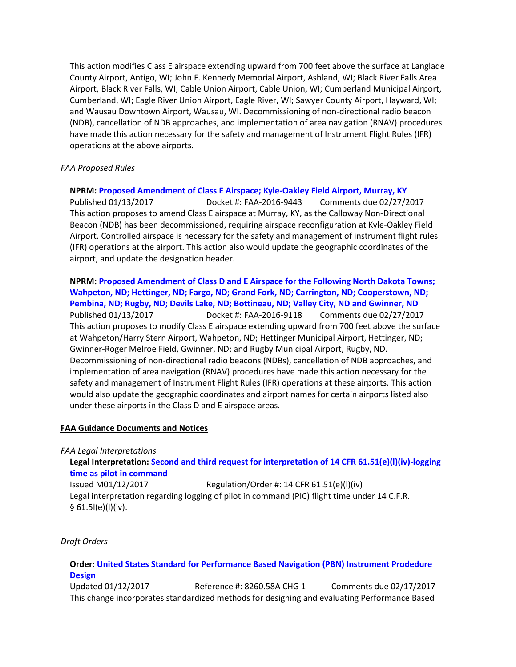This action modifies Class E airspace extending upward from 700 feet above the surface at Langlade County Airport, Antigo, WI; John F. Kennedy Memorial Airport, Ashland, WI; Black River Falls Area Airport, Black River Falls, WI; Cable Union Airport, Cable Union, WI; Cumberland Municipal Airport, Cumberland, WI; Eagle River Union Airport, Eagle River, WI; Sawyer County Airport, Hayward, WI; and Wausau Downtown Airport, Wausau, WI. Decommissioning of non-directional radio beacon (NDB), cancellation of NDB approaches, and implementation of area navigation (RNAV) procedures have made this action necessary for the safety and management of Instrument Flight Rules (IFR) operations at the above airports.

# *FAA Proposed Rules*

**NPRM: [Proposed Amendment of Class E Airspace; Kyle-Oakley Field Airport, Murray, KY](https://www.federalregister.gov/documents/2017/01/13/2017-00284/proposed-amendment-of-class-e-airspace-kyle-oakley-field-airport-murray-ky)** Published 01/13/2017 Docket #: FAA-2016-9443 Comments due 02/27/2017 This action proposes to amend Class E airspace at Murray, KY, as the Calloway Non-Directional Beacon (NDB) has been decommissioned, requiring airspace reconfiguration at Kyle-Oakley Field Airport. Controlled airspace is necessary for the safety and management of instrument flight rules (IFR) operations at the airport. This action also would update the geographic coordinates of the airport, and update the designation header.

**NPRM: [Proposed Amendment of Class D and E Airspace for the Following North Dakota Towns;](https://www.federalregister.gov/documents/2017/01/13/2017-00286/proposed-amendment-of-class-d-and-e-airspace-for-the-following-north-dakota-towns-wahpeton-nd)  [Wahpeton, ND; Hettinger, ND; Fargo, ND; Grand Fork, ND; Carrington, ND; Cooperstown, ND;](https://www.federalregister.gov/documents/2017/01/13/2017-00286/proposed-amendment-of-class-d-and-e-airspace-for-the-following-north-dakota-towns-wahpeton-nd)  [Pembina, ND; Rugby, ND; Devils Lake, ND; Bottineau, ND; Valley City, ND and Gwinner, ND](https://www.federalregister.gov/documents/2017/01/13/2017-00286/proposed-amendment-of-class-d-and-e-airspace-for-the-following-north-dakota-towns-wahpeton-nd)** Published 01/13/2017 Docket #: FAA-2016-9118 Comments due 02/27/2017 This action proposes to modify Class E airspace extending upward from 700 feet above the surface at Wahpeton/Harry Stern Airport, Wahpeton, ND; Hettinger Municipal Airport, Hettinger, ND; Gwinner-Roger Melroe Field, Gwinner, ND; and Rugby Municipal Airport, Rugby, ND. Decommissioning of non-directional radio beacons (NDBs), cancellation of NDB approaches, and implementation of area navigation (RNAV) procedures have made this action necessary for the safety and management of Instrument Flight Rules (IFR) operations at these airports. This action would also update the geographic coordinates and airport names for certain airports listed also under these airports in the Class D and E airspace areas.

#### **FAA Guidance Documents and Notices**

*FAA Legal Interpretations*

**Legal Interpretation: [Second and third request for interpretation of 14](https://www.faa.gov/about/office_org/headquarters_offices/agc/pol_adjudication/agc200/interpretations/data/interps/2017/Dick_2%20-%20(2017)%20Legal%20Interpretation.pdf) CFR 61.51(e)(l)(iv)-logging [time as pilot in command](https://www.faa.gov/about/office_org/headquarters_offices/agc/pol_adjudication/agc200/interpretations/data/interps/2017/Dick_2%20-%20(2017)%20Legal%20Interpretation.pdf)**

Issued M01/12/2017 Regulation/Order #: 14 CFR 61.51(e)(l)(iv) Legal interpretation regarding logging of pilot in command (PIC) flight time under 14 C.F.R.  $§ 61.5I(e)(I)(iv).$ 

*Draft Orders*

# **Order: [United States Standard for Performance Based Navigation \(PBN\) Instrument Prodedure](http://www.faa.gov/aircraft/draft_docs/afs_orders/)  [Design](http://www.faa.gov/aircraft/draft_docs/afs_orders/)**

Updated 01/12/2017 Reference #: 8260.58A CHG 1 Comments due 02/17/2017 This change incorporates standardized methods for designing and evaluating Performance Based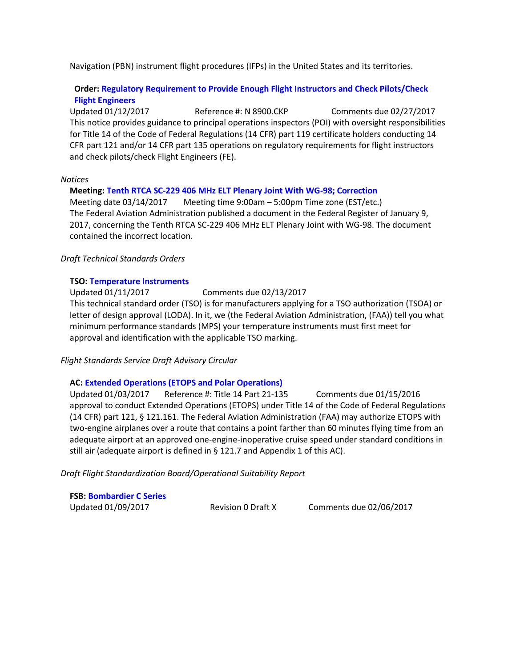Navigation (PBN) instrument flight procedures (IFPs) in the United States and its territories.

# **Order[: Regulatory Requirement to Provide Enough Flight Instructors and Check Pilots/Check](https://www.faa.gov/aircraft/draft_docs/media/AFS/N_8900.CKP_Coord_Copy.pdf)  [Flight Engineers](https://www.faa.gov/aircraft/draft_docs/media/AFS/N_8900.CKP_Coord_Copy.pdf)**

Updated 01/12/2017 Reference #: N 8900.CKP Comments due 02/27/2017 This notice provides guidance to principal operations inspectors (POI) with oversight responsibilities for Title 14 of the Code of Federal Regulations (14 CFR) part 119 certificate holders conducting 14 CFR part 121 and/or 14 CFR part 135 operations on regulatory requirements for flight instructors and check pilots/check Flight Engineers (FE).

#### *Notices*

#### **Meeting[: Tenth RTCA SC-229 406 MHz ELT Plenary Joint With WG-98; Correction](https://www.federalregister.gov/documents/2017/01/13/2017-00699/tenth-rtca-sc-229-406-mhz-elt-plenary-joint-with-wg-98-correction)**

Meeting date 03/14/2017 Meeting time 9:00am – 5:00pm Time zone (EST/etc.) The Federal Aviation Administration published a document in the Federal Register of January 9, 2017, concerning the Tenth RTCA SC-229 406 MHz ELT Plenary Joint with WG-98. The document contained the incorrect location.

### *Draft Technical Standards Orders*

#### **TSO: [Temperature Instruments](https://www.faa.gov/aircraft/draft_docs/media/TSO_C43d.pdf)**

Updated 01/11/2017 Comments due 02/13/2017 This technical standard order (TSO) is for manufacturers applying for a TSO authorization (TSOA) or letter of design approval (LODA). In it, we (the Federal Aviation Administration, (FAA)) tell you what minimum performance standards (MPS) your temperature instruments must first meet for approval and identification with the applicable TSO marking.

*Flight Standards Service Draft Advisory Circular*

# **AC: [Extended Operations \(ETOPS and Polar Operations\)](https://www.faa.gov/aircraft/draft_docs/media/AFS/AC_120-42C_Coord_Copy.pdf)**

Updated 01/03/2017 Reference #: Title 14 Part 21-135 Comments due 01/15/2016 approval to conduct Extended Operations (ETOPS) under Title 14 of the Code of Federal Regulations (14 CFR) part 121, § 121.161. The Federal Aviation Administration (FAA) may authorize ETOPS with two-engine airplanes over a route that contains a point farther than 60 minutes flying time from an adequate airport at an approved one-engine-inoperative cruise speed under standard conditions in still air (adequate airport is defined in § 121.7 and Appendix 1 of this AC).

*Draft Flight Standardization Board/Operational Suitability Report*

**FSB[: Bombardier C Series](https://www.faa.gov/aircraft/draft_docs/fsb/)**

Updated 01/09/2017 Revision 0 Draft X Comments due 02/06/2017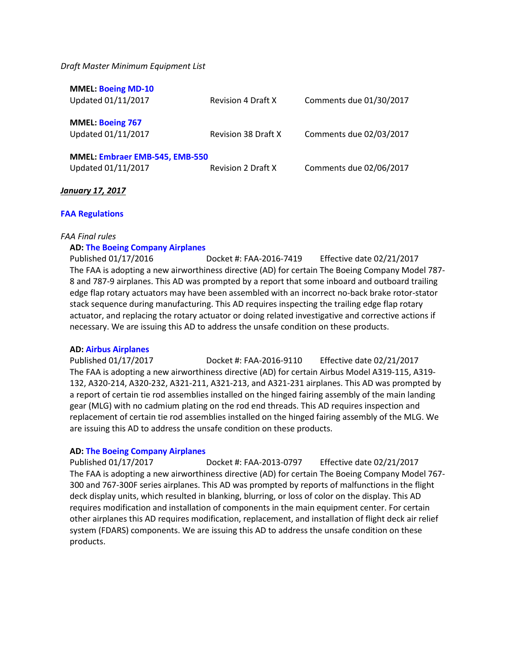#### *Draft Master Minimum Equipment List*

| <b>MMEL: Boeing MD-10</b>      |                            |                         |
|--------------------------------|----------------------------|-------------------------|
| Updated 01/11/2017             | <b>Revision 4 Draft X</b>  | Comments due 01/30/2017 |
|                                |                            |                         |
|                                |                            |                         |
| <b>MMEL: Boeing 767</b>        |                            |                         |
| Updated 01/11/2017             | <b>Revision 38 Draft X</b> | Comments due 02/03/2017 |
|                                |                            |                         |
| MMEL: Embraer EMB-545, EMB-550 |                            |                         |
|                                |                            |                         |
| Updated 01/11/2017             | <b>Revision 2 Draft X</b>  | Comments due 02/06/2017 |
|                                |                            |                         |

### *January 17, 2017*

### **[FAA Regulations](https://www.federalregister.gov/agencies/federal-aviation-administration)**

#### *FAA Final rules*

### **AD: [The Boeing Company Airplanes](https://www.federalregister.gov/documents/2017/01/17/2016-31959/airworthiness-directives-the-boeing-company-airplanes)**

Published 01/17/2016 Docket #: FAA-2016-7419 Effective date 02/21/2017 The FAA is adopting a new airworthiness directive (AD) for certain The Boeing Company Model 787- 8 and 787-9 airplanes. This AD was prompted by a report that some inboard and outboard trailing edge flap rotary actuators may have been assembled with an incorrect no-back brake rotor-stator stack sequence during manufacturing. This AD requires inspecting the trailing edge flap rotary actuator, and replacing the rotary actuator or doing related investigative and corrective actions if necessary. We are issuing this AD to address the unsafe condition on these products.

#### **AD: [Airbus Airplanes](https://www.federalregister.gov/documents/2017/01/17/2016-31961/airworthiness-directives-airbus-airplanes)**

Published 01/17/2017 Docket #: FAA-2016-9110 Effective date 02/21/2017 The FAA is adopting a new airworthiness directive (AD) for certain Airbus Model A319-115, A319- 132, A320-214, A320-232, A321-211, A321-213, and A321-231 airplanes. This AD was prompted by a report of certain tie rod assemblies installed on the hinged fairing assembly of the main landing gear (MLG) with no cadmium plating on the rod end threads. This AD requires inspection and replacement of certain tie rod assemblies installed on the hinged fairing assembly of the MLG. We are issuing this AD to address the unsafe condition on these products.

#### **AD: [The Boeing Company Airplanes](https://www.federalregister.gov/documents/2017/01/17/2017-00115/airworthiness-directives-the-boeing-company-airplanes)**

Published 01/17/2017 Docket #: FAA-2013-0797 Effective date 02/21/2017 The FAA is adopting a new airworthiness directive (AD) for certain The Boeing Company Model 767- 300 and 767-300F series airplanes. This AD was prompted by reports of malfunctions in the flight deck display units, which resulted in blanking, blurring, or loss of color on the display. This AD requires modification and installation of components in the main equipment center. For certain other airplanes this AD requires modification, replacement, and installation of flight deck air relief system (FDARS) components. We are issuing this AD to address the unsafe condition on these products.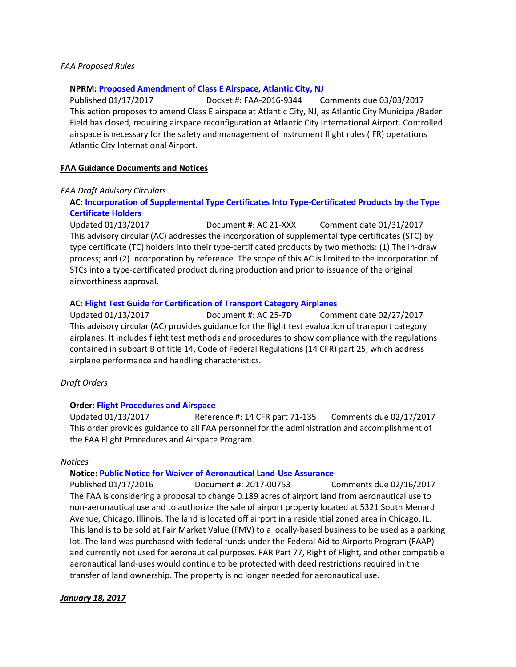#### *FAA Proposed Rules*

#### **NPRM: [Proposed Amendment of Class E Airspace, Atlantic City, NJ](https://www.federalregister.gov/documents/2017/01/17/2017-00302/proposed-amendment-of-class-e-airspace-atlantic-city-nj)**

Published 01/17/2017 Docket #: FAA-2016-9344 Comments due 03/03/2017 This action proposes to amend Class E airspace at Atlantic City, NJ, as Atlantic City Municipal/Bader Field has closed, requiring airspace reconfiguration at Atlantic City International Airport. Controlled airspace is necessary for the safety and management of instrument flight rules (IFR) operations Atlantic City International Airport.

#### **FAA Guidance Documents and Notices**

#### *FAA Draft Advisory Circulars*

# **AC: [Incorporation of Supplemental Type Certificates Into Type-Certificated Products by the Type](https://www.faa.gov/aircraft/draft_docs/media/AC_21-XXX.pdf)  [Certificate Holders](https://www.faa.gov/aircraft/draft_docs/media/AC_21-XXX.pdf)**

Updated 01/13/2017 Document #: AC 21-XXX Comment date 01/31/2017 This advisory circular (AC) addresses the incorporation of supplemental type certificates (STC) by type certificate (TC) holders into their type-certificated products by two methods: (1) The in-draw process; and (2) Incorporation by reference. The scope of this AC is limited to the incorporation of STCs into a type-certificated product during production and prior to issuance of the original airworthiness approval.

#### **AC: [Flight Test Guide for Certification of Transport Category Airplanes](https://www.faa.gov/aircraft/draft_docs/ac/)**

Updated 01/13/2017 Document #: AC 25-7D Comment date 02/27/2017 This advisory circular (AC) provides guidance for the flight test evaluation of transport category airplanes. It includes flight test methods and procedures to show compliance with the regulations contained in subpart B of title 14, Code of Federal Regulations (14 CFR) part 25, which address airplane performance and handling characteristics.

#### *Draft Orders*

#### **Order: [Flight Procedures and Airspace](https://www.faa.gov/aircraft/draft_docs/media/AFS/Order_8260.19H_Formal.pdf)**

Updated 01/13/2017 Reference #: 14 CFR part 71-135 Comments due 02/17/2017 This order provides guidance to all FAA personnel for the administration and accomplishment of the FAA Flight Procedures and Airspace Program.

#### *Notices*

#### **Notice: [Public Notice for Waiver of Aeronautical Land-Use Assurance](https://www.federalregister.gov/documents/2017/01/17/2017-00753/public-notice-for-waiver-of-aeronautical-land-use-assurance)**

Published 01/17/2016 Document #: 2017-00753 Comments due 02/16/2017 The FAA is considering a proposal to change 0.189 acres of airport land from aeronautical use to non-aeronautical use and to authorize the sale of airport property located at 5321 South Menard Avenue, Chicago, Illinois. The land is located off airport in a residential zoned area in Chicago, IL. This land is to be sold at Fair Market Value (FMV) to a locally-based business to be used as a parking lot. The land was purchased with federal funds under the Federal Aid to Airports Program (FAAP) and currently not used for aeronautical purposes. FAR Part 77, Right of Flight, and other compatible aeronautical land-uses would continue to be protected with deed restrictions required in the transfer of land ownership. The property is no longer needed for aeronautical use.

#### *January 18, 2017*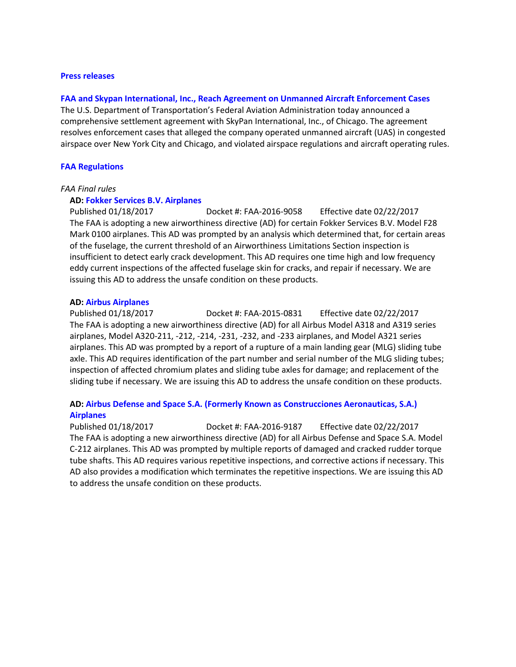#### **[Press releases](http://www.faa.gov/news/press_releases/)**

#### **[FAA and Skypan International, Inc., Reach Agreement on Unmanned Aircraft Enforcement Cases](https://www.faa.gov/news/press_releases/news_story.cfm?newsId=21374)**

The U.S. Department of Transportation's Federal Aviation Administration today announced a comprehensive settlement agreement with SkyPan International, Inc., of Chicago. The agreement resolves enforcement cases that alleged the company operated unmanned aircraft (UAS) in congested airspace over New York City and Chicago, and violated airspace regulations and aircraft operating rules.

#### **[FAA Regulations](https://www.federalregister.gov/agencies/federal-aviation-administration)**

#### *FAA Final rules*

#### **AD: [Fokker Services B.V. Airplanes](https://www.federalregister.gov/documents/2017/01/18/2017-00410/airworthiness-directives-fokker-services-bv-airplanes)**

Published 01/18/2017 Docket #: FAA-2016-9058 Effective date 02/22/2017 The FAA is adopting a new airworthiness directive (AD) for certain Fokker Services B.V. Model F28 Mark 0100 airplanes. This AD was prompted by an analysis which determined that, for certain areas of the fuselage, the current threshold of an Airworthiness Limitations Section inspection is insufficient to detect early crack development. This AD requires one time high and low frequency eddy current inspections of the affected fuselage skin for cracks, and repair if necessary. We are issuing this AD to address the unsafe condition on these products.

#### **AD: [Airbus Airplanes](https://www.federalregister.gov/documents/2017/01/18/2017-00408/airworthiness-directives-airbus-airplanes)**

Published 01/18/2017 Docket #: FAA-2015-0831 Effective date 02/22/2017 The FAA is adopting a new airworthiness directive (AD) for all Airbus Model A318 and A319 series airplanes, Model A320-211, -212, -214, -231, -232, and -233 airplanes, and Model A321 series airplanes. This AD was prompted by a report of a rupture of a main landing gear (MLG) sliding tube axle. This AD requires identification of the part number and serial number of the MLG sliding tubes; inspection of affected chromium plates and sliding tube axles for damage; and replacement of the sliding tube if necessary. We are issuing this AD to address the unsafe condition on these products.

# **AD: [Airbus Defense and Space S.A. \(Formerly Known as Construcciones Aeronauticas, S.A.\)](https://www.federalregister.gov/documents/2017/01/18/2017-00407/airworthiness-directives-airbus-defense-and-space-sa-formerly-known-as-construcciones-aeronauticas)  [Airplanes](https://www.federalregister.gov/documents/2017/01/18/2017-00407/airworthiness-directives-airbus-defense-and-space-sa-formerly-known-as-construcciones-aeronauticas)**

Published 01/18/2017 Docket #: FAA-2016-9187 Effective date 02/22/2017 The FAA is adopting a new airworthiness directive (AD) for all Airbus Defense and Space S.A. Model C-212 airplanes. This AD was prompted by multiple reports of damaged and cracked rudder torque tube shafts. This AD requires various repetitive inspections, and corrective actions if necessary. This AD also provides a modification which terminates the repetitive inspections. We are issuing this AD to address the unsafe condition on these products.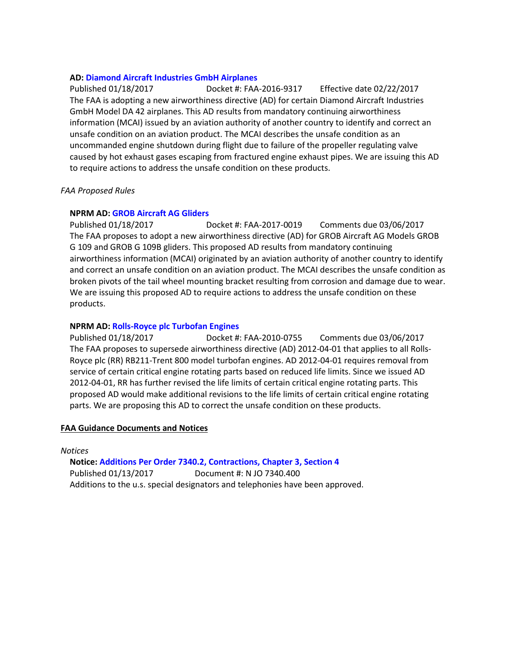### **AD: [Diamond Aircraft Industries GmbH Airplanes](https://www.federalregister.gov/documents/2017/01/18/2017-00502/airworthiness-directives-diamond-aircraft-industries-gmbh-airplanes)**

Published 01/18/2017 Docket #: FAA-2016-9317 Effective date 02/22/2017 The FAA is adopting a new airworthiness directive (AD) for certain Diamond Aircraft Industries GmbH Model DA 42 airplanes. This AD results from mandatory continuing airworthiness information (MCAI) issued by an aviation authority of another country to identify and correct an unsafe condition on an aviation product. The MCAI describes the unsafe condition as an uncommanded engine shutdown during flight due to failure of the propeller regulating valve caused by hot exhaust gases escaping from fractured engine exhaust pipes. We are issuing this AD to require actions to address the unsafe condition on these products.

### *FAA Proposed Rules*

# **NPRM AD: [GROB Aircraft AG Gliders](https://www.federalregister.gov/documents/2017/01/18/2017-00658/airworthiness-directives-grob-aircraft-ag-gliders)**

Published 01/18/2017 Docket #: FAA-2017-0019 Comments due 03/06/2017 The FAA proposes to adopt a new airworthiness directive (AD) for GROB Aircraft AG Models GROB G 109 and GROB G 109B gliders. This proposed AD results from mandatory continuing airworthiness information (MCAI) originated by an aviation authority of another country to identify and correct an unsafe condition on an aviation product. The MCAI describes the unsafe condition as broken pivots of the tail wheel mounting bracket resulting from corrosion and damage due to wear. We are issuing this proposed AD to require actions to address the unsafe condition on these products.

# **NPRM AD: [Rolls-Royce plc Turbofan Engines](https://www.federalregister.gov/documents/2017/01/18/2017-00890/airworthiness-directives-rolls-royce-plc-turbofan-engines)**

Published 01/18/2017 Docket #: FAA-2010-0755 Comments due 03/06/2017 The FAA proposes to supersede airworthiness directive (AD) 2012-04-01 that applies to all Rolls-Royce plc (RR) RB211-Trent 800 model turbofan engines. AD 2012-04-01 requires removal from service of certain critical engine rotating parts based on reduced life limits. Since we issued AD 2012-04-01, RR has further revised the life limits of certain critical engine rotating parts. This proposed AD would make additional revisions to the life limits of certain critical engine rotating parts. We are proposing this AD to correct the unsafe condition on these products.

#### **FAA Guidance Documents and Notices**

*Notices*

**Notice: [Additions Per Order 7340.2, Contractions, Chapter 3, Section 4](https://www.faa.gov/documentLibrary/media/Notice/GENOT_N7340.400_BNDIX_(BENDIX)_(1.13.17).pdf)** Published 01/13/2017 Document #: N JO 7340.400 Additions to the u.s. special designators and telephonies have been approved.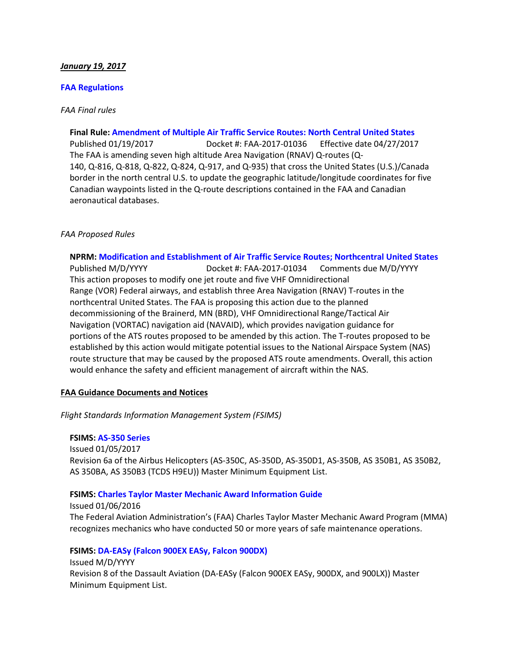### *January 19, 2017*

#### **[FAA Regulations](https://www.federalregister.gov/agencies/federal-aviation-administration)**

### *FAA Final rules*

**Final Rule: [Amendment of Multiple Air Traffic Service Routes: North Central United States](https://s3.amazonaws.com/public-inspection.federalregister.gov/2017-01036.pdf)** Published 01/19/2017 Docket #: FAA-2017-01036 Effective date 04/27/2017 The FAA is amending seven high altitude Area Navigation (RNAV) Q-routes (Q-140, Q-816, Q-818, Q-822, Q-824, Q-917, and Q-935) that cross the United States (U.S.)/Canada border in the north central U.S. to update the geographic latitude/longitude coordinates for five Canadian waypoints listed in the Q-route descriptions contained in the FAA and Canadian aeronautical databases.

### *FAA Proposed Rules*

**NPRM: [Modification and Establishment of Air Traffic Service Routes; Northcentral United States](https://s3.amazonaws.com/public-inspection.federalregister.gov/2017-01034.pdf)**

Published M/D/YYYY Docket #: FAA-2017-01034 Comments due M/D/YYYY This action proposes to modify one jet route and five VHF Omnidirectional Range (VOR) Federal airways, and establish three Area Navigation (RNAV) T-routes in the northcentral United States. The FAA is proposing this action due to the planned decommissioning of the Brainerd, MN (BRD), VHF Omnidirectional Range/Tactical Air Navigation (VORTAC) navigation aid (NAVAID), which provides navigation guidance for portions of the ATS routes proposed to be amended by this action. The T-routes proposed to be established by this action would mitigate potential issues to the National Airspace System (NAS) route structure that may be caused by the proposed ATS route amendments. Overall, this action would enhance the safety and efficient management of aircraft within the NAS.

# **FAA Guidance Documents and Notices**

*Flight Standards Information Management System (FSIMS)*

**FSIMS: [AS-350 Series](http://fsims.faa.gov/PICDetail.aspx?docId=M%20AS-350%20R6a)** Issued 01/05/2017 Revision 6a of the Airbus Helicopters (AS-350C, AS-350D, AS-350D1, AS-350B, AS 350B1, AS 350B2, AS 350BA, AS 350B3 (TCDS H9EU)) Master Minimum Equipment List.

#### **FSIMS: [Charles Taylor Master Mechanic Award Information Guide](http://fsims.faa.gov/PICDetail.aspx?docId=FAA%20FS%20I-8700-3%20Rev%203)**

Issued 01/06/2016 The Federal Aviation Administration's (FAA) Charles Taylor Master Mechanic Award Program (MMA) recognizes mechanics who have conducted 50 or more years of safe maintenance operations.

**FSIMS: [DA-EASy \(Falcon 900EX EASy, Falcon 900DX\)](http://fsims.faa.gov/PICDetail.aspx?docId=M%20DA-EASY%20R8)** Issued M/D/YYYY Revision 8 of the Dassault Aviation (DA-EASy (Falcon 900EX EASy, 900DX, and 900LX)) Master Minimum Equipment List.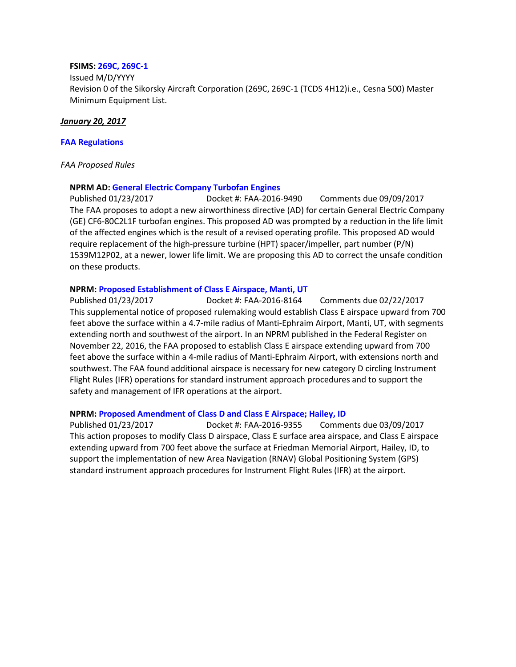#### **FSIMS: [269C, 269C-1](http://fsims.faa.gov/PICDetail.aspx?docId=M%20S-269C%20R0)**

Issued M/D/YYYY Revision 0 of the Sikorsky Aircraft Corporation (269C, 269C-1 (TCDS 4H12)i.e., Cesna 500) Master Minimum Equipment List.

### *January 20, 2017*

### **[FAA Regulations](https://www.federalregister.gov/agencies/federal-aviation-administration)**

### *FAA Proposed Rules*

# **NPRM AD: [General Electric Company Turbofan Engines](https://www.federalregister.gov/documents/2017/01/23/2017-01227/airworthiness-directives-general-electric-company-turbofan-engines)**

Published 01/23/2017 Docket #: FAA-2016-9490 Comments due 09/09/2017 The FAA proposes to adopt a new airworthiness directive (AD) for certain General Electric Company (GE) CF6-80C2L1F turbofan engines. This proposed AD was prompted by a reduction in the life limit of the affected engines which is the result of a revised operating profile. This proposed AD would require replacement of the high-pressure turbine (HPT) spacer/impeller, part number (P/N) 1539M12P02, at a newer, lower life limit. We are proposing this AD to correct the unsafe condition on these products.

### **NPRM: [Proposed Establishment of Class E Airspace, Manti, UT](https://www.federalregister.gov/documents/2017/01/23/2017-01039/proposed-establishment-of-class-e-airspace-manti-ut)**

Published 01/23/2017 Docket #: FAA-2016-8164 Comments due 02/22/2017 This supplemental notice of proposed rulemaking would establish Class E airspace upward from 700 feet above the surface within a 4.7-mile radius of Manti-Ephraim Airport, Manti, UT, with segments extending north and southwest of the airport. In an NPRM published in the Federal Register on November 22, 2016, the FAA proposed to establish Class E airspace extending upward from 700 feet above the surface within a 4-mile radius of Manti-Ephraim Airport, with extensions north and southwest. The FAA found additional airspace is necessary for new category D circling Instrument Flight Rules (IFR) operations for standard instrument approach procedures and to support the safety and management of IFR operations at the airport.

#### **NPRM: [Proposed Amendment of Class D and Class E Airspace; Hailey, ID](https://www.federalregister.gov/documents/2017/01/23/2017-01268/proposed-amendment-of-class-d-and-class-e-airspace-hailey-id)**

Published 01/23/2017 Docket #: FAA-2016-9355 Comments due 03/09/2017 This action proposes to modify Class D airspace, Class E surface area airspace, and Class E airspace extending upward from 700 feet above the surface at Friedman Memorial Airport, Hailey, ID, to support the implementation of new Area Navigation (RNAV) Global Positioning System (GPS) standard instrument approach procedures for Instrument Flight Rules (IFR) at the airport.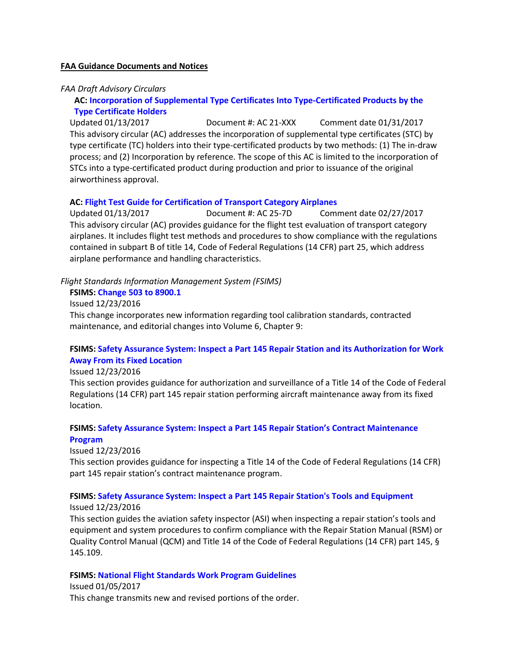#### **FAA Guidance Documents and Notices**

#### *FAA Draft Advisory Circulars*

**AC: [Incorporation of Supplemental Type Certificates Into Type-Certificated Products by the](https://www.faa.gov/aircraft/draft_docs/media/AC_21-XXX.pdf)  [Type Certificate Holders](https://www.faa.gov/aircraft/draft_docs/media/AC_21-XXX.pdf)**

Updated 01/13/2017 Document #: AC 21-XXX Comment date 01/31/2017 This advisory circular (AC) addresses the incorporation of supplemental type certificates (STC) by type certificate (TC) holders into their type-certificated products by two methods: (1) The in-draw process; and (2) Incorporation by reference. The scope of this AC is limited to the incorporation of STCs into a type-certificated product during production and prior to issuance of the original airworthiness approval.

#### **AC: [Flight Test Guide for Certification of Transport Category Airplanes](https://www.faa.gov/aircraft/draft_docs/ac/)**

Updated 01/13/2017 Document #: AC 25-7D Comment date 02/27/2017 This advisory circular (AC) provides guidance for the flight test evaluation of transport category airplanes. It includes flight test methods and procedures to show compliance with the regulations contained in subpart B of title 14, Code of Federal Regulations (14 CFR) part 25, which address airplane performance and handling characteristics.

#### *Flight Standards Information Management System (FSIMS)*

#### **FSIMS: [Change 503 to 8900.1](http://fsims.faa.gov/PICDetail.aspx?docId=8900.1,CHG503)**

Issued 12/23/2016

This change incorporates new information regarding tool calibration standards, contracted maintenance, and editorial changes into Volume 6, Chapter 9:

# **FSIMS: [Safety Assurance System: Inspect a Part 145 Repair Station and its Authorization for Work](http://fsims.faa.gov/PICDetail.aspx?docId=8900.1,Vol.6,Ch9,Sec16_SAS)  [Away From its Fixed Location](http://fsims.faa.gov/PICDetail.aspx?docId=8900.1,Vol.6,Ch9,Sec16_SAS)**

Issued 12/23/2016

This section provides guidance for authorization and surveillance of a Title 14 of the Code of Federal Regulations (14 CFR) part 145 repair station performing aircraft maintenance away from its fixed location.

### **FSIMS: Safety Assurance System: Inspect a Part 145 Repair Station's Contract Maintenance Program**

Issued 12/23/2016

This section provides guidance for inspecting a Title 14 of the Code of Federal Regulations (14 CFR) part 145 repair station's contract maintenance program.

#### **FSIMS: [Safety Assurance System: Inspect a Part 145 Repair Station's Tools and Equipment](http://fsims.faa.gov/PICDetail.aspx?docId=8900.1,Vol.6,Ch9,Sec9_SAS)**

Issued 12/23/2016

This section guides the aviation safety inspector (ASI) when inspecting a repair station's tools and equipment and system procedures to confirm compliance with the Repair Station Manual (RSM) or Quality Control Manual (QCM) and Title 14 of the Code of Federal Regulations (14 CFR) part 145, § 145.109.

#### **FSIMS: [National Flight Standards Work Program Guidelines](http://fsims.faa.gov/PICDetail.aspx?docId=1800.56Q%20CHG%201)**

Issued 01/05/2017 This change transmits new and revised portions of the order.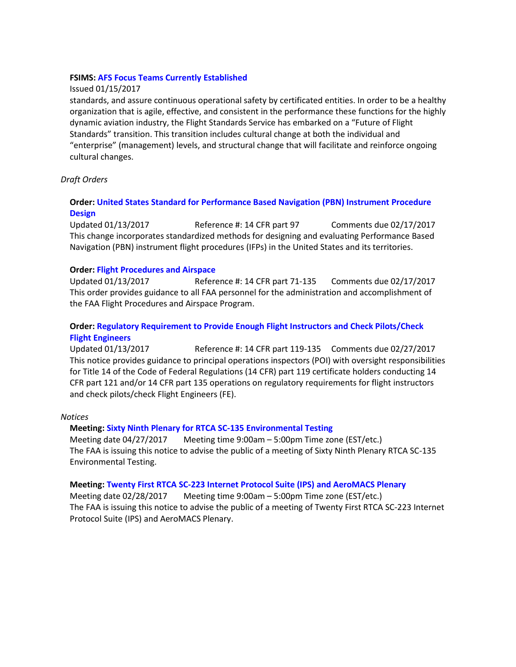### **FSIMS: [AFS Focus Teams Currently Established](http://fsims.faa.gov/PICDetail.aspx?docId=AFS-FTCE)**

### Issued 01/15/2017

standards, and assure continuous operational safety by certificated entities. In order to be a healthy organization that is agile, effective, and consistent in the performance these functions for the highly dynamic aviation industry, the Flight Standards Service has embarked on a "Future of Flight Standards" transition. This transition includes cultural change at both the individual and "enterprise" (management) levels, and structural change that will facilitate and reinforce ongoing cultural changes.

# *Draft Orders*

# **Order: [United States Standard for Performance Based Navigation \(PBN\) Instrument Procedure](https://www.faa.gov/aircraft/draft_docs/media/AFS/Order_8260.58A-CHG01_Formal.pdf)  [Design](https://www.faa.gov/aircraft/draft_docs/media/AFS/Order_8260.58A-CHG01_Formal.pdf)**

Updated 01/13/2017 Reference #: 14 CFR part 97 Comments due 02/17/2017 This change incorporates standardized methods for designing and evaluating Performance Based Navigation (PBN) instrument flight procedures (IFPs) in the United States and its territories.

### **Order: [Flight Procedures and Airspace](https://www.faa.gov/aircraft/draft_docs/media/AFS/Order_8260.19H_Formal.pdf)**

Updated 01/13/2017 Reference #: 14 CFR part 71-135 Comments due 02/17/2017 This order provides guidance to all FAA personnel for the administration and accomplishment of the FAA Flight Procedures and Airspace Program.

# **Order: [Regulatory Requirement to Provide Enough Flight Instructors and Check Pilots/Check](https://www.faa.gov/aircraft/draft_docs/media/AFS/N_8900.CKP_Coord_Copy.pdf)  [Flight Engineers](https://www.faa.gov/aircraft/draft_docs/media/AFS/N_8900.CKP_Coord_Copy.pdf)**

Updated 01/13/2017 Reference #: 14 CFR part 119-135 Comments due 02/27/2017 This notice provides guidance to principal operations inspectors (POI) with oversight responsibilities for Title 14 of the Code of Federal Regulations (14 CFR) part 119 certificate holders conducting 14 CFR part 121 and/or 14 CFR part 135 operations on regulatory requirements for flight instructors and check pilots/check Flight Engineers (FE).

#### *Notices*

# **Meeting[: Sixty Ninth Plenary for RTCA SC-135 Environmental Testing](https://www.federalregister.gov/documents/2017/01/23/2017-01282/sixty-ninth-plenary-for-rtca-sc-135-environmental-testing)**

Meeting date 04/27/2017 Meeting time 9:00am – 5:00pm Time zone (EST/etc.) The FAA is issuing this notice to advise the public of a meeting of Sixty Ninth Plenary RTCA SC-135 Environmental Testing.

#### **Meeting[: Twenty First RTCA SC-223 Internet Protocol Suite \(IPS\) and AeroMACS](https://www.federalregister.gov/documents/2017/01/23/2017-01406/twenty-first-rtca-sc-223-internet-protocol-suite-ips-and-aeromacs-plenary) Plenary**

Meeting date 02/28/2017 Meeting time 9:00am – 5:00pm Time zone (EST/etc.) The FAA is issuing this notice to advise the public of a meeting of Twenty First RTCA SC-223 Internet Protocol Suite (IPS) and AeroMACS Plenary.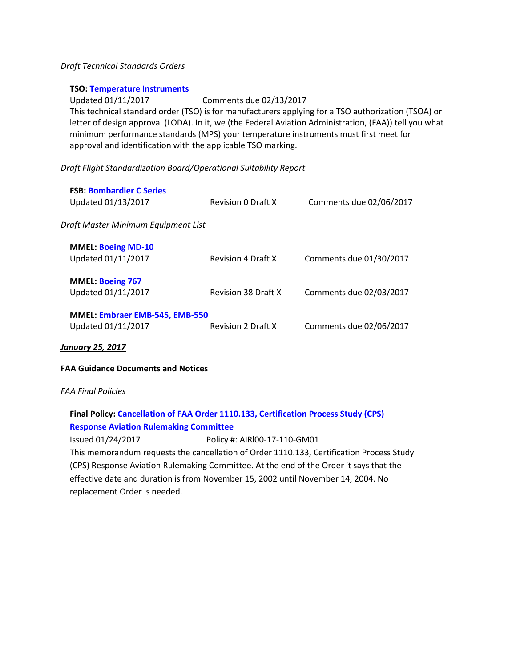### *Draft Technical Standards Orders*

#### **TSO: [Temperature Instruments](https://www.faa.gov/aircraft/draft_docs/media/TSO_C43d.pdf)**

Updated 01/11/2017 Comments due 02/13/2017 This technical standard order (TSO) is for manufacturers applying for a TSO authorization (TSOA) or letter of design approval (LODA). In it, we (the Federal Aviation Administration, (FAA)) tell you what minimum performance standards (MPS) your temperature instruments must first meet for approval and identification with the applicable TSO marking.

*Draft Flight Standardization Board/Operational Suitability Report*

| <b>FSB: Bombardier C Series</b><br>Updated 01/13/2017       | <b>Revision 0 Draft X</b>  | Comments due 02/06/2017 |
|-------------------------------------------------------------|----------------------------|-------------------------|
| Draft Master Minimum Equipment List                         |                            |                         |
| <b>MMEL: Boeing MD-10</b><br>Updated 01/11/2017             | <b>Revision 4 Draft X</b>  | Comments due 01/30/2017 |
| <b>MMEL: Boeing 767</b><br>Updated 01/11/2017               | <b>Revision 38 Draft X</b> | Comments due 02/03/2017 |
| <b>MMEL: Embraer EMB-545, EMB-550</b><br>Updated 01/11/2017 | <b>Revision 2 Draft X</b>  | Comments due 02/06/2017 |

#### *January 25, 2017*

# **FAA Guidance Documents and Notices**

#### *FAA Final Policies*

# **Final Policy[: Cancellation of FAA Order 1110.133, Certification Process Study \(CPS\)](http://rgl.faa.gov/Regulatory_and_Guidance_Library/rgPolicy.nsf/0/a7f887aa1ec6b568862580b20069d820/$FILE/AIRl00-17-110-GM01.pdf) [Response Aviation Rulemaking Committee](http://rgl.faa.gov/Regulatory_and_Guidance_Library/rgPolicy.nsf/0/a7f887aa1ec6b568862580b20069d820/$FILE/AIRl00-17-110-GM01.pdf)**

Issued 01/24/2017 Policy #: AIRl00-17-110-GM01 This memorandum requests the cancellation of Order 1110.133, Certification Process Study (CPS) Response Aviation Rulemaking Committee. At the end of the Order it says that the effective date and duration is from November 15, 2002 until November 14, 2004. No replacement Order is needed.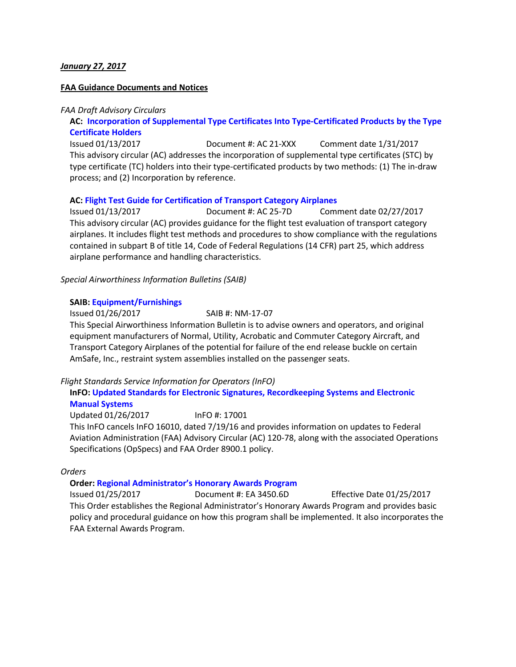### *January 27, 2017*

#### **FAA Guidance Documents and Notices**

#### *FAA Draft Advisory Circulars*

### **AC: [Incorporation of Supplemental Type Certificates Into Type-Certificated Products by the Type](https://www.faa.gov/aircraft/draft_docs/media/AC_21-XXX.pdf)  [Certificate Holders](https://www.faa.gov/aircraft/draft_docs/media/AC_21-XXX.pdf)**

Issued 01/13/2017 Document #: AC 21-XXX Comment date 1/31/2017 This advisory circular (AC) addresses the incorporation of supplemental type certificates (STC) by type certificate (TC) holders into their type-certificated products by two methods: (1) The in-draw process; and (2) Incorporation by reference.

#### **AC: [Flight Test Guide for Certification of Transport Category Airplanes](https://www.faa.gov/aircraft/draft_docs/ac/)**

Issued 01/13/2017 Document #: AC 25-7D Comment date 02/27/2017 This advisory circular (AC) provides guidance for the flight test evaluation of transport category airplanes. It includes flight test methods and procedures to show compliance with the regulations contained in subpart B of title 14, Code of Federal Regulations (14 CFR) part 25, which address airplane performance and handling characteristics.

#### *Special Airworthiness Information Bulletins (SAIB)*

#### **SAIB: [Equipment/Furnishings](http://rgl.faa.gov/Regulatory_and_Guidance_Library/rgSAIB.nsf/dc7bd4f27e5f107486257221005f069d/84c584bead4777c3862580b4007b1cc8/$FILE/NM-17-07.pdf)**

Issued 01/26/2017 SAIB #: NM-17-07

This Special Airworthiness Information Bulletin is to advise owners and operators, and original equipment manufacturers of Normal, Utility, Acrobatic and Commuter Category Aircraft, and Transport Category Airplanes of the potential for failure of the end release buckle on certain AmSafe, Inc., restraint system assemblies installed on the passenger seats.

#### *Flight Standards Service Information for Operators (InFO)*

# **InFO[: Updated Standards for Electronic Signatures, Recordkeeping Systems and Electronic](https://www.faa.gov/other_visit/aviation_industry/airline_operators/airline_safety/info/all_infos/media/2017/InFO17001.pdf)  [Manual Systems](https://www.faa.gov/other_visit/aviation_industry/airline_operators/airline_safety/info/all_infos/media/2017/InFO17001.pdf)**

Updated 01/26/2017 InFO #: 17001 This InFO cancels InFO 16010, dated 7/19/16 and provides information on updates to Federal Aviation Administration (FAA) Advisory Circular (AC) 120-78, along with the associated Operations Specifications (OpSpecs) and FAA Order 8900.1 policy.

#### *Orders*

### **Order: [Regional Administrator's Honorary Awards Program](https://www.faa.gov/documentLibrary/media/Order/EA_3450.6D.pdf)**

Issued 01/25/2017 Document #: EA 3450.6D Effective Date 01/25/2017 This Order establishes the Regional Administrator's Honorary Awards Program and provides basic policy and procedural guidance on how this program shall be implemented. It also incorporates the FAA External Awards Program.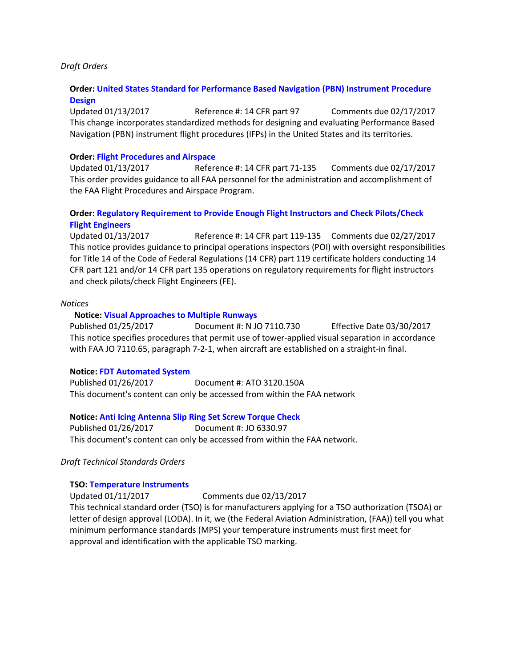#### *Draft Orders*

### **Order: [United States Standard for Performance Based Navigation \(PBN\) Instrument Procedure](https://www.faa.gov/aircraft/draft_docs/media/AFS/Order_8260.58A-CHG01_Formal.pdf)  [Design](https://www.faa.gov/aircraft/draft_docs/media/AFS/Order_8260.58A-CHG01_Formal.pdf)**

Updated 01/13/2017 Reference #: 14 CFR part 97 Comments due 02/17/2017 This change incorporates standardized methods for designing and evaluating Performance Based Navigation (PBN) instrument flight procedures (IFPs) in the United States and its territories.

#### **Order: [Flight Procedures and Airspace](https://www.faa.gov/aircraft/draft_docs/media/AFS/Order_8260.19H_Formal.pdf)**

Updated 01/13/2017 Reference #: 14 CFR part 71-135 Comments due 02/17/2017 This order provides guidance to all FAA personnel for the administration and accomplishment of the FAA Flight Procedures and Airspace Program.

# **Order: [Regulatory Requirement to Provide Enough Flight Instructors and Check Pilots/Check](https://www.faa.gov/aircraft/draft_docs/media/AFS/N_8900.CKP_Coord_Copy.pdf)  [Flight Engineers](https://www.faa.gov/aircraft/draft_docs/media/AFS/N_8900.CKP_Coord_Copy.pdf)**

Updated 01/13/2017 Reference #: 14 CFR part 119-135 Comments due 02/27/2017 This notice provides guidance to principal operations inspectors (POI) with oversight responsibilities for Title 14 of the Code of Federal Regulations (14 CFR) part 119 certificate holders conducting 14 CFR part 121 and/or 14 CFR part 135 operations on regulatory requirements for flight instructors and check pilots/check Flight Engineers (FE).

#### *Notices*

#### **Notice[: Visual Approaches to Multiple Runways](https://www.faa.gov/documentLibrary/media/Notice/N_JO_7110.730_Vertical_Approaches_to_Multiple_Runways.pdf)**

Published 01/25/2017 Document #: N JO 7110.730 Effective Date 03/30/2017 This notice specifies procedures that permit use of tower-applied visual separation in accordance with FAA JO 7110.65, paragraph 7-2-1, when aircraft are established on a straight-in final.

#### **Notice: [FDT Automated System](https://www.faa.gov/regulations_policies/orders_notices/index.cfm/go/document.information/documentID/1030608)**

Published 01/26/2017 Document #: ATO 3120.150A This document's content can only be accessed from within the FAA network

#### **Notice: [Anti Icing Antenna Slip Ring Set Screw Torque Check](https://www.faa.gov/regulations_policies/orders_notices/index.cfm/go/document.information/documentID/1030607)**

Published 01/26/2017 Document #: JO 6330.97 This document's content can only be accessed from within the FAA network.

#### *Draft Technical Standards Orders*

#### **TSO: [Temperature Instruments](https://www.faa.gov/aircraft/draft_docs/media/TSO_C43d.pdf)**

Updated 01/11/2017 Comments due 02/13/2017

This technical standard order (TSO) is for manufacturers applying for a TSO authorization (TSOA) or letter of design approval (LODA). In it, we (the Federal Aviation Administration, (FAA)) tell you what minimum performance standards (MPS) your temperature instruments must first meet for approval and identification with the applicable TSO marking.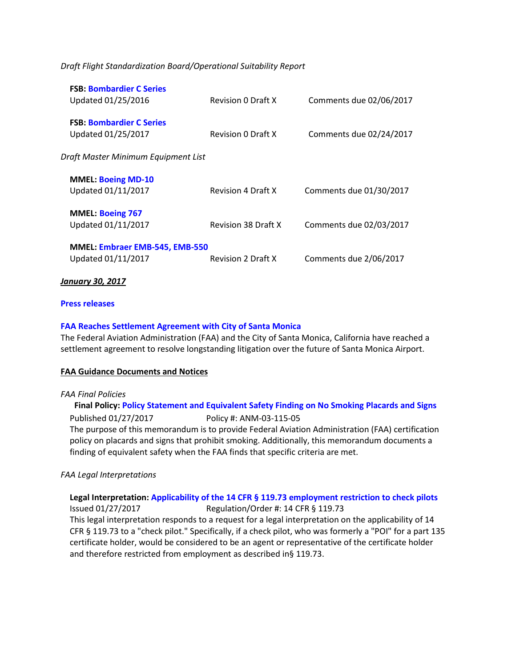*Draft Flight Standardization Board/Operational Suitability Report*

| <b>FSB: Bombardier C Series</b><br>Updated 01/25/2016       | <b>Revision 0 Draft X</b> | Comments due 02/06/2017 |
|-------------------------------------------------------------|---------------------------|-------------------------|
| <b>FSB: Bombardier C Series</b><br>Updated 01/25/2017       | <b>Revision 0 Draft X</b> | Comments due 02/24/2017 |
| Draft Master Minimum Equipment List                         |                           |                         |
| <b>MMEL: Boeing MD-10</b><br>Updated 01/11/2017             | <b>Revision 4 Draft X</b> | Comments due 01/30/2017 |
| <b>MMEL: Boeing 767</b><br>Updated 01/11/2017               | Revision 38 Draft X       | Comments due 02/03/2017 |
| <b>MMEL: Embraer EMB-545, EMB-550</b><br>Updated 01/11/2017 | <b>Revision 2 Draft X</b> | Comments due 2/06/2017  |

#### *January 30, 2017*

#### **[Press releases](http://www.faa.gov/news/press_releases/)**

#### **[FAA Reaches Settlement Agreement with City of Santa Monica](https://www.faa.gov/news/press_releases/news_story.cfm?newsId=21394)**

The Federal Aviation Administration (FAA) and the City of Santa Monica, California have reached a settlement agreement to resolve longstanding litigation over the future of Santa Monica Airport.

#### **FAA Guidance Documents and Notices**

#### *FAA Final Policies*

**Final Policy: [Policy Statement and Equivalent Safety Finding on No Smoking Placards and Signs](http://rgl.faa.gov/Regulatory_and_Guidance_Library/rgPolicy.nsf/0/dc8b1725699ebbc7862580b500726e9f/$FILE/ANM-03-115-05.pdf)** Published 01/27/2017 Policy #: ANM-03-115-05 The purpose of this memorandum is to provide Federal Aviation Administration (FAA) certification policy on placards and signs that prohibit smoking. Additionally, this memorandum documents a finding of equivalent safety when the FAA finds that specific criteria are met.

#### *FAA Legal Interpretations*

# **Legal Interpretation: [Applicability of the 14 CFR § 119.73 employment restriction to check pilots](https://www.faa.gov/about/office_org/headquarters_offices/agc/pol_adjudication/agc200/interpretations/data/interps/2017/Brown%20-%20(2017)%20Legal%20Interpretation.pdf)**

Issued 01/27/2017 Regulation/Order #: 14 CFR § 119.73 This legal interpretation responds to a request for a legal interpretation on the applicability of 14 CFR § 119.73 to a "check pilot." Specifically, if a check pilot, who was formerly a "POI" for a part 135 certificate holder, would be considered to be an agent or representative of the certificate holder and therefore restricted from employment as described in§ 119.73.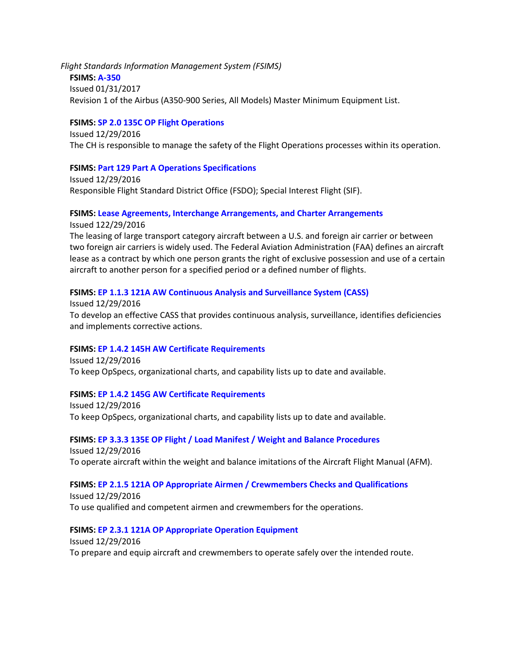*Flight Standards Information Management System (FSIMS)*

**FSIMS: [A-350](http://fsims.faa.gov/PICDetail.aspx?docId=M%20A-350%20Rev%201)** Issued 01/31/2017 Revision 1 of the Airbus (A350-900 Series, All Models) Master Minimum Equipment List.

# **FSIMS: [SP 2.0 135C OP Flight Operations](http://fsims.faa.gov/PICDetail.aspx?docId=SP%202.0%20135C%20OP%2023.0)**

Issued 12/29/2016 The CH is responsible to manage the safety of the Flight Operations processes within its operation.

# **FSIMS: [Part 129 Part A Operations Specifications](http://fsims.faa.gov/PICDetail.aspx?docId=8900.1,Vol.12,Ch2,Sec3)**

Issued 12/29/2016 Responsible Flight Standard District Office (FSDO); Special Interest Flight (SIF).

### **FSIMS: [Lease Agreements, Interchange Arrangements, and Charter Arrangements](http://fsims.faa.gov/PICDetail.aspx?docId=8900.1,Vol.12,Ch2,Sec9)** Issued 122/29/2016

The leasing of large transport category aircraft between a U.S. and foreign air carrier or between two foreign air carriers is widely used. The Federal Aviation Administration (FAA) defines an aircraft lease as a contract by which one person grants the right of exclusive possession and use of a certain aircraft to another person for a specified period or a defined number of flights.

# **FSIMS: [EP 1.1.3 121A AW Continuous Analysis and Surveillance System \(CASS\)](http://fsims.faa.gov/PICDetail.aspx?docId=EP%201.1.3%20121A%20AW%208.0)**

Issued 12/29/2016 To develop an effective CASS that provides continuous analysis, surveillance, identifies deficiencies and implements corrective actions.

# **FSIMS: [EP 1.4.2 145H AW Certificate Requirements](http://fsims.faa.gov/PICDetail.aspx?docId=EP%201.4.2%20145H%20AW%208.0)**

Issued 12/29/2016 To keep OpSpecs, organizational charts, and capability lists up to date and available.

# **FSIMS: [EP 1.4.2 145G AW Certificate Requirements](http://fsims.faa.gov/PICDetail.aspx?docId=EP%201.4.2%20145G%20AW%2011.0)**

Issued 12/29/2016 To keep OpSpecs, organizational charts, and capability lists up to date and available.

**FSIMS: [EP 3.3.3 135E OP Flight / Load Manifest / Weight and Balance Procedures](http://fsims.faa.gov/PICDetail.aspx?docId=EP%201.4.2%20145G%20AW%2011.0)** Issued 12/29/2016 To operate aircraft within the weight and balance imitations of the Aircraft Flight Manual (AFM).

# **FSIMS: [EP 2.1.5 121A OP Appropriate Airmen / Crewmembers Checks and Qualifications](http://fsims.faa.gov/PICDetail.aspx?docId=EP%202.1.5%20121A%20OP%2013.0)**

Issued 12/29/2016 To use qualified and competent airmen and crewmembers for the operations.

# **FSIMS: [EP 2.3.1 121A OP Appropriate Operation Equipment](http://fsims.faa.gov/PICDetail.aspx?docId=EP%202.3.1%20121A%20OP%208.0)**

Issued 12/29/2016 To prepare and equip aircraft and crewmembers to operate safely over the intended route.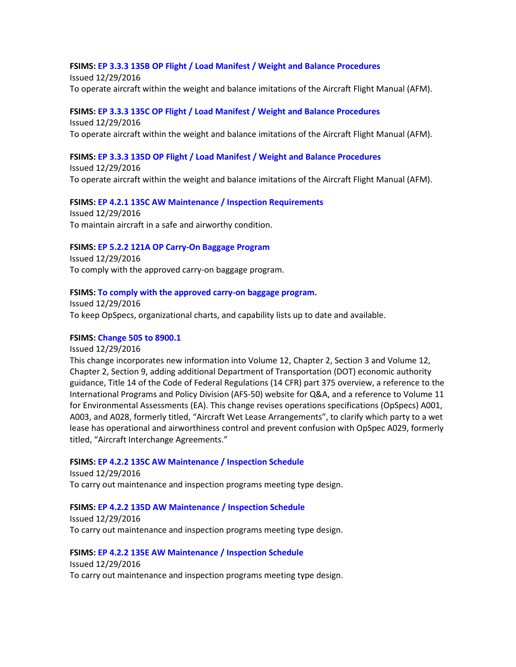### **FSIMS: [EP 3.3.3 135B OP Flight / Load Manifest / Weight and Balance Procedures](http://fsims.faa.gov/PICDetail.aspx?docId=EP%203.3.3%20135B%20OP%2010.0)**

Issued 12/29/2016 To operate aircraft within the weight and balance imitations of the Aircraft Flight Manual (AFM).

# **FSIMS: [EP 3.3.3 135C OP Flight / Load Manifest / Weight and Balance Procedures](http://fsims.faa.gov/PICDetail.aspx?docId=EP%203.3.3%20135C%20OP%2010.0)**

Issued 12/29/2016 To operate aircraft within the weight and balance imitations of the Aircraft Flight Manual (AFM).

#### **FSIMS: [EP 3.3.3 135D OP Flight / Load Manifest / Weight and Balance Procedures](http://fsims.faa.gov/PICDetail.aspx?docId=EP%203.3.3%20135D%20OP%2010.0)**

Issued 12/29/2016 To operate aircraft within the weight and balance imitations of the Aircraft Flight Manual (AFM).

#### **FSIMS: [EP 4.2.1 135C AW Maintenance / Inspection Requirements](http://fsims.faa.gov/PICDetail.aspx?docId=EP%204.2.1%20135C%20AW%2014.0)**

Issued 12/29/2016 To maintain aircraft in a safe and airworthy condition.

#### **FSIMS: [EP 5.2.2 121A OP Carry-On Baggage Program](http://fsims.faa.gov/PICDetail.aspx?docId=EP%205.2.2%20121A%20OP%207.0)**

Issued 12/29/2016 To comply with the approved carry-on baggage program.

#### **FSIMS: [To comply with the approved carry-on baggage program.](http://fsims.faa.gov/PICDetail.aspx?docId=EP%201.4.2%20145F%20AW%2011.0)**

Issued 12/29/2016 To keep OpSpecs, organizational charts, and capability lists up to date and available.

### **FSIMS: [Change 505 to 8900.1](http://fsims.faa.gov/PICDetail.aspx?docId=8900.1,CHG505)**

Issued 12/29/2016 This change incorporates new information into Volume 12, Chapter 2, Section 3 and Volume 12, Chapter 2, Section 9, adding additional Department of Transportation (DOT) economic authority guidance, Title 14 of the Code of Federal Regulations (14 CFR) part 375 overview, a reference to the International Programs and Policy Division (AFS-50) website for Q&A, and a reference to Volume 11 for Environmental Assessments (EA). This change revises operations specifications (OpSpecs) A001, A003, and A028, formerly titled, "Aircraft Wet Lease Arrangements", to clarify which party to a wet lease has operational and airworthiness control and prevent confusion with OpSpec A029, formerly titled, "Aircraft Interchange Agreements."

#### **FSIMS: [EP 4.2.2 135C AW Maintenance / Inspection Schedule](http://fsims.faa.gov/PICDetail.aspx?docId=EP%204.2.2%20135C%20AW%2014.0)**

Issued 12/29/2016 To carry out maintenance and inspection programs meeting type design.

#### **FSIMS: EP 4.2.2 135D AW [Maintenance / Inspection Schedule](http://fsims.faa.gov/PICDetail.aspx?docId=EP%204.2.2%20135D%20AW%2014.0)**

Issued 12/29/2016 To carry out maintenance and inspection programs meeting type design.

#### **FSIMS: [EP 4.2.2 135E AW Maintenance / Inspection Schedule](http://fsims.faa.gov/PICDetail.aspx?docId=EP%204.2.2%20135E%20AW%2014.0)**

Issued 12/29/2016 To carry out maintenance and inspection programs meeting type design.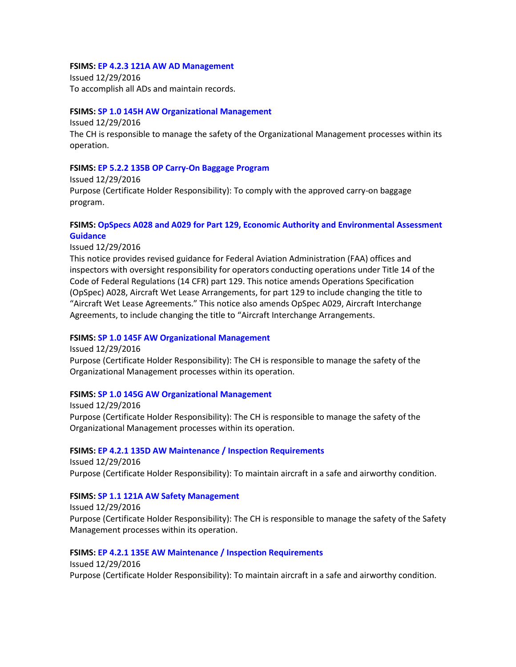#### **FSIMS: [EP 4.2.3 121A AW AD Management](http://fsims.faa.gov/PICDetail.aspx?docId=EP%204.2.3%20121A%20AW%208.0)**

Issued 12/29/2016 To accomplish all ADs and maintain records.

### **FSIMS: [SP 1.0 145H AW Organizational Management](http://fsims.faa.gov/PICDetail.aspx?docId=SP%201.0%20145H%20AW%2013..0)**

Issued 12/29/2016 The CH is responsible to manage the safety of the Organizational Management processes within its operation.

### **FSIMS: [EP 5.2.2 135B OP Carry-On Baggage Program](http://fsims.faa.gov/PICDetail.aspx?docId=EP%205.2.2%20135B%20OP%209.0)**

Issued 12/29/2016 Purpose (Certificate Holder Responsibility): To comply with the approved carry-on baggage program.

# **FSIMS: [OpSpecs A028 and A029 for Part 129, Economic Authority and Environmental Assessment](http://fsims.faa.gov/PICDetail.aspx?docId=N%208900.398)  [Guidance](http://fsims.faa.gov/PICDetail.aspx?docId=N%208900.398)**

Issued 12/29/2016

This notice provides revised guidance for Federal Aviation Administration (FAA) offices and inspectors with oversight responsibility for operators conducting operations under Title 14 of the Code of Federal Regulations (14 CFR) part 129. This notice amends Operations Specification (OpSpec) A028, Aircraft Wet Lease Arrangements, for part 129 to include changing the title to "Aircraft Wet Lease Agreements." This notice also amends OpSpec A029, Aircraft Interchange Agreements, to include changing the title to "Aircraft Interchange Arrangements.

#### **FSIMS: [SP 1.0 145F AW Organizational Management](http://fsims.faa.gov/PICDetail.aspx?docId=SP%201.0%20145F%20AW%2015.0)**

Issued 12/29/2016 Purpose (Certificate Holder Responsibility): The CH is responsible to manage the safety of the Organizational Management processes within its operation.

#### **FSIMS: SP 1.0 [145G AW Organizational Management](http://fsims.faa.gov/PICDetail.aspx?docId=SP%201.0%20145G%20AW%2013.0)**

Issued 12/29/2016 Purpose (Certificate Holder Responsibility): The CH is responsible to manage the safety of the Organizational Management processes within its operation.

#### **FSIMS: [EP 4.2.1 135D AW Maintenance / Inspection Requirements](http://fsims.faa.gov/PICDetail.aspx?docId=EP%204.2.1%20135D%20AW%2012.0)**

Issued 12/29/2016 Purpose (Certificate Holder Responsibility): To maintain aircraft in a safe and airworthy condition.

#### **FSIMS: [SP 1.1 121A AW Safety Management](http://fsims.faa.gov/PICDetail.aspx?docId=SP%201.1%20121A%20AW%2012.0)**

Issued 12/29/2016 Purpose (Certificate Holder Responsibility): The CH is responsible to manage the safety of the Safety Management processes within its operation.

#### **FSIMS: [EP 4.2.1 135E AW Maintenance / Inspection Requirements](http://fsims.faa.gov/PICDetail.aspx?docId=EP%204.2.1%20135E%20AW%2014.0)** Issued 12/29/2016

Purpose (Certificate Holder Responsibility): To maintain aircraft in a safe and airworthy condition.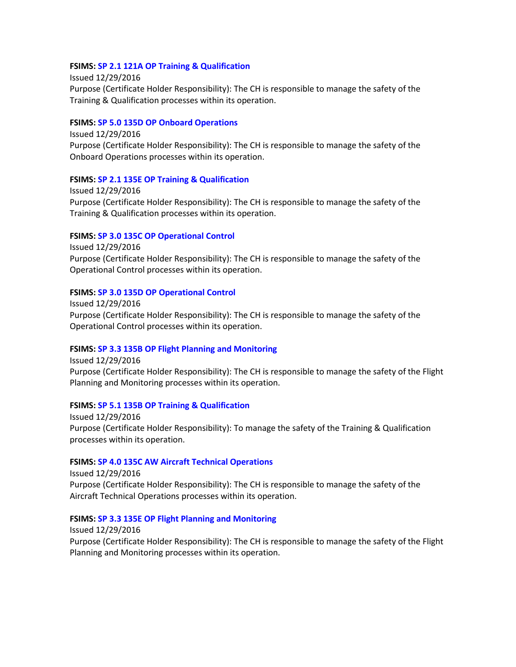### **FSIMS: [SP 2.1 121A OP Training & Qualification](http://fsims.faa.gov/PICDetail.aspx?docId=SP%202.1%20121A%20OP%2022.0)**

Issued 12/29/2016 Purpose (Certificate Holder Responsibility): The CH is responsible to manage the safety of the Training & Qualification processes within its operation.

### **FSIMS: [SP 5.0 135D OP Onboard Operations](http://fsims.faa.gov/PICDetail.aspx?docId=SP%205.0%20135D%20OP%2010.0)**

Issued 12/29/2016 Purpose (Certificate Holder Responsibility): The CH is responsible to manage the safety of the Onboard Operations processes within its operation.

#### **FSIMS: [SP 2.1 135E OP Training & Qualification](http://fsims.faa.gov/PICDetail.aspx?docId=SP%202.1%20135E%20OP%2021.0)**

Issued 12/29/2016 Purpose (Certificate Holder Responsibility): The CH is responsible to manage the safety of the Training & Qualification processes within its operation.

### **FSIMS: [SP 3.0 135C OP Operational Control](http://fsims.faa.gov/PICDetail.aspx?docId=SP%203.0%20135C%20OP%2016.0)**

Issued 12/29/2016 Purpose (Certificate Holder Responsibility): The CH is responsible to manage the safety of the Operational Control processes within its operation.

### **FSIMS: [SP 3.0 135D OP Operational Control](http://fsims.faa.gov/PICDetail.aspx?docId=SP%203.0%20135D%20OP%2016.0)**

Issued 12/29/2016 Purpose (Certificate Holder Responsibility): The CH is responsible to manage the safety of the Operational Control processes within its operation.

#### **FSIMS: [SP 3.3 135B OP Flight Planning and Monitoring](http://fsims.faa.gov/PICDetail.aspx?docId=SP%203.3%20135B%20OP%2012.0)**

Issued 12/29/2016 Purpose (Certificate Holder Responsibility): The CH is responsible to manage the safety of the Flight Planning and Monitoring processes within its operation.

#### **FSIMS: [SP 5.1 135B OP Training & Qualification](http://fsims.faa.gov/PICDetail.aspx?docId=SP%205.1%20135B%20OP%208.0)**

Issued 12/29/2016 Purpose (Certificate Holder Responsibility): To manage the safety of the Training & Qualification processes within its operation.

#### **FSIMS: [SP 4.0 135C AW Aircraft Technical Operations](http://fsims.faa.gov/PICDetail.aspx?docId=SP%204.0%20135C%20AW%2025.0)**

Issued 12/29/2016 Purpose (Certificate Holder Responsibility): The CH is responsible to manage the safety of the Aircraft Technical Operations processes within its operation.

### **FSIMS: SP [3.3 135E OP Flight Planning and Monitoring](http://fsims.faa.gov/PICDetail.aspx?docId=SP%203.3%20135E%20OP%2011.0)**

Issued 12/29/2016 Purpose (Certificate Holder Responsibility): The CH is responsible to manage the safety of the Flight Planning and Monitoring processes within its operation.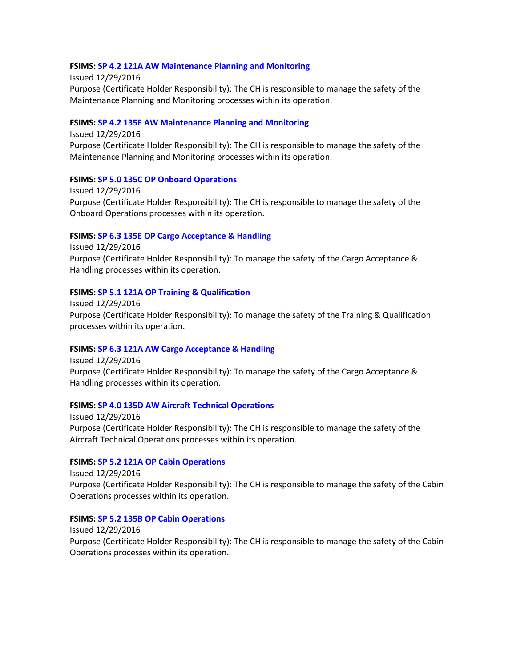### **FSIMS: [SP 4.2 121A AW Maintenance Planning and Monitoring](http://fsims.faa.gov/PICDetail.aspx?docId=SP%204.2%20121A%20AW%2019.0)**

Issued 12/29/2016 Purpose (Certificate Holder Responsibility): The CH is responsible to manage the safety of the Maintenance Planning and Monitoring processes within its operation.

### **FSIMS: [SP 4.2 135E AW Maintenance Planning and Monitoring](http://fsims.faa.gov/PICDetail.aspx?docId=SP%204.2%20135E%20AW%2016.0)**

Issued 12/29/2016 Purpose (Certificate Holder Responsibility): The CH is responsible to manage the safety of the Maintenance Planning and Monitoring processes within its operation.

### **FSIMS: [SP 5.0 135C OP Onboard Operations](http://fsims.faa.gov/PICDetail.aspx?docId=SP%205.0%20135C%20OP%2010.0)**

Issued 12/29/2016 Purpose (Certificate Holder Responsibility): The CH is responsible to manage the safety of the Onboard Operations processes within its operation.

#### **FSIMS: [SP 6.3 135E OP Cargo Acceptance & Handling](http://fsims.faa.gov/PICDetail.aspx?docId=SP%206.3%20135E%20OP%2011.0)**

Issued 12/29/2016 Purpose (Certificate Holder Responsibility): To manage the safety of the Cargo Acceptance & Handling processes within its operation.

#### **FSIMS: [SP 5.1 121A OP Training & Qualification](http://fsims.faa.gov/PICDetail.aspx?docId=SP%205.1%20121A%20OP%209.0)**

Issued 12/29/2016 Purpose (Certificate Holder Responsibility): To manage the safety of the Training & Qualification processes within its operation.

#### **FSIMS: [SP 6.3 121A AW Cargo Acceptance & Handling](http://fsims.faa.gov/PICDetail.aspx?docId=SP%206.3%20121A%20AW%209.0)**

Issued 12/29/2016 Purpose (Certificate Holder Responsibility): To manage the safety of the Cargo Acceptance & Handling processes within its operation.

# **FSIMS: [SP 4.0 135D AW Aircraft Technical Operations](http://fsims.faa.gov/PICDetail.aspx?docId=SP%204.0%20135D%20AW%2025.0)**

Issued 12/29/2016 Purpose (Certificate Holder Responsibility): The CH is responsible to manage the safety of the Aircraft Technical Operations processes within its operation.

#### **FSIMS: [SP 5.2 121A OP Cabin Operations](http://fsims.faa.gov/PICDetail.aspx?docId=SP%205.2%20121A%20OP%2012.0)**

Issued 12/29/2016 Purpose (Certificate Holder Responsibility): The CH is responsible to manage the safety of the Cabin Operations processes within its operation.

### **FSIMS: [SP 5.2 135B OP Cabin Operations](http://fsims.faa.gov/PICDetail.aspx?docId=SP%205.2%20135B%20OP%209.0)**

Issued 12/29/2016 Purpose (Certificate Holder Responsibility): The CH is responsible to manage the safety of the Cabin Operations processes within its operation.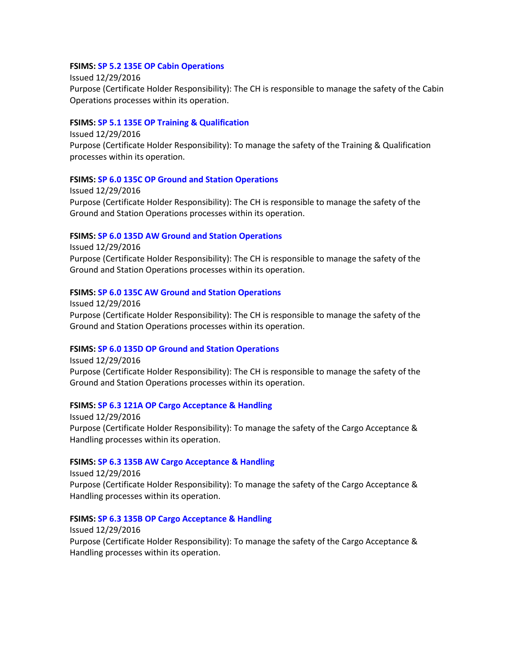#### **FSIMS: [SP 5.2 135E OP Cabin Operations](http://fsims.faa.gov/PICDetail.aspx?docId=SP%205.2%20135E%20OP%2011.0)**

Issued 12/29/2016 Purpose (Certificate Holder Responsibility): The CH is responsible to manage the safety of the Cabin Operations processes within its operation.

### **FSIMS: [SP 5.1 135E OP Training & Qualification](http://fsims.faa.gov/PICDetail.aspx?docId=SP%205.1%20135E%20OP%202.0)**

Issued 12/29/2016 Purpose (Certificate Holder Responsibility): To manage the safety of the Training & Qualification processes within its operation.

#### **FSIMS: [SP 6.0 135C OP Ground and Station Operations](http://fsims.faa.gov/PICDetail.aspx?docId=SP%206.0%20135C%20OP%2013.0)**

Issued 12/29/2016 Purpose (Certificate Holder Responsibility): The CH is responsible to manage the safety of the Ground and Station Operations processes within its operation.

### **FSIMS: SP [6.0 135D AW Ground and Station Operations](http://fsims.faa.gov/PICDetail.aspx?docId=SP%206.0%20135D%20AW%2014.0)**

Issued 12/29/2016 Purpose (Certificate Holder Responsibility): The CH is responsible to manage the safety of the Ground and Station Operations processes within its operation.

### **FSIMS: [SP 6.0 135C AW Ground and Station Operations](http://fsims.faa.gov/PICDetail.aspx?docId=SP%206.0%20135C%20AW%2015.0)**

Issued 12/29/2016 Purpose (Certificate Holder Responsibility): The CH is responsible to manage the safety of the Ground and Station Operations processes within its operation.

# **FSIMS: SP [6.0 135D OP Ground and Station Operations](http://fsims.faa.gov/PICDetail.aspx?docId=SP%206.0%20135D%20OP%2013.0)**

Issued 12/29/2016 Purpose (Certificate Holder Responsibility): The CH is responsible to manage the safety of the Ground and Station Operations processes within its operation.

#### **FSIMS: [SP 6.3 121A OP Cargo Acceptance & Handling](http://fsims.faa.gov/PICDetail.aspx?docId=SP%206.3%20121A%20OP%2014.0)**

Issued 12/29/2016 Purpose (Certificate Holder Responsibility): To manage the safety of the Cargo Acceptance & Handling processes within its operation.

#### **FSIMS: [SP 6.3 135B AW Cargo Acceptance & Handling](http://fsims.faa.gov/PICDetail.aspx?docId=SP%206.3%20135B%20AW%208.0)**

Issued 12/29/2016 Purpose (Certificate Holder Responsibility): To manage the safety of the Cargo Acceptance & Handling processes within its operation.

### **FSIMS: [SP 6.3 135B OP Cargo Acceptance & Handling](http://fsims.faa.gov/PICDetail.aspx?docId=SP%206.3%20135B%20OP%2012.0)**

Issued 12/29/2016 Purpose (Certificate Holder Responsibility): To manage the safety of the Cargo Acceptance & Handling processes within its operation.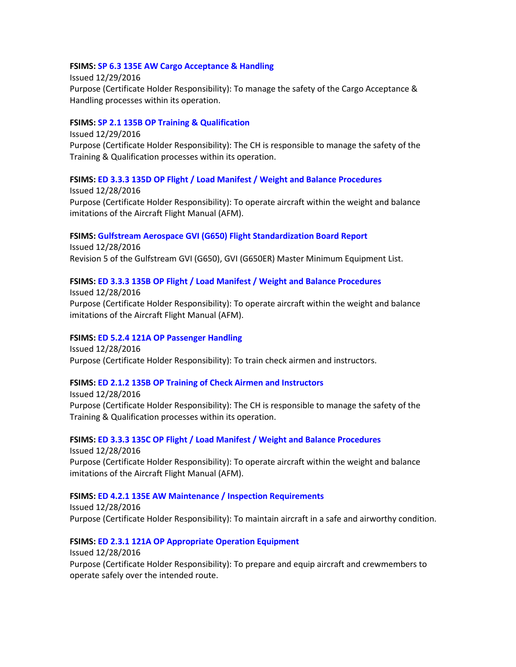### **FSIMS: [SP 6.3 135E AW Cargo Acceptance & Handling](http://fsims.faa.gov/PICDetail.aspx?docId=SP%206.3%20135E%20AW%203.0)**

Issued 12/29/2016 Purpose (Certificate Holder Responsibility): To manage the safety of the Cargo Acceptance & Handling processes within its operation.

# **FSIMS: SP 2.1 135B OP [Training & Qualification](http://fsims.faa.gov/PICDetail.aspx?docId=SP%202.1%20135B%20OP%2023.0)**

Issued 12/29/2016 Purpose (Certificate Holder Responsibility): The CH is responsible to manage the safety of the Training & Qualification processes within its operation.

### **FSIMS: [ED 3.3.3 135D OP Flight / Load Manifest / Weight and Balance Procedures](http://fsims.faa.gov/PICDetail.aspx?docId=ED%203.3.3%20135D%20OP%209.0)**

Issued 12/28/2016 Purpose (Certificate Holder Responsibility): To operate aircraft within the weight and balance imitations of the Aircraft Flight Manual (AFM).

### **FSIMS: Gulfstream Aerospace GVI (G650) Flight Standardization Board Report**

Issued 12/28/2016 Revision 5 of the Gulfstream GVI (G650), GVI (G650ER) Master Minimum Equipment List.

### **FSIMS: [ED 3.3.3 135B OP Flight / Load Manifest / Weight and Balance Procedures](http://fsims.faa.gov/PICDetail.aspx?docId=ED%203.3.3%20135B%20OP%208.0)**

Issued 12/28/2016 Purpose (Certificate Holder Responsibility): To operate aircraft within the weight and balance imitations of the Aircraft Flight Manual (AFM).

# **FSIMS: [ED 5.2.4 121A OP Passenger Handling](http://fsims.faa.gov/PICDetail.aspx?docId=ED%205.2.4%20121A%20OP%208.0)**

Issued 12/28/2016 Purpose (Certificate Holder Responsibility): To train check airmen and instructors.

#### **FSIMS: ED 2.1.2 135B OP [Training of Check Airmen and Instructors](http://fsims.faa.gov/PICDetail.aspx?docId=ED%202.1.2%20135B%20OP%208.0)**

Issued 12/28/2016 Purpose (Certificate Holder Responsibility): The CH is responsible to manage the safety of the Training & Qualification processes within its operation.

**FSIMS: [ED 3.3.3 135C OP Flight / Load Manifest / Weight and Balance Procedures](http://fsims.faa.gov/PICDetail.aspx?docId=ED%203.3.3%20135C%20OP%209.0)** Issued 12/28/2016 Purpose (Certificate Holder Responsibility): To operate aircraft within the weight and balance imitations of the Aircraft Flight Manual (AFM).

#### **FSIMS: [ED 4.2.1 135E AW Maintenance / Inspection Requirements](http://fsims.faa.gov/PICDetail.aspx?docId=ED%204.2.1%20135E%20AW%2011.0)**

Issued 12/28/2016 Purpose (Certificate Holder Responsibility): To maintain aircraft in a safe and airworthy condition.

### **FSIMS: [ED 2.3.1 121A OP Appropriate Operation Equipment](http://fsims.faa.gov/PICDetail.aspx?docId=ED%202.3.1%20121A%20OP%208.0)**

Issued 12/28/2016 Purpose (Certificate Holder Responsibility): To prepare and equip aircraft and crewmembers to operate safely over the intended route.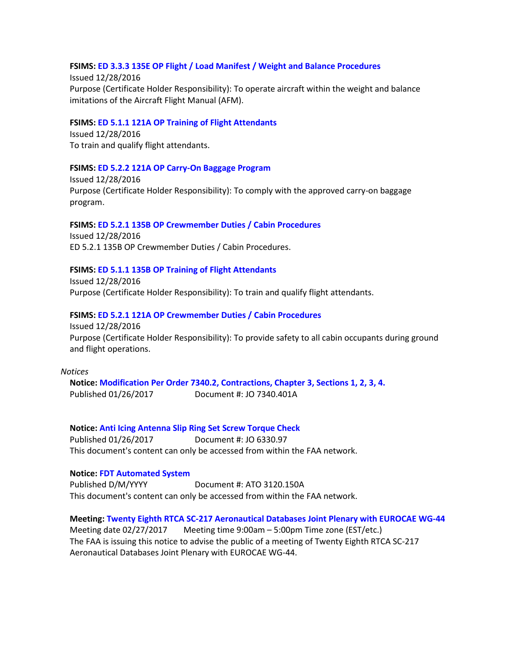### **FSIMS: [ED 3.3.3 135E OP Flight / Load Manifest / Weight and Balance Procedures](http://fsims.faa.gov/PICDetail.aspx?docId=ED%203.3.3%20135E%20OP%209.0)**

Issued 12/28/2016 Purpose (Certificate Holder Responsibility): To operate aircraft within the weight and balance imitations of the Aircraft Flight Manual (AFM).

#### **FSIMS: [ED 5.1.1 121A OP Training of Flight Attendants](http://fsims.faa.gov/PICDetail.aspx?docId=ED%205.1.1%20121A%20OP%2011.0)**

Issued 12/28/2016 To train and qualify flight attendants.

#### **FSIMS: [ED 5.2.2 121A OP Carry-On Baggage Program](http://fsims.faa.gov/PICDetail.aspx?docId=ED%205.2.2%20121A%20OP%208.0)**

Issued 12/28/2016 Purpose (Certificate Holder Responsibility): To comply with the approved carry-on baggage program.

**FSIMS: [ED 5.2.1 135B OP Crewmember Duties / Cabin Procedures](http://fsims.faa.gov/PICDetail.aspx?docId=ED%205.2.1%20135B%20OP%2010.0)** Issued 12/28/2016 ED 5.2.1 135B OP Crewmember Duties / Cabin Procedures.

#### **FSIMS: [ED 5.1.1 135B OP Training of Flight Attendants](http://fsims.faa.gov/PICDetail.aspx?docId=ED%205.1.1%20135B%20OP%207.0)**

Issued 12/28/2016 Purpose (Certificate Holder Responsibility): To train and qualify flight attendants.

#### **FSIMS: [ED 5.2.1 121A OP Crewmember Duties / Cabin Procedures](http://fsims.faa.gov/PICDetail.aspx?docId=ED%205.2.1%20121A%20OP%2010.0)**

Issued 12/28/2016 Purpose (Certificate Holder Responsibility): To provide safety to all cabin occupants during ground and flight operations.

#### *Notices*

**Notice: [Modification Per Order 7340.2, Contractions, Chapter 3, Sections 1, 2, 3, 4.](https://www.faa.gov/regulations_policies/orders_notices/index.cfm/go/document.information/documentID/1030606)** Published 01/26/2017 Document #: JO 7340.401A

**Notice: [Anti Icing Antenna Slip Ring Set Screw Torque Check](https://www.faa.gov/regulations_policies/orders_notices/index.cfm/go/document.information/documentID/1030607)**

Published 01/26/2017 Document #: JO 6330.97 This document's content can only be accessed from within the FAA network.

#### **Notice: [FDT Automated System](https://www.faa.gov/regulations_policies/orders_notices/index.cfm/go/document.information/documentID/1030608)**

Published D/M/YYYY Document #: ATO 3120.150A This document's content can only be accessed from within the FAA network.

**Meeting[: Twenty Eighth RTCA SC-217 Aeronautical Databases Joint Plenary with EUROCAE WG-44](https://www.federalregister.gov/documents/2017/01/30/2017-01889/twenty-eighth-rtca-sc-217-aeronautical-databases-joint-plenary-with-eurocae-wg-44)**

Meeting date 02/27/2017 Meeting time 9:00am – 5:00pm Time zone (EST/etc.) The FAA is issuing this notice to advise the public of a meeting of Twenty Eighth RTCA SC-217 Aeronautical Databases Joint Plenary with EUROCAE WG-44.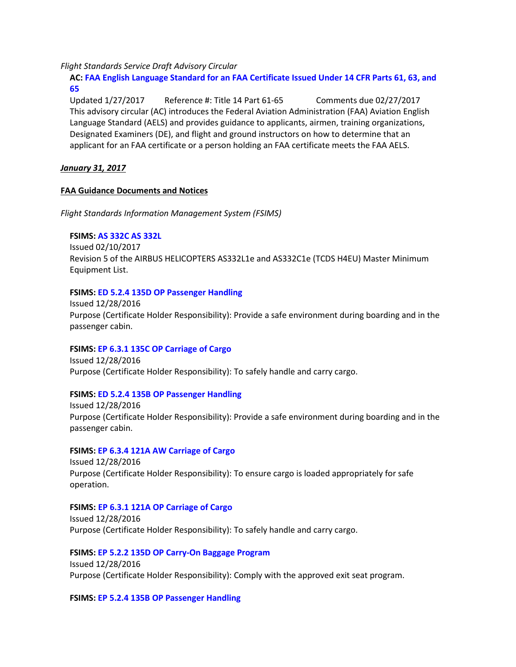*Flight Standards Service Draft Advisory Circular*

**AC: [FAA English Language Standard for an FAA Certificate Issued Under 14 CFR Parts 61, 63, and](https://www.faa.gov/aircraft/draft_docs/media/afs/AC_60-28B_Coord_Copy.pdf)  [65](https://www.faa.gov/aircraft/draft_docs/media/afs/AC_60-28B_Coord_Copy.pdf)**

Updated 1/27/2017 Reference #: Title 14 Part 61-65 Comments due 02/27/2017 This advisory circular (AC) introduces the Federal Aviation Administration (FAA) Aviation English Language Standard (AELS) and provides guidance to applicants, airmen, training organizations, Designated Examiners (DE), and flight and ground instructors on how to determine that an applicant for an FAA certificate or a person holding an FAA certificate meets the FAA AELS.

*January 31, 2017*

### **FAA Guidance Documents and Notices**

*Flight Standards Information Management System (FSIMS)*

### **FSIMS: [AS 332C AS 332L](http://fsims.faa.gov/PICDetail.aspx?docId=M%20AS-332C%20R5)**

Issued 02/10/2017 Revision 5 of the AIRBUS HELICOPTERS AS332L1e and AS332C1e (TCDS H4EU) Master Minimum Equipment List.

### **FSIMS: [ED 5.2.4 135D OP Passenger Handling](http://fsims.faa.gov/PICDetail.aspx?docId=ED%205.2.4%20135D%20OP%208.0)**

Issued 12/28/2016 Purpose (Certificate Holder Responsibility): Provide a safe environment during boarding and in the passenger cabin.

# **FSIMS: [EP 6.3.1 135C OP Carriage of Cargo](http://fsims.faa.gov/PICDetail.aspx?docId=EP%206.3.1%20135C%20OP%209.0)**

Issued 12/28/2016 Purpose (Certificate Holder Responsibility): To safely handle and carry cargo.

### **FSIMS: [ED 5.2.4 135B OP Passenger Handling](http://fsims.faa.gov/PICDetail.aspx?docId=ED%205.2.4%20135B%20OP%208.0)**

Issued 12/28/2016 Purpose (Certificate Holder Responsibility): Provide a safe environment during boarding and in the passenger cabin.

#### **FSIMS: [EP 6.3.4 121A AW Carriage of Cargo](http://fsims.faa.gov/PICDetail.aspx?docId=EP%206.3.4%20121A%20AW%203.0)**

Issued 12/28/2016 Purpose (Certificate Holder Responsibility): To ensure cargo is loaded appropriately for safe operation.

# **FSIMS: [EP 6.3.1 121A OP Carriage of Cargo](http://fsims.faa.gov/PICDetail.aspx?docId=EP%206.3.1%20121A%20OP%2010.0)**

Issued 12/28/2016 Purpose (Certificate Holder Responsibility): To safely handle and carry cargo.

**FSIMS: [EP 5.2.2 135D OP Carry-On Baggage Program](http://fsims.faa.gov/PICDetail.aspx?docId=EP%205.2.2%20135D%20OP%209.0)** Issued 12/28/2016 Purpose (Certificate Holder Responsibility): Comply with the approved exit seat program.

**FSIMS: [EP 5.2.4 135B OP Passenger Handling](http://fsims.faa.gov/PICDetail.aspx?docId=EP%205.2.4%20135B%20OP%2010.0)**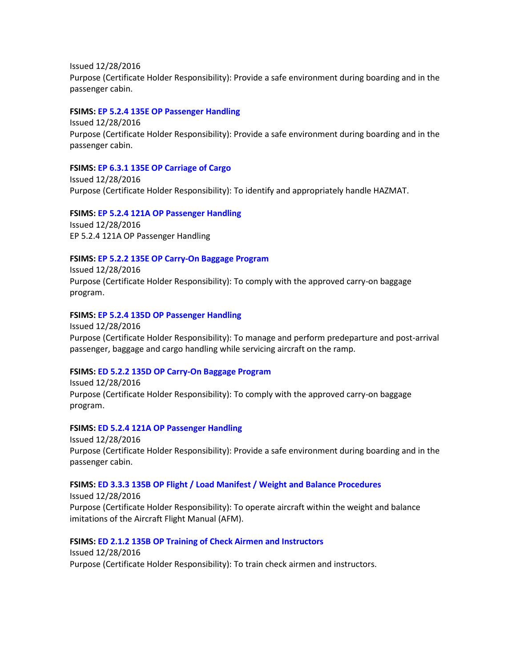Issued 12/28/2016 Purpose (Certificate Holder Responsibility): Provide a safe environment during boarding and in the passenger cabin.

#### **FSIMS: [EP 5.2.4 135E OP Passenger Handling](http://fsims.faa.gov/PICDetail.aspx?docId=EP%205.2.4%20135E%20OP%202.0)**

Issued 12/28/2016 Purpose (Certificate Holder Responsibility): Provide a safe environment during boarding and in the passenger cabin.

#### **FSIMS: [EP 6.3.1 135E OP Carriage of Cargo](http://fsims.faa.gov/PICDetail.aspx?docId=EP%206.3.1%20135E%20OP%209.0)**

Issued 12/28/2016 Purpose (Certificate Holder Responsibility): To identify and appropriately handle HAZMAT.

**FSIMS: [EP 5.2.4 121A OP Passenger Handling](http://fsims.faa.gov/PICDetail.aspx?docId=EP%205.2.4%20121A%20OP%209.0)** Issued 12/28/2016 EP 5.2.4 121A OP Passenger Handling

#### **FSIMS: [EP 5.2.2 135E OP Carry-On Baggage Program](http://fsims.faa.gov/PICDetail.aspx?docId=EP%205.2.2%20135E%20OP%202.0)**

Issued 12/28/2016 Purpose (Certificate Holder Responsibility): To comply with the approved carry-on baggage program.

### **FSIMS: [EP 5.2.4 135D OP Passenger Handling](http://fsims.faa.gov/PICDetail.aspx?docId=EP%205.2.4%20135D%20OP%2010.0)**

Issued 12/28/2016 Purpose (Certificate Holder Responsibility): To manage and perform predeparture and post-arrival passenger, baggage and cargo handling while servicing aircraft on the ramp.

### **FSIMS: [ED 5.2.2 135D OP Carry-On Baggage Program](http://fsims.faa.gov/PICDetail.aspx?docId=ED%205.2.2%20135D%20OP%208.0)**

Issued 12/28/2016 Purpose (Certificate Holder Responsibility): To comply with the approved carry-on baggage program.

#### **FSIMS: [ED 5.2.4 121A OP Passenger Handling](http://fsims.faa.gov/PICDetail.aspx?docId=ED%205.2.4%20121A%20OP%208.0)**

Issued 12/28/2016 Purpose (Certificate Holder Responsibility): Provide a safe environment during boarding and in the passenger cabin.

#### **FSIMS: [ED 3.3.3 135B OP Flight / Load Manifest / Weight and Balance Procedures](http://fsims.faa.gov/PICDetail.aspx?docId=ED%203.3.3%20135B%20OP%208.0)**

Issued 12/28/2016 Purpose (Certificate Holder Responsibility): To operate aircraft within the weight and balance imitations of the Aircraft Flight Manual (AFM).

### **FSIMS: [ED 2.1.2 135B OP Training of Check Airmen and Instructors](http://fsims.faa.gov/PICDetail.aspx?docId=ED%202.1.2%20135B%20OP%208.0)**

Issued 12/28/2016 Purpose (Certificate Holder Responsibility): To train check airmen and instructors.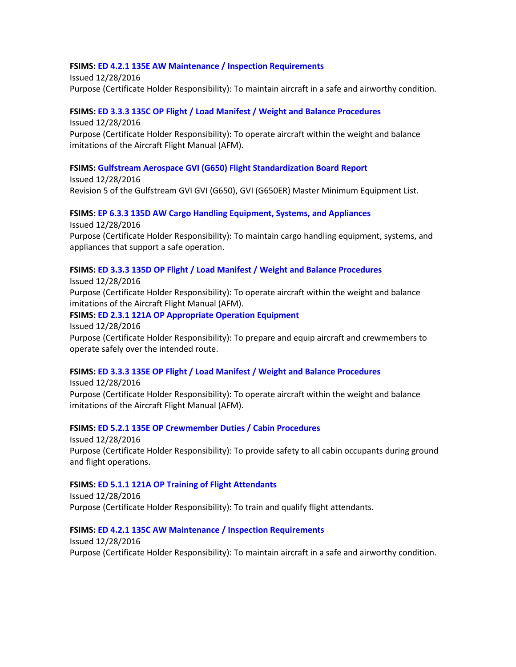### **FSIMS: [ED 4.2.1 135E AW Maintenance / Inspection Requirements](http://fsims.faa.gov/PICDetail.aspx?docId=ED%204.2.1%20135E%20AW%2011.0)**

Issued 12/28/2016 Purpose (Certificate Holder Responsibility): To maintain aircraft in a safe and airworthy condition.

### **FSIMS: [ED 3.3.3 135C OP Flight / Load Manifest / Weight and Balance Procedures](http://fsims.faa.gov/PICDetail.aspx?docId=ED%203.3.3%20135C%20OP%209.0)**

Issued 12/28/2016 Purpose (Certificate Holder Responsibility): To operate aircraft within the weight and balance imitations of the Aircraft Flight Manual (AFM).

### **FSIMS: [Gulfstream Aerospace GVI \(G650\) Flight Standardization Board Report](http://fsims.faa.gov/PICDetail.aspx?docId=FSB%20GVI)**

Issued 12/28/2016 Revision 5 of the Gulfstream GVI GVI (G650), GVI (G650ER) Master Minimum Equipment List.

**FSIMS: [EP 6.3.3 135D AW Cargo Handling Equipment, Systems, and Appliances](http://fsims.faa.gov/PICDetail.aspx?docId=EP%206.3.3%20135D%20AW%209.0)** Issued 12/28/2016 Purpose (Certificate Holder Responsibility): To maintain cargo handling equipment, systems, and appliances that support a safe operation.

### **FSIMS: [ED 3.3.3 135D OP Flight / Load Manifest / Weight and Balance Procedures](http://fsims.faa.gov/PICDetail.aspx?docId=ED%203.3.3%20135D%20OP%209.0)**

Issued 12/28/2016 Purpose (Certificate Holder Responsibility): To operate aircraft within the weight and balance imitations of the Aircraft Flight Manual (AFM).

#### **FSIMS: [ED 2.3.1 121A OP Appropriate Operation Equipment](http://fsims.faa.gov/PICDetail.aspx?docId=ED%202.3.1%20121A%20OP%208.0)**

Issued 12/28/2016

Purpose (Certificate Holder Responsibility): To prepare and equip aircraft and crewmembers to operate safely over the intended route.

#### **FSIMS: [ED 3.3.3 135E OP Flight / Load Manifest / Weight and Balance Procedures](http://fsims.faa.gov/PICDetail.aspx?docId=ED%203.3.3%20135E%20OP%209.0)**

Issued 12/28/2016 Purpose (Certificate Holder Responsibility): To operate aircraft within the weight and balance imitations of the Aircraft Flight Manual (AFM).

#### **FSIMS: [ED 5.2.1 135E OP Crewmember Duties / Cabin Procedures](http://fsims.faa.gov/PICDetail.aspx?docId=ED%205.2.1%20135E%20OP%2010.0)**

Issued 12/28/2016 Purpose (Certificate Holder Responsibility): To provide safety to all cabin occupants during ground and flight operations.

#### **FSIMS: [ED 5.1.1 121A OP Training of Flight Attendants](http://fsims.faa.gov/PICDetail.aspx?docId=ED%205.1.1%20121A%20OP%2011.0)**

Issued 12/28/2016 Purpose (Certificate Holder Responsibility): To train and qualify flight attendants.

### **FSIMS: [ED 4.2.1 135C AW Maintenance / Inspection Requirements](http://fsims.faa.gov/PICDetail.aspx?docId=ED%204.2.1%20135C%20AW%2011.0)**

Issued 12/28/2016 Purpose (Certificate Holder Responsibility): To maintain aircraft in a safe and airworthy condition.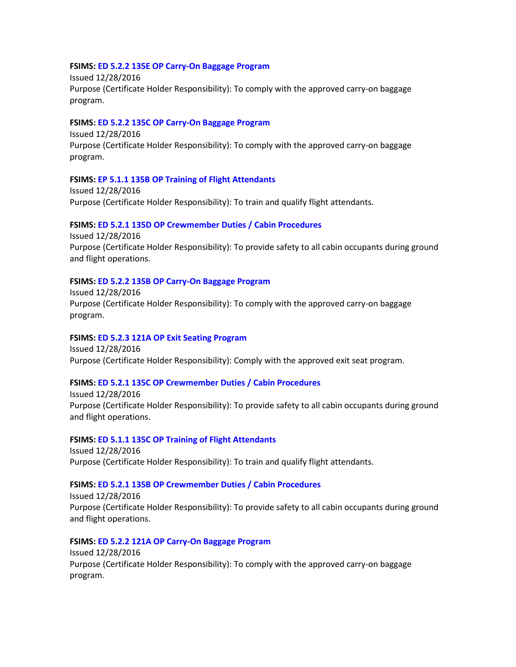#### **FSIMS: [ED 5.2.2 135E OP Carry-On Baggage Program](http://fsims.faa.gov/PICDetail.aspx?docId=ED%205.2.2%20135E%20OP%202.0)**

Issued 12/28/2016 Purpose (Certificate Holder Responsibility): To comply with the approved carry-on baggage program.

#### **FSIMS: [ED 5.2.2 135C OP Carry-On Baggage Program](http://fsims.faa.gov/PICDetail.aspx?docId=ED%205.2.2%20135C%20OP%208.0)**

Issued 12/28/2016 Purpose (Certificate Holder Responsibility): To comply with the approved carry-on baggage program.

#### **FSIMS: [EP 5.1.1 135B OP Training of Flight Attendants](http://fsims.faa.gov/PICDetail.aspx?docId=EP%205.1.1%20135B%20OP%209.0)**

Issued 12/28/2016 Purpose (Certificate Holder Responsibility): To train and qualify flight attendants.

### **FSIMS: [ED 5.2.1 135D OP Crewmember Duties / Cabin Procedures](http://fsims.faa.gov/PICDetail.aspx?docId=ED%205.2.1%20135D%20OP%2010.0)**

Issued 12/28/2016 Purpose (Certificate Holder Responsibility): To provide safety to all cabin occupants during ground and flight operations.

### **FSIMS: ED 5.2.2 135B OP [Carry-On Baggage Program](http://fsims.faa.gov/PICDetail.aspx?docId=ED%205.2.2%20135B%20OP%208.0)**

Issued 12/28/2016 Purpose (Certificate Holder Responsibility): To comply with the approved carry-on baggage program.

#### **FSIMS: [ED 5.2.3 121A OP Exit Seating Program](http://fsims.faa.gov/PICDetail.aspx?docId=ED%205.2.3%20121A%20OP%208.0)** Issued 12/28/2016

Purpose (Certificate Holder Responsibility): Comply with the approved exit seat program.

### **FSIMS: [ED 5.2.1 135C OP Crewmember Duties / Cabin Procedures](http://fsims.faa.gov/PICDetail.aspx?docId=ED%205.2.1%20135C%20OP%2010.0)**

Issued 12/28/2016 Purpose (Certificate Holder Responsibility): To provide safety to all cabin occupants during ground and flight operations.

#### **FSIMS: [ED 5.1.1 135C OP Training of Flight Attendants](http://fsims.faa.gov/PICDetail.aspx?docId=ED%205.1.1%20135C%20OP%207.0)** Issued 12/28/2016

Purpose (Certificate Holder Responsibility): To train and qualify flight attendants.

#### **FSIMS: [ED 5.2.1 135B OP Crewmember Duties / Cabin Procedures](http://fsims.faa.gov/PICDetail.aspx?docId=ED%205.2.1%20135B%20OP%2010.0)**

Issued 12/28/2016 Purpose (Certificate Holder Responsibility): To provide safety to all cabin occupants during ground and flight operations.

### **FSIMS: [ED 5.2.2 121A OP Carry-On Baggage Program](http://fsims.faa.gov/PICDetail.aspx?docId=ED%205.2.2%20121A%20OP%208.0)**

Issued 12/28/2016 Purpose (Certificate Holder Responsibility): To comply with the approved carry-on baggage program.